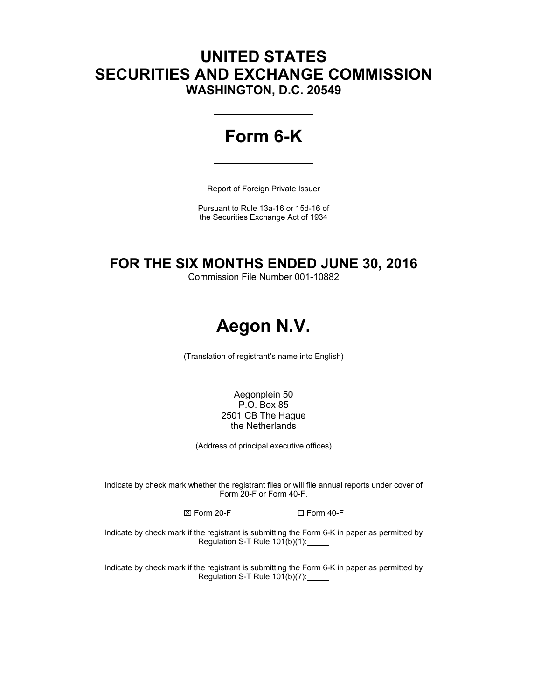# **UNITED STATES SECURITIES AND EXCHANGE COMMISSION WASHINGTON, D.C. 20549**

# **Form 6-K**

Report of Foreign Private Issuer

Pursuant to Rule 13a-16 or 15d-16 of the Securities Exchange Act of 1934

# **FOR THE SIX MONTHS ENDED JUNE 30, 2016**

Commission File Number 001-10882

# **Aegon N.V.**

(Translation of registrant's name into English)

Aegonplein 50 P.O. Box 85 2501 CB The Hague the Netherlands

(Address of principal executive offices)

Indicate by check mark whether the registrant files or will file annual reports under cover of Form 20-F or Form 40-F.

 $\boxtimes$  Form 20-F  $\Box$  Form 40-F

Indicate by check mark if the registrant is submitting the Form 6-K in paper as permitted by Regulation S-T Rule 101(b)(1):

Indicate by check mark if the registrant is submitting the Form 6-K in paper as permitted by Regulation S-T Rule 101(b)(7):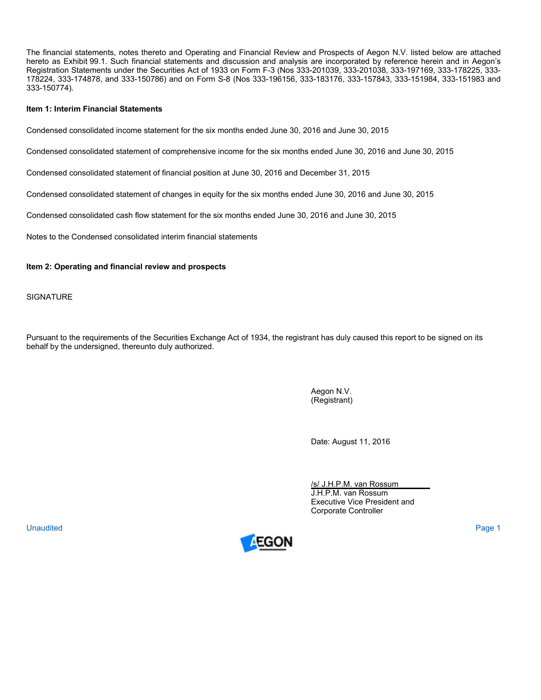The financial statements, notes thereto and Operating and Financial Review and Prospects of Aegon N.V. listed below are attached hereto as Exhibit 99.1. Such financial statements and discussion and analysis are incorporated by reference herein and in Aegon's Registration Statements under the Securities Act of 1933 on Form F-3 (Nos 333-201039, 333-201038, 333-197169, 333-178225, 333- 178224, 333-174878, and 333-150786) and on Form S-8 (Nos 333-196156, 333-183176, 333-157843, 333-151984, 333-151983 and 333-150774).

#### **Item 1: Interim Financial Statements**

Condensed consolidated income statement for the six months ended June 30, 2016 and June 30, 2015

Condensed consolidated statement of comprehensive income for the six months ended June 30, 2016 and June 30, 2015

Condensed consolidated statement of financial position at June 30, 2016 and December 31, 2015

Condensed consolidated statement of changes in equity for the six months ended June 30, 2016 and June 30, 2015

Condensed consolidated cash flow statement for the six months ended June 30, 2016 and June 30, 2015

Notes to the Condensed consolidated interim financial statements

#### **Item 2: Operating and financial review and prospects**

**SIGNATURE** 

Pursuant to the requirements of the Securities Exchange Act of 1934, the registrant has duly caused this report to be signed on its behalf by the undersigned, thereunto duly authorized.

> Aegon N.V. (Registrant)

Date: August 11, 2016

/s/ J.H.P.M. van Rossum J.H.P.M. van Rossum Executive Vice President and Corporate Controller

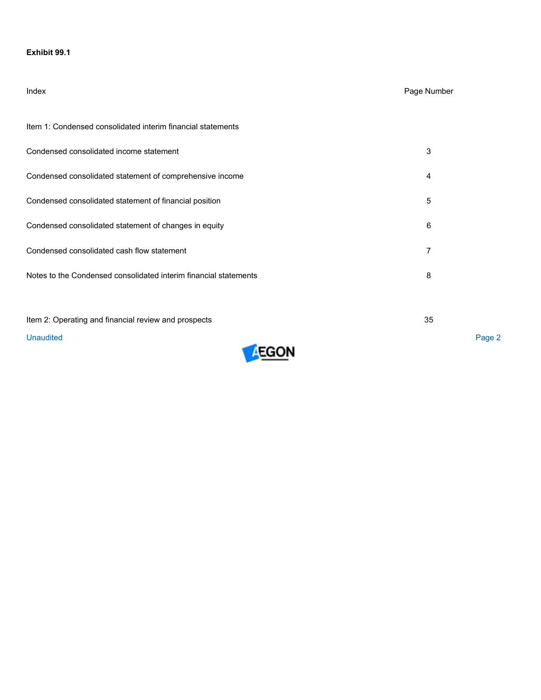## **Exhibit 99.1**

# Index Page Number

| Item 1: Condensed consolidated interim financial statements      |   |
|------------------------------------------------------------------|---|
| Condensed consolidated income statement                          | 3 |
| Condensed consolidated statement of comprehensive income         | 4 |
| Condensed consolidated statement of financial position           | 5 |
| Condensed consolidated statement of changes in equity            | 6 |
| Condensed consolidated cash flow statement                       |   |
| Notes to the Condensed consolidated interim financial statements | 8 |
|                                                                  |   |

Item 2: Operating and financial review and prospects 35

**Unaudited** Unaudited Page 2

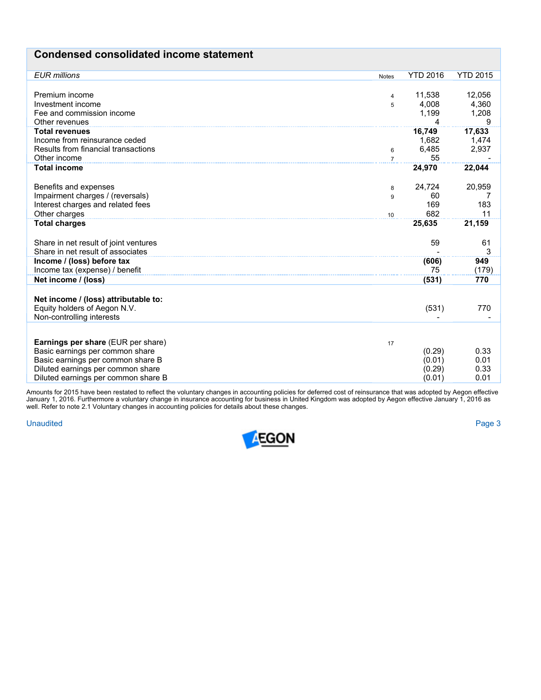# **Condensed consolidated income statement**

| <b>EUR</b> millions                       | <b>Notes</b>   | <b>YTD 2016</b> | <b>YTD 2015</b> |
|-------------------------------------------|----------------|-----------------|-----------------|
|                                           |                |                 |                 |
| Premium income                            | 4              | 11,538          | 12,056          |
| Investment income                         | 5              | 4,008           | 4,360           |
| Fee and commission income                 |                | 1,199           | 1,208           |
| Other revenues                            |                | 4               | 9               |
| <b>Total revenues</b>                     |                | 16,749          | 17,633          |
| Income from reinsurance ceded             |                | 1,682           | 1,474           |
| Results from financial transactions       | 6              | 6,485           | 2,937           |
| Other income                              | $\overline{7}$ | 55              |                 |
| <b>Total income</b>                       |                | 24,970          | 22,044          |
|                                           |                |                 |                 |
| Benefits and expenses                     | 8              | 24,724          | 20,959          |
| Impairment charges / (reversals)          | 9              | 60              |                 |
| Interest charges and related fees         |                | 169             | 183             |
| Other charges                             | 10             | 682             | 11              |
| <b>Total charges</b>                      |                | 25,635          | 21,159          |
|                                           |                |                 |                 |
| Share in net result of joint ventures     |                | 59              | 61              |
| Share in net result of associates         |                |                 | 3               |
| Income / (loss) before tax                |                | (606)           | 949             |
| Income tax (expense) / benefit            |                | 75              | (179)           |
| Net income / (loss)                       |                | (531)           | 770             |
|                                           |                |                 |                 |
| Net income / (loss) attributable to:      |                |                 |                 |
| Equity holders of Aegon N.V.              |                | (531)           | 770             |
| Non-controlling interests                 |                |                 |                 |
|                                           |                |                 |                 |
| <b>Earnings per share (EUR per share)</b> | 17             |                 |                 |
| Basic earnings per common share           |                | (0.29)          | 0.33            |
| Basic earnings per common share B         |                | (0.01)          | 0.01            |
| Diluted earnings per common share         |                | (0.29)          | 0.33            |
| Diluted earnings per common share B       |                | (0.01)          | 0.01            |

Amounts for 2015 have been restated to reflect the voluntary changes in accounting policies for deferred cost of reinsurance that was adopted by Aegon effective January 1, 2016. Furthermore a voluntary change in insurance accounting for business in United Kingdom was adopted by Aegon effective January 1, 2016 as well. Refer to note 2.1 Voluntary changes in accounting policies for details about these changes.

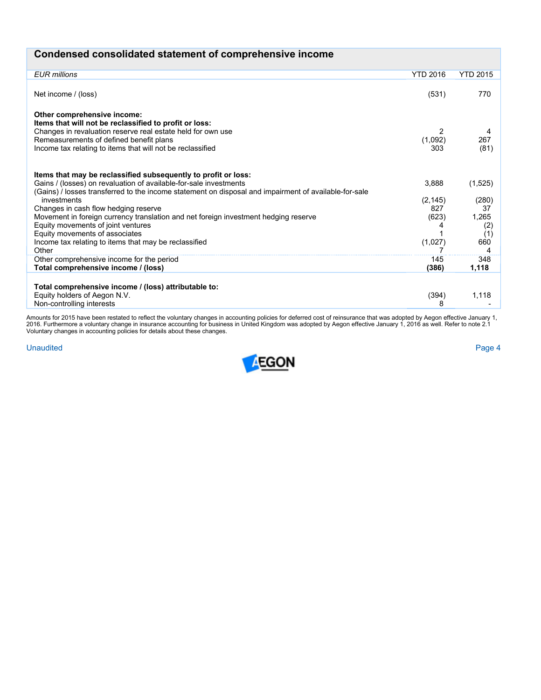| Condensed consolidated statement of comprehensive income                                                                                                                                                                                                      |                     |                            |
|---------------------------------------------------------------------------------------------------------------------------------------------------------------------------------------------------------------------------------------------------------------|---------------------|----------------------------|
| <b>EUR millions</b>                                                                                                                                                                                                                                           | <b>YTD 2016</b>     | <b>YTD 2015</b>            |
| Net income / (loss)                                                                                                                                                                                                                                           | (531)               | 770                        |
| Other comprehensive income:<br>Items that will not be reclassified to profit or loss:<br>Changes in revaluation reserve real estate held for own use<br>Remeasurements of defined benefit plans<br>Income tax relating to items that will not be reclassified | 2<br>(1,092)<br>303 | 267<br>(81)                |
| Items that may be reclassified subsequently to profit or loss:<br>Gains / (losses) on revaluation of available-for-sale investments<br>(Gains) / losses transferred to the income statement on disposal and impairment of available-for-sale                  | 3,888               | (1,525)                    |
| investments                                                                                                                                                                                                                                                   | (2, 145)            | (280)                      |
| Changes in cash flow hedging reserve<br>Movement in foreign currency translation and net foreign investment hedging reserve<br>Equity movements of joint ventures<br>Equity movements of associates                                                           | 827<br>(623)        | -37<br>1,265<br>(2)<br>(1) |
| Income tax relating to items that may be reclassified<br>Other                                                                                                                                                                                                | (1,027)             | 660<br>4                   |
| Other comprehensive income for the period<br>Total comprehensive income / (loss)                                                                                                                                                                              | 145<br>(386)        | 348<br>1,118               |
| Total comprehensive income / (loss) attributable to:<br>Equity holders of Aegon N.V.                                                                                                                                                                          | (394)               | 1,118                      |
| Non-controlling interests                                                                                                                                                                                                                                     | 8                   |                            |

Amounts for 2015 have been restated to reflect the voluntary changes in accounting policies for deferred cost of reinsurance that was adopted by Aegon effective January 1,<br>2016. Furthermore a voluntary change in insurance

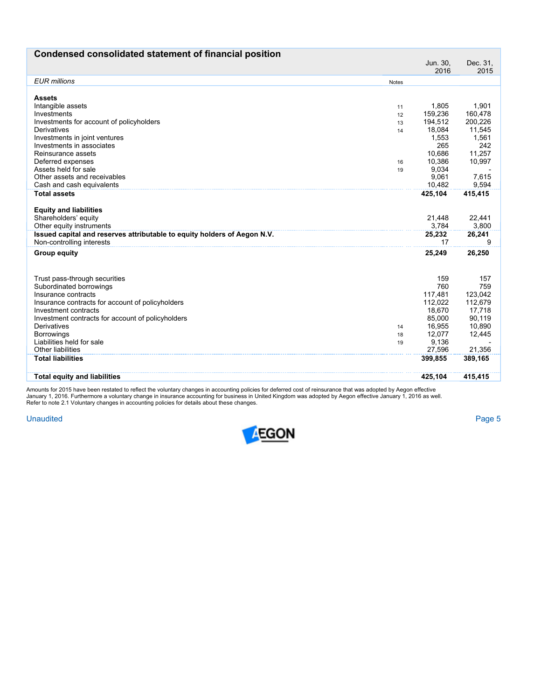| Condensed consolidated statement of financial position                   |              |                  |                  |
|--------------------------------------------------------------------------|--------------|------------------|------------------|
|                                                                          |              | Jun. 30,<br>2016 | Dec. 31,<br>2015 |
| <b>EUR</b> millions                                                      | <b>Notes</b> |                  |                  |
|                                                                          |              |                  |                  |
| <b>Assets</b>                                                            |              |                  |                  |
| Intangible assets<br>Investments                                         | 11           | 1,805<br>159.236 | 1,901<br>160.478 |
| Investments for account of policyholders                                 | 12<br>13     | 194,512          | 200,226          |
| Derivatives                                                              | 14           | 18,084           | 11,545           |
| Investments in joint ventures                                            |              | 1,553            | 1,561            |
| Investments in associates                                                |              | 265              | 242              |
| Reinsurance assets                                                       |              | 10,686           | 11,257           |
| Deferred expenses                                                        | 16           | 10,386           | 10,997           |
| Assets held for sale                                                     | 19           | 9,034            |                  |
| Other assets and receivables                                             |              | 9,061            | 7,615            |
| Cash and cash equivalents                                                |              | 10.482           | 9.594            |
| <b>Total assets</b>                                                      |              | 425,104          | 415,415          |
|                                                                          |              |                  |                  |
| <b>Equity and liabilities</b><br>Shareholders' equity                    |              | 21,448           | 22,441           |
| Other equity instruments                                                 |              | 3,784            | 3,800            |
| Issued capital and reserves attributable to equity holders of Aegon N.V. |              | 25,232           | 26,241           |
| Non-controlling interests                                                |              | 17               | 9                |
| <b>Group equity</b>                                                      |              | 25,249           | 26,250           |
|                                                                          |              |                  |                  |
| Trust pass-through securities                                            |              | 159              | 157              |
| Subordinated borrowings                                                  |              | 760              | 759              |
| Insurance contracts                                                      |              | 117.481          | 123.042          |
| Insurance contracts for account of policyholders                         |              | 112,022          | 112,679          |
| Investment contracts                                                     |              | 18,670           | 17,718           |
| Investment contracts for account of policyholders                        |              | 85.000           | 90.119           |
| Derivatives                                                              | 14           | 16,955           | 10,890           |
| <b>Borrowings</b>                                                        | 18           | 12,077           | 12,445           |
| Liabilities held for sale                                                | 19           | 9,136            |                  |
| Other liabilities                                                        |              | 27,596           | 21,356           |
| <b>Total liabilities</b>                                                 |              | 399,855          | 389,165          |
| <b>Total equity and liabilities</b>                                      |              | 425,104          | 415,415          |
|                                                                          |              |                  |                  |

Amounts for 2015 have been restated to reflect the voluntary changes in accounting policies for deferred cost of reinsurance that was adopted by Aegon effective<br>January 1, 2016. Furthermore a voluntary change in insurance

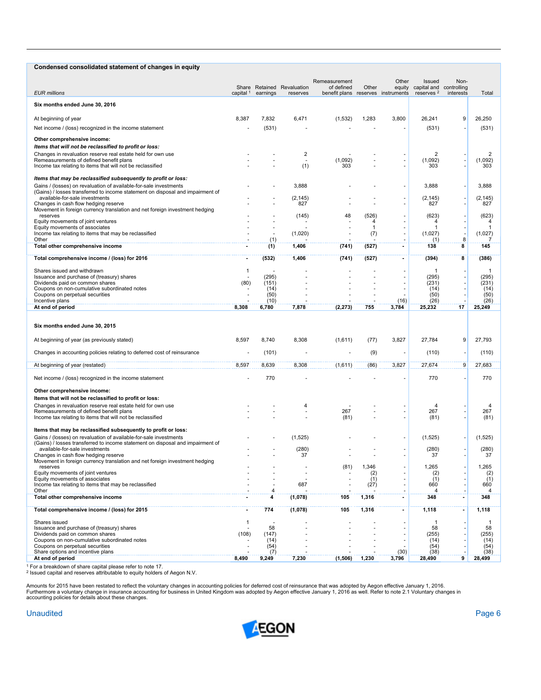| Condensed consolidated statement of changes in equity                                                                                               |                      |                     |                                        |                                                  |            |                                |                                                         |           |                |
|-----------------------------------------------------------------------------------------------------------------------------------------------------|----------------------|---------------------|----------------------------------------|--------------------------------------------------|------------|--------------------------------|---------------------------------------------------------|-----------|----------------|
|                                                                                                                                                     |                      |                     |                                        | Remeasurement                                    |            | Other                          | Issued                                                  | Non-      |                |
| <b>EUR millions</b>                                                                                                                                 | capital <sup>1</sup> | earnings            | Share Retained Revaluation<br>reserves | of defined<br>benefit plans reserves instruments | Other      |                                | equity capital and controlling<br>reserves <sup>2</sup> | interests | Total          |
| Six months ended June 30, 2016                                                                                                                      |                      |                     |                                        |                                                  |            |                                |                                                         |           |                |
| At beginning of year                                                                                                                                | 8,387                | 7,832               | 6,471                                  | (1, 532)                                         | 1,283      | 3,800                          | 26,241                                                  | 9         | 26,250         |
| Net income / (loss) recognized in the income statement                                                                                              |                      | (531)               |                                        |                                                  |            |                                | (531)                                                   |           | (531)          |
| Other comprehensive income:                                                                                                                         |                      |                     |                                        |                                                  |            |                                |                                                         |           |                |
| Items that will not be reclassified to profit or loss:                                                                                              |                      |                     |                                        |                                                  |            |                                |                                                         |           |                |
| Changes in revaluation reserve real estate held for own use<br>Remeasurements of defined benefit plans                                              |                      |                     | $\overline{2}$                         | (1,092)                                          |            |                                | $\overline{2}$<br>(1,092)                               |           | 2<br>(1,092)   |
| Income tax relating to items that will not be reclassified                                                                                          |                      |                     | (1)                                    | 303                                              |            |                                | 303                                                     |           | 303            |
| Items that may be reclassified subsequently to profit or loss:                                                                                      |                      |                     |                                        |                                                  |            |                                |                                                         |           |                |
| Gains / (losses) on revaluation of available-for-sale investments<br>(Gains) / losses transferred to income statement on disposal and impairment of |                      |                     | 3,888                                  |                                                  |            |                                | 3,888                                                   |           | 3,888          |
| available-for-sale investments                                                                                                                      |                      |                     | (2, 145)                               |                                                  |            |                                | (2, 145)                                                |           | (2, 145)       |
| Changes in cash flow hedging reserve<br>Movement in foreign currency translation and net foreign investment hedging                                 |                      |                     | 827                                    |                                                  |            | ÷,                             | 827                                                     |           | 827            |
| reserves<br>Equity movements of joint ventures                                                                                                      |                      |                     | (145)                                  | 48                                               | (526)<br>4 |                                | (623)<br>4                                              |           | (623)<br>4     |
| Equity movements of associates                                                                                                                      |                      |                     |                                        |                                                  | -1         |                                |                                                         |           | -1             |
| Income tax relating to items that may be reclassified<br>Other                                                                                      |                      | (1)                 | (1,020)                                |                                                  | (7)        | ÷,<br>$\overline{\phantom{a}}$ | (1,027)<br>(1)                                          | 8         | (1,027)        |
| Total other comprehensive income                                                                                                                    | $\blacksquare$       | (1)                 | 1,406                                  | (741)                                            | (527)      | $\blacksquare$                 | 138                                                     | 8         | 145            |
| Total comprehensive income / (loss) for 2016                                                                                                        | $\blacksquare$       | (532)               | 1,406                                  | (741)                                            | (527)      | $\blacksquare$                 | (394)                                                   | 8         | (386)          |
| Shares issued and withdrawn                                                                                                                         | 1                    |                     |                                        |                                                  |            |                                | -1                                                      |           | -1             |
| Issuance and purchase of (treasury) shares<br>Dividends paid on common shares                                                                       | (80)                 | (295)<br>(151)      |                                        |                                                  |            |                                | (295)<br>(231)                                          |           | (295)<br>(231) |
| Coupons on non-cumulative subordinated notes<br>Coupons on perpetual securities                                                                     |                      | (14)<br>(50)        |                                        |                                                  |            |                                | (14)<br>(50)                                            |           | (14)<br>(50)   |
| Incentive plans                                                                                                                                     |                      | (10)                |                                        |                                                  |            | (16)                           | (26)                                                    |           | (26)           |
| At end of period                                                                                                                                    | 8,308                | 6,780               | 7,878                                  | (2, 273)                                         | 755        | 3,784                          | 25,232                                                  | 17        | 25,249         |
| Six months ended June 30, 2015                                                                                                                      |                      |                     |                                        |                                                  |            |                                |                                                         |           |                |
| At beginning of year (as previously stated)                                                                                                         | 8,597                | 8,740               | 8,308                                  | (1,611)                                          | (77)       | 3,827                          | 27,784                                                  | 9         | 27,793         |
| Changes in accounting policies relating to deferred cost of reinsurance                                                                             |                      | (101)               |                                        | ä,                                               | (9)        |                                | (110)                                                   |           | (110)          |
| At beginning of year (restated)                                                                                                                     | 8,597                | 8,639               | 8,308                                  | (1,611)                                          | (86)       | 3,827                          | 27,674                                                  | 9         | 27,683         |
| Net income / (loss) recognized in the income statement                                                                                              |                      | 770                 |                                        |                                                  |            |                                | 770                                                     |           | 770            |
|                                                                                                                                                     |                      |                     |                                        |                                                  |            |                                |                                                         |           |                |
| Other comprehensive income:<br>Items that will not be reclassified to profit or loss:                                                               |                      |                     |                                        |                                                  |            |                                |                                                         |           |                |
| Changes in revaluation reserve real estate held for own use                                                                                         |                      |                     | 4                                      |                                                  |            |                                | 4                                                       |           |                |
| Remeasurements of defined benefit plans<br>Income tax relating to items that will not be reclassified                                               |                      |                     |                                        | 267<br>(81)                                      |            |                                | 267<br>(81)                                             |           | 267<br>(81)    |
|                                                                                                                                                     |                      |                     |                                        |                                                  |            |                                |                                                         |           |                |
| Items that may be reclassified subsequently to profit or loss:<br>Gains / (losses) on revaluation of available-for-sale investments                 |                      |                     | (1, 525)                               |                                                  |            |                                | (1,525)                                                 |           | (1,525)        |
| (Gains) / losses transferred to income statement on disposal and impairment of<br>available-for-sale investments                                    |                      |                     | (280)                                  |                                                  |            | ٠                              | (280)                                                   |           | (280)          |
| Changes in cash flow hedging reserve                                                                                                                |                      |                     | 37                                     |                                                  |            |                                | 37                                                      |           | 37             |
| Movement in foreign currency translation and net foreign investment hedging<br>reserves                                                             |                      |                     |                                        | (81)                                             | 1,346      |                                | 1,265                                                   |           | 1,265          |
| Equity movements of joint ventures<br>Equity movements of associates                                                                                |                      |                     |                                        |                                                  | (2)<br>(1) |                                | (2)<br>(1)                                              |           | (2)<br>(1)     |
| Income tax relating to items that may be reclassified                                                                                               |                      |                     | 687                                    |                                                  | (27)       |                                | 660                                                     |           | 660            |
| Other<br>Total other comprehensive income                                                                                                           |                      | $\overline{4}$<br>4 | (1,078)                                | 105                                              | 1,316      | $\overline{\phantom{0}}$       | 4<br>348                                                |           | 348            |
| Total comprehensive income / (loss) for 2015                                                                                                        | $\blacksquare$       | 774                 | (1,078)                                | 105                                              | 1,316      | $\blacksquare$                 | 1,118                                                   |           | 1,118          |
| Shares issued                                                                                                                                       | $\mathbf{1}$         |                     |                                        |                                                  |            |                                |                                                         |           |                |
| Issuance and purchase of (treasury) shares                                                                                                          |                      | 58                  |                                        |                                                  |            |                                | 58                                                      |           | 58             |
| Dividends paid on common shares<br>Coupons on non-cumulative subordinated notes                                                                     | (108)                | (147)<br>(14)       |                                        |                                                  |            |                                | (255)<br>(14)                                           |           | (255)<br>(14)  |
| Coupons on perpetual securities<br>Share options and incentive plans                                                                                |                      | (54)<br>(7)         |                                        |                                                  |            | (30)                           | (54)<br>(38)                                            |           | (54)<br>(38)   |
| At end of period                                                                                                                                    | 8,490                | 9,249               | 7,230                                  | (1,506)                                          | 1,230      | 3,796                          | 28,490                                                  | 9         | 28,499         |

1 For a breakdown of share capital please refer to note 17. 2 Issued capital and reserves attributable to equity holders of Aegon N.V.

Amounts for 2015 have been restated to reflect the voluntary changes in accounting policies for deferred cost of reinsurance that was adopted by Aegon effective January 1, 2016.<br>Furthermore a voluntary change in insurance

#### Unaudited Page 6

 $\overline{a}$ 

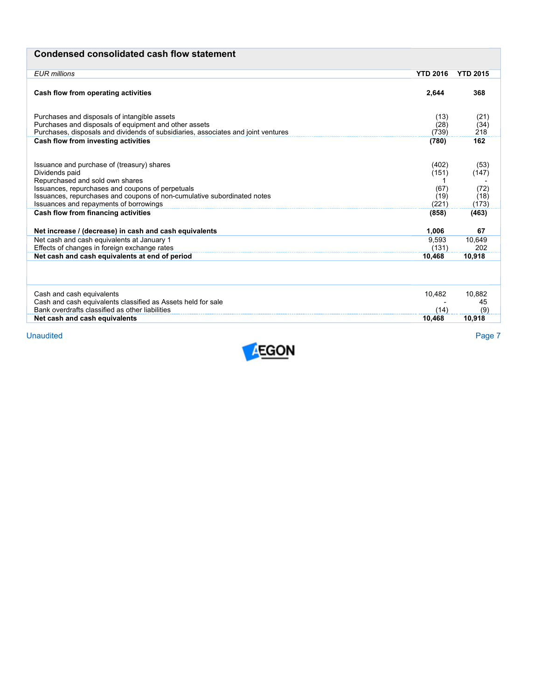# **Condensed consolidated cash flow statement**

| <b>EUR</b> millions<br><b>YTD 2016</b>                                                     | <b>YTD 2015</b> |
|--------------------------------------------------------------------------------------------|-----------------|
|                                                                                            |                 |
| Cash flow from operating activities<br>2.644                                               | 368             |
|                                                                                            |                 |
| Purchases and disposals of intangible assets<br>(13)                                       | (21)            |
| Purchases and disposals of equipment and other assets<br>(28)                              | (34)            |
| Purchases, disposals and dividends of subsidiaries, associates and joint ventures<br>(739) | 218             |
| Cash flow from investing activities<br>(780)                                               | 162             |
|                                                                                            |                 |
|                                                                                            |                 |
| Issuance and purchase of (treasury) shares<br>(402)                                        | (53)            |
| Dividends paid<br>(151)                                                                    | (147)           |
| Repurchased and sold own shares                                                            |                 |
| Issuances, repurchases and coupons of perpetuals<br>(67)                                   | (72)            |
| Issuances, repurchases and coupons of non-cumulative subordinated notes<br>(19)            | (18)            |
| Issuances and repayments of borrowings<br>(221)                                            | (173)           |
| Cash flow from financing activities<br>(858)                                               | (463)           |
|                                                                                            |                 |
| 1,006<br>Net increase / (decrease) in cash and cash equivalents                            | 67              |
| Net cash and cash equivalents at January 1<br>9.593                                        | 10,649          |
| Effects of changes in foreign exchange rates<br>(131)                                      | 202             |
| Net cash and cash equivalents at end of period<br>10.468                                   | 10.918          |
|                                                                                            |                 |
|                                                                                            |                 |
|                                                                                            |                 |
| Cash and cash equivalents<br>10.482                                                        | 10.882          |
| Cash and cash equivalents classified as Assets held for sale                               | 45              |
| Bank overdrafts classified as other liabilities<br>(14)                                    | (9)             |
| Net cash and cash equivalents<br>10.468                                                    | 10,918          |

Unaudited Unaudited Page 7

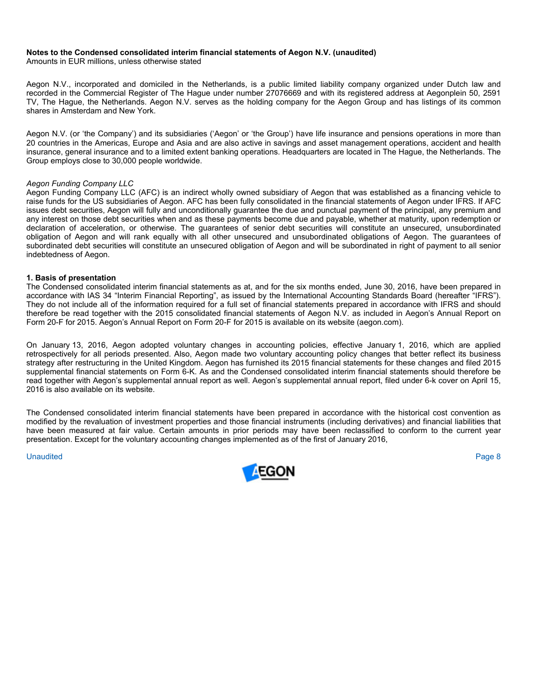#### **Notes to the Condensed consolidated interim financial statements of Aegon N.V. (unaudited)**

Amounts in EUR millions, unless otherwise stated

Aegon N.V., incorporated and domiciled in the Netherlands, is a public limited liability company organized under Dutch law and recorded in the Commercial Register of The Hague under number 27076669 and with its registered address at Aegonplein 50, 2591 TV, The Hague, the Netherlands. Aegon N.V. serves as the holding company for the Aegon Group and has listings of its common shares in Amsterdam and New York.

Aegon N.V. (or 'the Company') and its subsidiaries ('Aegon' or 'the Group') have life insurance and pensions operations in more than 20 countries in the Americas, Europe and Asia and are also active in savings and asset management operations, accident and health insurance, general insurance and to a limited extent banking operations. Headquarters are located in The Hague, the Netherlands. The Group employs close to 30,000 people worldwide.

#### *Aegon Funding Company LLC*

Aegon Funding Company LLC (AFC) is an indirect wholly owned subsidiary of Aegon that was established as a financing vehicle to raise funds for the US subsidiaries of Aegon. AFC has been fully consolidated in the financial statements of Aegon under IFRS. If AFC issues debt securities, Aegon will fully and unconditionally guarantee the due and punctual payment of the principal, any premium and any interest on those debt securities when and as these payments become due and payable, whether at maturity, upon redemption or declaration of acceleration, or otherwise. The guarantees of senior debt securities will constitute an unsecured, unsubordinated obligation of Aegon and will rank equally with all other unsecured and unsubordinated obligations of Aegon. The guarantees of subordinated debt securities will constitute an unsecured obligation of Aegon and will be subordinated in right of payment to all senior indebtedness of Aegon.

#### **1. Basis of presentation**

The Condensed consolidated interim financial statements as at, and for the six months ended, June 30, 2016, have been prepared in accordance with IAS 34 "Interim Financial Reporting", as issued by the International Accounting Standards Board (hereafter "IFRS"). They do not include all of the information required for a full set of financial statements prepared in accordance with IFRS and should therefore be read together with the 2015 consolidated financial statements of Aegon N.V. as included in Aegon's Annual Report on Form 20-F for 2015. Aegon's Annual Report on Form 20-F for 2015 is available on its website (aegon.com).

On January 13, 2016, Aegon adopted voluntary changes in accounting policies, effective January 1, 2016, which are applied retrospectively for all periods presented. Also, Aegon made two voluntary accounting policy changes that better reflect its business strategy after restructuring in the United Kingdom. Aegon has furnished its 2015 financial statements for these changes and filed 2015 supplemental financial statements on Form 6-K. As and the Condensed consolidated interim financial statements should therefore be read together with Aegon's supplemental annual report as well. Aegon's supplemental annual report, filed under 6-k cover on April 15, 2016 is also available on its website.

The Condensed consolidated interim financial statements have been prepared in accordance with the historical cost convention as modified by the revaluation of investment properties and those financial instruments (including derivatives) and financial liabilities that have been measured at fair value. Certain amounts in prior periods may have been reclassified to conform to the current year presentation. Except for the voluntary accounting changes implemented as of the first of January 2016,

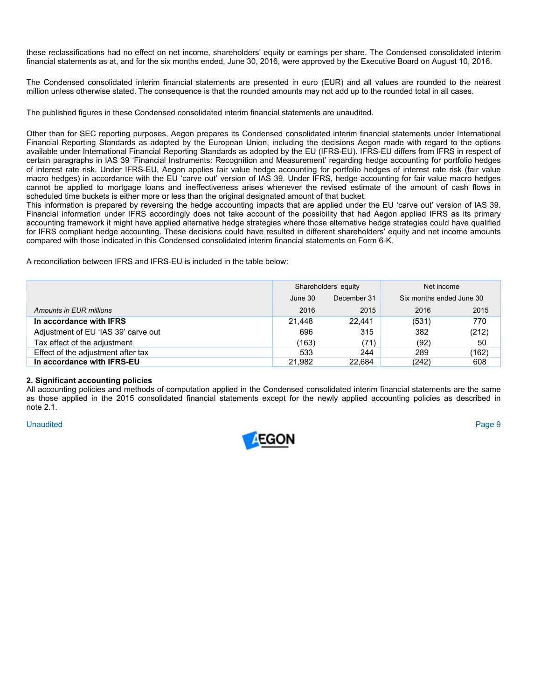these reclassifications had no effect on net income, shareholders' equity or earnings per share. The Condensed consolidated interim financial statements as at, and for the six months ended, June 30, 2016, were approved by the Executive Board on August 10, 2016.

The Condensed consolidated interim financial statements are presented in euro (EUR) and all values are rounded to the nearest million unless otherwise stated. The consequence is that the rounded amounts may not add up to the rounded total in all cases.

The published figures in these Condensed consolidated interim financial statements are unaudited.

Other than for SEC reporting purposes, Aegon prepares its Condensed consolidated interim financial statements under International Financial Reporting Standards as adopted by the European Union, including the decisions Aegon made with regard to the options available under International Financial Reporting Standards as adopted by the EU (IFRS-EU). IFRS-EU differs from IFRS in respect of certain paragraphs in IAS 39 'Financial Instruments: Recognition and Measurement' regarding hedge accounting for portfolio hedges of interest rate risk. Under IFRS-EU, Aegon applies fair value hedge accounting for portfolio hedges of interest rate risk (fair value macro hedges) in accordance with the EU 'carve out' version of IAS 39. Under IFRS, hedge accounting for fair value macro hedges cannot be applied to mortgage loans and ineffectiveness arises whenever the revised estimate of the amount of cash flows in scheduled time buckets is either more or less than the original designated amount of that bucket.

This information is prepared by reversing the hedge accounting impacts that are applied under the EU 'carve out' version of IAS 39. Financial information under IFRS accordingly does not take account of the possibility that had Aegon applied IFRS as its primary accounting framework it might have applied alternative hedge strategies where those alternative hedge strategies could have qualified for IFRS compliant hedge accounting. These decisions could have resulted in different shareholders' equity and net income amounts compared with those indicated in this Condensed consolidated interim financial statements on Form 6-K.

A reconciliation between IFRS and IFRS-EU is included in the table below:

|                                     |         | Shareholders' equity | Net income               |       |  |
|-------------------------------------|---------|----------------------|--------------------------|-------|--|
|                                     | June 30 | December 31          | Six months ended June 30 |       |  |
| Amounts in EUR millions             | 2016    | 2015                 | 2016                     | 2015  |  |
| In accordance with IFRS             | 21.448  | 22.441               | (531)                    | 770   |  |
| Adjustment of EU 'IAS 39' carve out | 696     | 315                  | 382                      | (212) |  |
| Tax effect of the adjustment        | (163)   | (71)                 | (92)                     | 50    |  |
| Effect of the adjustment after tax  | 533     | 244                  | 289                      | (162) |  |
| In accordance with IFRS-EU          | 21.982  | 22.684               | (242)                    | 608   |  |

#### **2. Significant accounting policies**

All accounting policies and methods of computation applied in the Condensed consolidated interim financial statements are the same as those applied in the 2015 consolidated financial statements except for the newly applied accounting policies as described in note 2.1.

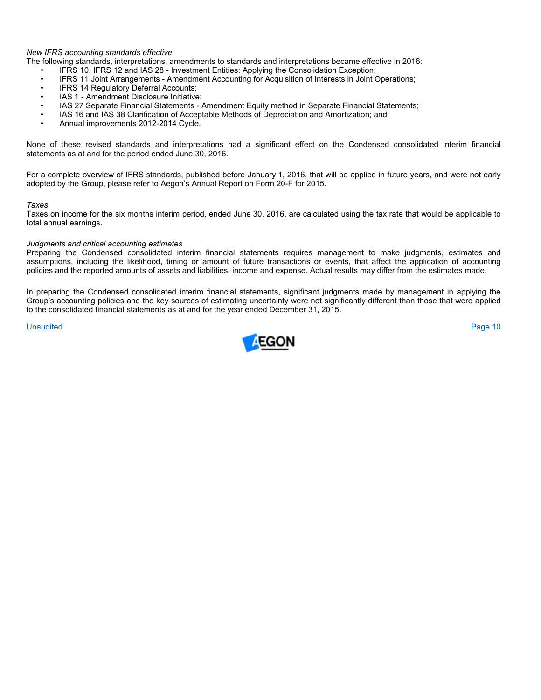#### *New IFRS accounting standards effective*

The following standards, interpretations, amendments to standards and interpretations became effective in 2016:

- IFRS 10, IFRS 12 and IAS 28 Investment Entities: Applying the Consolidation Exception;
- IFRS 11 Joint Arrangements Amendment Accounting for Acquisition of Interests in Joint Operations;
- IFRS 14 Regulatory Deferral Accounts;
- IAS 1 Amendment Disclosure Initiative;
- IAS 27 Separate Financial Statements Amendment Equity method in Separate Financial Statements;
- IAS 16 and IAS 38 Clarification of Acceptable Methods of Depreciation and Amortization; and
- Annual improvements 2012-2014 Cycle.

None of these revised standards and interpretations had a significant effect on the Condensed consolidated interim financial statements as at and for the period ended June 30, 2016.

For a complete overview of IFRS standards, published before January 1, 2016, that will be applied in future years, and were not early adopted by the Group, please refer to Aegon's Annual Report on Form 20-F for 2015.

#### *Taxes*

Taxes on income for the six months interim period, ended June 30, 2016, are calculated using the tax rate that would be applicable to total annual earnings.

#### *Judgments and critical accounting estimates*

Preparing the Condensed consolidated interim financial statements requires management to make judgments, estimates and assumptions, including the likelihood, timing or amount of future transactions or events, that affect the application of accounting policies and the reported amounts of assets and liabilities, income and expense. Actual results may differ from the estimates made.

In preparing the Condensed consolidated interim financial statements, significant judgments made by management in applying the Group's accounting policies and the key sources of estimating uncertainty were not significantly different than those that were applied to the consolidated financial statements as at and for the year ended December 31, 2015.

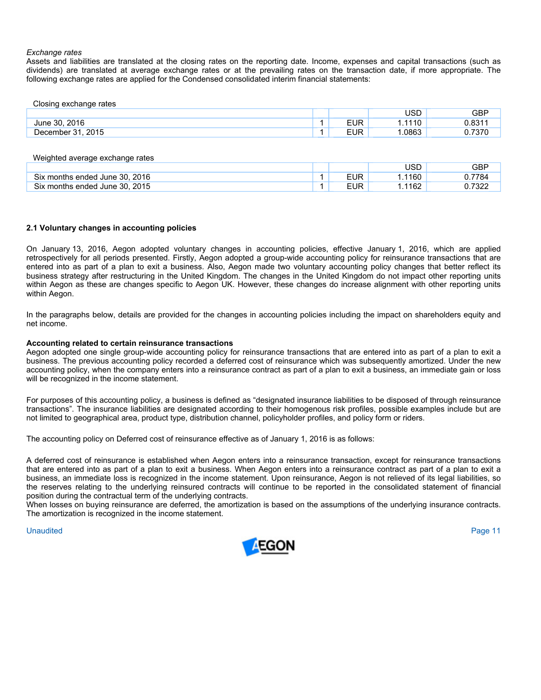#### *Exchange rates*

Assets and liabilities are translated at the closing rates on the reporting date. Income, expenses and capital transactions (such as dividends) are translated at average exchange rates or at the prevailing rates on the transaction date, if more appropriate. The following exchange rates are applied for the Condensed consolidated interim financial statements:

| Closing exchange rates |            |        |       |
|------------------------|------------|--------|-------|
|                        |            | USD    | GBP   |
| June 30, 2016          | <b>EUR</b> | 1.1110 | 0.831 |
| December 31, 2015      | <b>EUR</b> | .0863  |       |

| Weighted average exchange rates |            |        |            |
|---------------------------------|------------|--------|------------|
|                                 |            | JSD    | <b>GBP</b> |
| Six months ended June 30, 2016  | EUR        | 1.1160 | 0.7784     |
| Six months ended June 30, 2015  | <b>EUR</b> | 1.1162 | 0.7322     |

#### **2.1 Voluntary changes in accounting policies**

On January 13, 2016, Aegon adopted voluntary changes in accounting policies, effective January 1, 2016, which are applied retrospectively for all periods presented. Firstly, Aegon adopted a group-wide accounting policy for reinsurance transactions that are entered into as part of a plan to exit a business. Also, Aegon made two voluntary accounting policy changes that better reflect its business strategy after restructuring in the United Kingdom. The changes in the United Kingdom do not impact other reporting units within Aegon as these are changes specific to Aegon UK. However, these changes do increase alignment with other reporting units within Aegon.

In the paragraphs below, details are provided for the changes in accounting policies including the impact on shareholders equity and net income.

#### **Accounting related to certain reinsurance transactions**

Aegon adopted one single group-wide accounting policy for reinsurance transactions that are entered into as part of a plan to exit a business. The previous accounting policy recorded a deferred cost of reinsurance which was subsequently amortized. Under the new accounting policy, when the company enters into a reinsurance contract as part of a plan to exit a business, an immediate gain or loss will be recognized in the income statement.

For purposes of this accounting policy, a business is defined as "designated insurance liabilities to be disposed of through reinsurance transactions". The insurance liabilities are designated according to their homogenous risk profiles, possible examples include but are not limited to geographical area, product type, distribution channel, policyholder profiles, and policy form or riders.

The accounting policy on Deferred cost of reinsurance effective as of January 1, 2016 is as follows:

A deferred cost of reinsurance is established when Aegon enters into a reinsurance transaction, except for reinsurance transactions that are entered into as part of a plan to exit a business. When Aegon enters into a reinsurance contract as part of a plan to exit a business, an immediate loss is recognized in the income statement. Upon reinsurance, Aegon is not relieved of its legal liabilities, so the reserves relating to the underlying reinsured contracts will continue to be reported in the consolidated statement of financial position during the contractual term of the underlying contracts.

When losses on buying reinsurance are deferred, the amortization is based on the assumptions of the underlying insurance contracts. The amortization is recognized in the income statement.

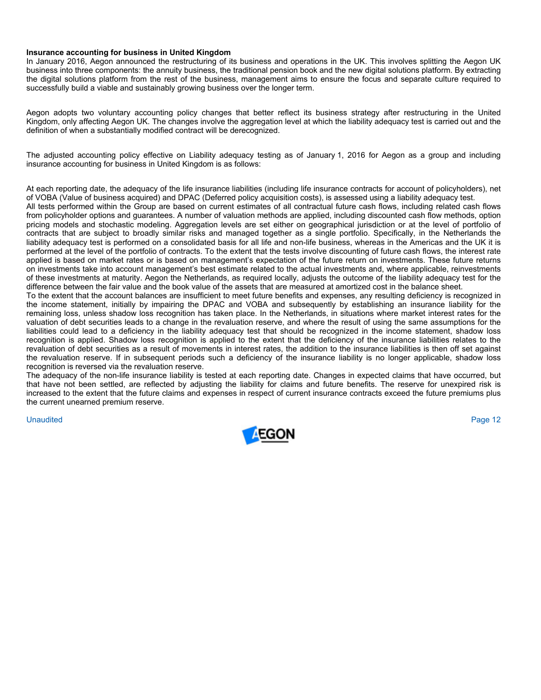#### **Insurance accounting for business in United Kingdom**

In January 2016, Aegon announced the restructuring of its business and operations in the UK. This involves splitting the Aegon UK business into three components: the annuity business, the traditional pension book and the new digital solutions platform. By extracting the digital solutions platform from the rest of the business, management aims to ensure the focus and separate culture required to successfully build a viable and sustainably growing business over the longer term.

Aegon adopts two voluntary accounting policy changes that better reflect its business strategy after restructuring in the United Kingdom, only affecting Aegon UK. The changes involve the aggregation level at which the liability adequacy test is carried out and the definition of when a substantially modified contract will be derecognized.

The adjusted accounting policy effective on Liability adequacy testing as of January 1, 2016 for Aegon as a group and including insurance accounting for business in United Kingdom is as follows:

At each reporting date, the adequacy of the life insurance liabilities (including life insurance contracts for account of policyholders), net of VOBA (Value of business acquired) and DPAC (Deferred policy acquisition costs), is assessed using a liability adequacy test.

All tests performed within the Group are based on current estimates of all contractual future cash flows, including related cash flows from policyholder options and guarantees. A number of valuation methods are applied, including discounted cash flow methods, option pricing models and stochastic modeling. Aggregation levels are set either on geographical jurisdiction or at the level of portfolio of contracts that are subject to broadly similar risks and managed together as a single portfolio. Specifically, in the Netherlands the liability adequacy test is performed on a consolidated basis for all life and non-life business, whereas in the Americas and the UK it is performed at the level of the portfolio of contracts. To the extent that the tests involve discounting of future cash flows, the interest rate applied is based on market rates or is based on management's expectation of the future return on investments. These future returns on investments take into account management's best estimate related to the actual investments and, where applicable, reinvestments of these investments at maturity. Aegon the Netherlands, as required locally, adjusts the outcome of the liability adequacy test for the difference between the fair value and the book value of the assets that are measured at amortized cost in the balance sheet.

To the extent that the account balances are insufficient to meet future benefits and expenses, any resulting deficiency is recognized in the income statement, initially by impairing the DPAC and VOBA and subsequently by establishing an insurance liability for the remaining loss, unless shadow loss recognition has taken place. In the Netherlands, in situations where market interest rates for the valuation of debt securities leads to a change in the revaluation reserve, and where the result of using the same assumptions for the liabilities could lead to a deficiency in the liability adequacy test that should be recognized in the income statement, shadow loss recognition is applied. Shadow loss recognition is applied to the extent that the deficiency of the insurance liabilities relates to the revaluation of debt securities as a result of movements in interest rates, the addition to the insurance liabilities is then off set against the revaluation reserve. If in subsequent periods such a deficiency of the insurance liability is no longer applicable, shadow loss recognition is reversed via the revaluation reserve.

The adequacy of the non-life insurance liability is tested at each reporting date. Changes in expected claims that have occurred, but that have not been settled, are reflected by adjusting the liability for claims and future benefits. The reserve for unexpired risk is increased to the extent that the future claims and expenses in respect of current insurance contracts exceed the future premiums plus the current unearned premium reserve.

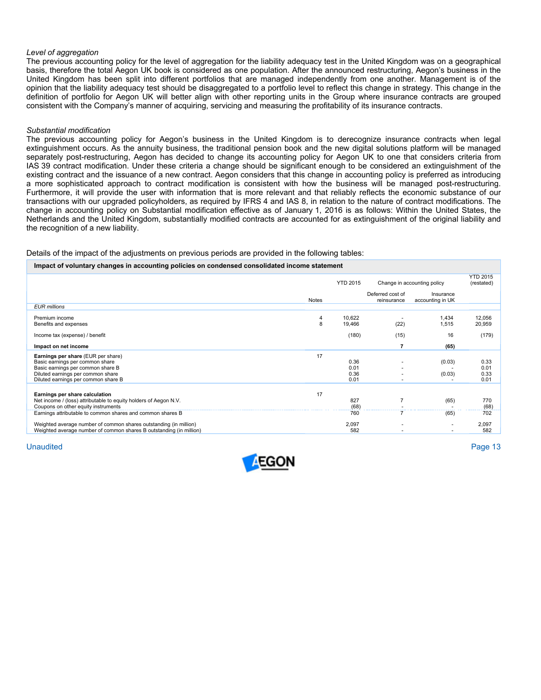#### *Level of aggregation*

The previous accounting policy for the level of aggregation for the liability adequacy test in the United Kingdom was on a geographical basis, therefore the total Aegon UK book is considered as one population. After the announced restructuring, Aegon's business in the United Kingdom has been split into different portfolios that are managed independently from one another. Management is of the opinion that the liability adequacy test should be disaggregated to a portfolio level to reflect this change in strategy. This change in the definition of portfolio for Aegon UK will better align with other reporting units in the Group where insurance contracts are grouped consistent with the Company's manner of acquiring, servicing and measuring the profitability of its insurance contracts.

#### *Substantial modification*

The previous accounting policy for Aegon's business in the United Kingdom is to derecognize insurance contracts when legal extinguishment occurs. As the annuity business, the traditional pension book and the new digital solutions platform will be managed separately post-restructuring, Aegon has decided to change its accounting policy for Aegon UK to one that considers criteria from IAS 39 contract modification. Under these criteria a change should be significant enough to be considered an extinguishment of the existing contract and the issuance of a new contract. Aegon considers that this change in accounting policy is preferred as introducing a more sophisticated approach to contract modification is consistent with how the business will be managed post-restructuring. Furthermore, it will provide the user with information that is more relevant and that reliably reflects the economic substance of our transactions with our upgraded policyholders, as required by IFRS 4 and IAS 8, in relation to the nature of contract modifications. The change in accounting policy on Substantial modification effective as of January 1, 2016 is as follows: Within the United States, the Netherlands and the United Kingdom, substantially modified contracts are accounted for as extinguishment of the original liability and the recognition of a new liability.

#### Details of the impact of the adjustments on previous periods are provided in the following tables:

#### **Impact of voluntary changes in accounting policies on condensed consolidated income statement**

|                                                                                                                                          |              | <b>YTD 2015</b>  | Change in accounting policy     |                               | <b>YTD 2015</b><br>(restated) |
|------------------------------------------------------------------------------------------------------------------------------------------|--------------|------------------|---------------------------------|-------------------------------|-------------------------------|
|                                                                                                                                          | <b>Notes</b> |                  | Deferred cost of<br>reinsurance | Insurance<br>accounting in UK |                               |
| <b>EUR</b> millions                                                                                                                      |              |                  |                                 |                               |                               |
| Premium income<br>Benefits and expenses                                                                                                  | 4<br>8       | 10,622<br>19,466 | (22)                            | 1,434<br>1,515                | 12,056<br>20,959              |
| Income tax (expense) / benefit                                                                                                           |              | (180)            | (15)                            | 16                            | (179)                         |
| Impact on net income                                                                                                                     |              |                  |                                 | (65)                          |                               |
| Earnings per share (EUR per share)                                                                                                       | 17           |                  |                                 |                               |                               |
| Basic earnings per common share                                                                                                          |              | 0.36             |                                 | (0.03)                        | 0.33                          |
| Basic earnings per common share B                                                                                                        |              | 0.01             |                                 |                               | 0.01                          |
| Diluted earnings per common share                                                                                                        |              | 0.36             |                                 | (0.03)                        | 0.33                          |
| Diluted earnings per common share B                                                                                                      |              | 0.01             |                                 |                               | 0.01                          |
| Earnings per share calculation                                                                                                           | 17           |                  |                                 |                               |                               |
| Net income / (loss) attributable to equity holders of Aegon N.V.                                                                         |              | 827              | $\overline{7}$                  | (65)                          | 770                           |
| Coupons on other equity instruments                                                                                                      |              | (68)             |                                 |                               | (68)                          |
| Earnings attributable to common shares and common shares B                                                                               |              | 760              |                                 | (65)                          | 702                           |
| Weighted average number of common shares outstanding (in million)<br>Weighted average number of common shares B outstanding (in million) |              | 2,097<br>582     |                                 |                               | 2,097<br>582                  |

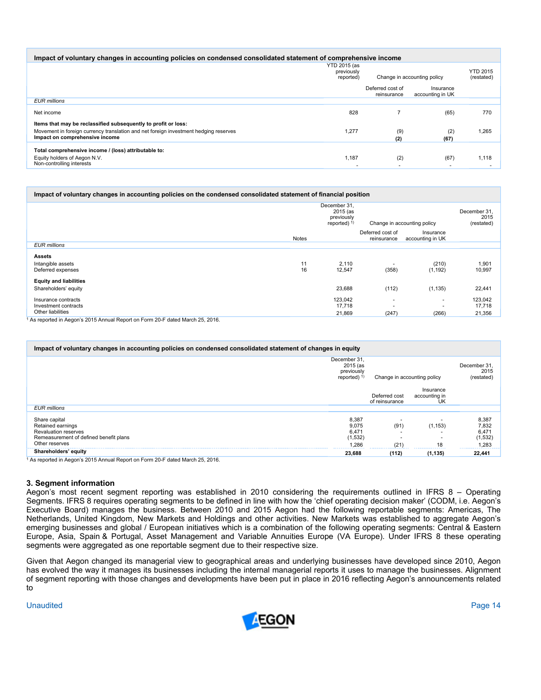| Impact of voluntary changes in accounting policies on condensed consolidated statement of comprehensive income                                                                           |                                         |                                 |                                  |                                   |  |  |
|------------------------------------------------------------------------------------------------------------------------------------------------------------------------------------------|-----------------------------------------|---------------------------------|----------------------------------|-----------------------------------|--|--|
|                                                                                                                                                                                          | YTD 2015 (as<br>previously<br>reported) | Change in accounting policy     | <b>YTD 2015</b><br>(restated)    |                                   |  |  |
|                                                                                                                                                                                          |                                         | Deferred cost of<br>reinsurance | Insurance<br>accounting in UK    |                                   |  |  |
| <b>EUR</b> millions                                                                                                                                                                      |                                         |                                 |                                  |                                   |  |  |
| Net income                                                                                                                                                                               | 828                                     |                                 | (65)                             | 770                               |  |  |
| Items that may be reclassified subsequently to profit or loss:<br>Movement in foreign currency translation and net foreign investment hedging reserves<br>Impact on comprehensive income | 1,277                                   | (9)<br>(2)                      | (2)<br>(67)                      | 1,265                             |  |  |
| Total comprehensive income / (loss) attributable to:<br>Equity holders of Aegon N.V.<br>Non-controlling interests                                                                        | 1.187                                   | (2)                             | (67)<br>$\overline{\phantom{a}}$ | 1,118<br>$\overline{\phantom{a}}$ |  |  |

| Impact of voluntary changes in accounting policies on the condensed consolidated statement of financial position |              |                                                                                        |                                 |                               |                                   |  |  |
|------------------------------------------------------------------------------------------------------------------|--------------|----------------------------------------------------------------------------------------|---------------------------------|-------------------------------|-----------------------------------|--|--|
|                                                                                                                  |              | December 31.<br>2015 (as<br>previously<br>Change in accounting policy<br>reported) $1$ |                                 |                               | December 31<br>2015<br>(restated) |  |  |
|                                                                                                                  | <b>Notes</b> |                                                                                        | Deferred cost of<br>reinsurance | Insurance<br>accounting in UK |                                   |  |  |
| <b>EUR millions</b>                                                                                              |              |                                                                                        |                                 |                               |                                   |  |  |
| <b>Assets</b><br>Intangible assets<br>Deferred expenses                                                          | 11<br>16     | 2,110<br>12,547                                                                        | (358)                           | (210)<br>(1, 192)             | 1,901<br>10,997                   |  |  |
| <b>Equity and liabilities</b><br>Shareholders' equity                                                            |              | 23,688                                                                                 | (112)                           | (1, 135)                      | 22,441                            |  |  |
| Insurance contracts<br>Investment contracts<br>Other liabilities                                                 |              | 123,042<br>17,718<br>21,869                                                            | ۰<br>(247)                      | (266)                         | 123,042<br>17,718<br>21,356       |  |  |
| As reported in Aggenic 2015 Annual Benett on Ferm 20 E dated March 25, 2016                                      |              |                                                                                        |                                 |                               |                                   |  |  |

1 As reported in Aegon's 2015 Annual Report on Form 20-F dated March 25, 2016.

| Impact of voluntary changes in accounting policies on condensed consolidated statement of changes in equity                   |                                                         |                                 |                                  |                                             |
|-------------------------------------------------------------------------------------------------------------------------------|---------------------------------------------------------|---------------------------------|----------------------------------|---------------------------------------------|
|                                                                                                                               | December 31.<br>2015 (as<br>previously<br>reported) $1$ | Change in accounting policy     |                                  | December 31<br>2015<br>(restated)           |
|                                                                                                                               |                                                         | Deferred cost<br>of reinsurance | Insurance<br>accounting in<br>UK |                                             |
| <b>EUR</b> millions                                                                                                           |                                                         |                                 |                                  |                                             |
| Share capital<br>Retained earnings<br><b>Revaluation reserves</b><br>Remeasurement of defined benefit plans<br>Other reserves | 8,387<br>9,075<br>6,471<br>(1, 532)<br>1.286            | (91)<br>(21)                    | (1, 153)<br>18                   | 8,387<br>7,832<br>6,471<br>(1,532)<br>1,283 |
| Shareholders' equity                                                                                                          | 23,688                                                  | (112)                           | (1, 135)                         | 22,441                                      |
| <sup>1</sup> As reported in Aegon's 2015 Annual Report on Form 20-F dated March 25, 2016.                                     |                                                         |                                 |                                  |                                             |

**3. Segment information** 

Aegon's most recent segment reporting was established in 2010 considering the requirements outlined in IFRS 8 – Operating Segments. IFRS 8 requires operating segments to be defined in line with how the 'chief operating decision maker' (CODM, i.e. Aegon's Executive Board) manages the business. Between 2010 and 2015 Aegon had the following reportable segments: Americas, The Netherlands, United Kingdom, New Markets and Holdings and other activities. New Markets was established to aggregate Aegon's emerging businesses and global / European initiatives which is a combination of the following operating segments: Central & Eastern Europe, Asia, Spain & Portugal, Asset Management and Variable Annuities Europe (VA Europe). Under IFRS 8 these operating segments were aggregated as one reportable segment due to their respective size.

Given that Aegon changed its managerial view to geographical areas and underlying businesses have developed since 2010, Aegon has evolved the way it manages its businesses including the internal managerial reports it uses to manage the businesses. Alignment of segment reporting with those changes and developments have been put in place in 2016 reflecting Aegon's announcements related to

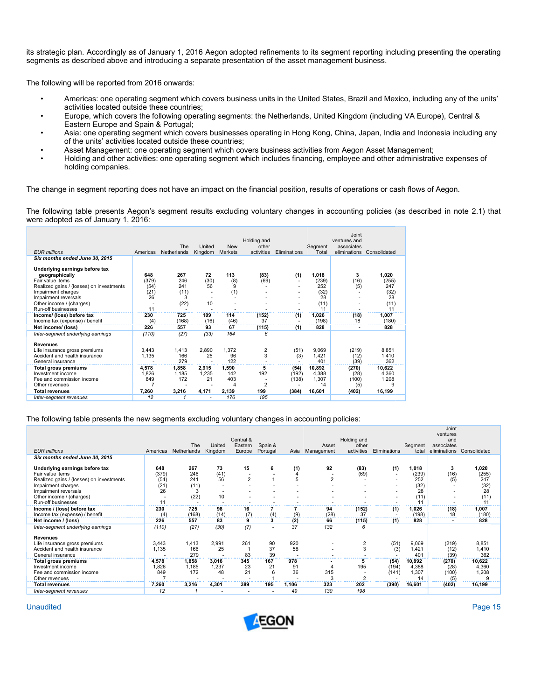its strategic plan. Accordingly as of January 1, 2016 Aegon adopted refinements to its segment reporting including presenting the operating segments as described above and introducing a separate presentation of the asset management business.

The following will be reported from 2016 onwards:

- Americas: one operating segment which covers business units in the United States, Brazil and Mexico, including any of the units' activities located outside these countries;
- Europe, which covers the following operating segments: the Netherlands, United Kingdom (including VA Europe), Central & Eastern Europe and Spain & Portugal;
- Asia: one operating segment which covers businesses operating in Hong Kong, China, Japan, India and Indonesia including any of the units' activities located outside these countries;
- Asset Management: one operating segment which covers business activities from Aegon Asset Management;
- Holding and other activities: one operating segment which includes financing, employee and other administrative expenses of holding companies.

The change in segment reporting does not have an impact on the financial position, results of operations or cash flows of Aegon.

The following table presents Aegon's segment results excluding voluntary changes in accounting policies (as described in note 2.1) that were adopted as of January 1, 2016:

| <b>EUR</b> millions                                                                                                                                            | Americas                           | The<br>Netherlands             | United<br>Kingdom    | <b>New</b><br>Markets                 | Holding and<br>other<br>activities | Eliminations           | Segment<br>Total                    | Joint<br>ventures and<br>associates<br>eliminations | Consolidated                        |
|----------------------------------------------------------------------------------------------------------------------------------------------------------------|------------------------------------|--------------------------------|----------------------|---------------------------------------|------------------------------------|------------------------|-------------------------------------|-----------------------------------------------------|-------------------------------------|
| Six months ended June 30, 2015                                                                                                                                 |                                    |                                |                      |                                       |                                    |                        |                                     |                                                     |                                     |
| Underlying earnings before tax<br>geographically<br>Fair value items<br>Realized gains / (losses) on investments<br>Impairment charges<br>Impairment reversals | 648<br>(379)<br>(54)<br>(21)<br>26 | 267<br>246<br>241<br>(11)<br>3 | 72<br>(30)<br>56     | 113<br>(8)<br>9<br>(1)                | (83)<br>(69)                       | (1)<br>٠<br>٠<br>٠     | 1.018<br>(239)<br>252<br>(32)<br>28 | 3<br>(16)<br>(5)                                    | 1,020<br>(255)<br>247<br>(32)<br>28 |
| Other income / (charges)<br>Run-off businesses                                                                                                                 | 11                                 | (22)                           | 10                   |                                       |                                    | ä,                     | (11)<br>11                          |                                                     | (11)<br>11                          |
| Income/ (loss) before tax<br>Income tax (expense) / benefit                                                                                                    | 230<br>(4)                         | 725<br>(168)                   | 109<br>(16)          | 114<br>(46)                           | (152)<br>37                        | (1)                    | 1,026<br>(198)                      | (18)<br>18                                          | 1.007<br>(180)                      |
| Net income/ (loss)                                                                                                                                             | 226                                | 557                            | 93                   | 67                                    | (115)                              | (1)                    | 828                                 |                                                     | 828                                 |
| Inter-segment underlying earnings                                                                                                                              | (110)                              | (27)                           | (33)                 | 164                                   | 6                                  |                        |                                     |                                                     |                                     |
| <b>Revenues</b><br>Life insurance gross premiums<br>Accident and health insurance<br>General insurance                                                         | 3.443<br>1,135                     | 1.413<br>166<br>279            | 2.890<br>25          | 1,372<br>96<br>122                    | 2<br>3                             | (51)<br>(3)<br>٠       | 9.069<br>1,421<br>401               | (219)<br>(12)<br>(39)                               | 8.851<br>1.410<br>362               |
| Total gross premiums<br>Investment income<br>Fee and commission income<br>Other revenues                                                                       | 4.578<br>1.826<br>849<br>7         | 1,858<br>1.185<br>172          | 2.915<br>1.235<br>21 | 1,590<br>142<br>403<br>$\overline{4}$ | 5<br>192<br>$\overline{2}$         | (54)<br>(192)<br>(138) | 10,892<br>4.388<br>1.307<br>14      | (270)<br>(28)<br>(100)<br>(5)                       | 10,622<br>4.360<br>1,208<br>9       |
| <b>Total revenues</b>                                                                                                                                          | 7,260                              | 3,216                          | 4,171                | 2,139                                 | 199                                | (384)                  | 16.601                              | (402)                                               | 16,199                              |
| Inter-segment revenues                                                                                                                                         | 12                                 |                                |                      | 176                                   | 195                                |                        |                                     |                                                     |                                     |

#### The following table presents the new segments excluding voluntary changes in accounting policies:

|                                          |          |             |         |                |          |       |                |                      |                          |                  | Joint             |              |
|------------------------------------------|----------|-------------|---------|----------------|----------|-------|----------------|----------------------|--------------------------|------------------|-------------------|--------------|
|                                          |          |             |         | Central &      |          |       |                |                      |                          |                  | ventures          |              |
|                                          |          | The         | United  | Eastern        | Spain &  |       | Asset          | Holding and<br>other |                          |                  | and<br>associates |              |
| <b>EUR millions</b>                      | Americas | Netherlands | Kingdom | Europe         | Portugal | Asia  | Management     | activities           | Eliminations             | Segment<br>total | eliminations      | Consolidated |
| Six months ended June 30, 2015           |          |             |         |                |          |       |                |                      |                          |                  |                   |              |
|                                          |          |             |         |                |          |       |                |                      |                          |                  |                   |              |
| Underlying earnings before tax           | 648      | 267         | 73      | 15             | 6        | (1)   | 92             | (83)                 | (1)                      | 1,018            | 3                 | 1,020        |
| Fair value items                         | (379)    | 246         | (41)    |                |          | 4     |                | (69)                 | $\overline{\phantom{a}}$ | (239)            | (16)              | (255)        |
| Realized gains / (losses) on investments | (54)     | 241         | 56      | $\overline{2}$ |          | 5     | $\overline{2}$ |                      |                          | 252              | (5)               | 247          |
| Impairment charges                       | (21)     | (11)        |         |                |          |       |                |                      |                          | (32)             |                   | (32)         |
| Impairment reversals                     | 26       | 3           |         |                |          |       |                |                      |                          | 28               |                   | 28           |
| Other income / (charges)                 |          | (22)        | 10      |                |          |       |                |                      |                          | (11)             | ٠                 | (11)         |
| Run-off businesses                       | 11       |             |         |                |          |       |                |                      |                          | 11               |                   | 11           |
| Income / (loss) before tax               | 230      | 725         | 98      | 16             |          |       | 94             | (152)                | (1)                      | 1,026            | (18)              | 1,007        |
| Income tax (expense) / benefit           | (4)      | (168)       | (14)    | (7)            | (4)      | (9)   | (28)           | 37                   |                          | (198)            | 18                | (180)        |
| Net income / (loss)                      | 226      | 557         | 83      | 9              | 3        | (2)   | 66             | (115)                | (1)                      | 828              |                   | 828          |
| Inter-segment underlying earnings        | (110)    | (27)        | (30)    | (7)            |          | 37    | 132            | 6                    |                          |                  |                   |              |
| <b>Revenues</b>                          |          |             |         |                |          |       |                |                      |                          |                  |                   |              |
| Life insurance gross premiums            | 3,443    | 1,413       | 2,991   | 261            | 90       | 920   |                | $\overline{2}$       | (51)                     | 9,069            | (219)             | 8,851        |
| Accident and health insurance            | 1,135    | 166         | 25      |                | 37       | 58    |                | 3                    | (3)                      | 1,421            | (12)              | 1,410        |
| General insurance                        |          | 279         |         | 83             | 39       |       |                |                      |                          | 401              | (39)              | 362          |
| <b>Total gross premiums</b>              | 4,578    | 1,858       | 3,016   | 345            | 167      | 978   |                | 5                    | (54)                     | 10,892           | (270)             | 10,622       |
| Investment income                        | 1,826    | 1,185       | 1,237   | 23             | 21       | 91    |                | 195                  | (194)                    | 4,388            | (28)              | 4,360        |
| Fee and commission income                | 849      | 172         | 48      | 21             | 6        | 36    | 315            |                      | (141)                    | 1,307            | (100)             | 1,208        |
| Other revenues                           |          |             |         |                |          |       | 3              | 2                    |                          | 14               | (5)               | 9            |
| <b>Total revenues</b>                    | 7,260    | 3,216       | 4,301   | 389            | 195      | 1,106 | 323            | 202                  | (390)                    | 16,601           | (402)             | 16,199       |
| Inter-segment revenues                   | 12       |             |         |                |          | 49    | 130            | 198                  |                          |                  |                   |              |

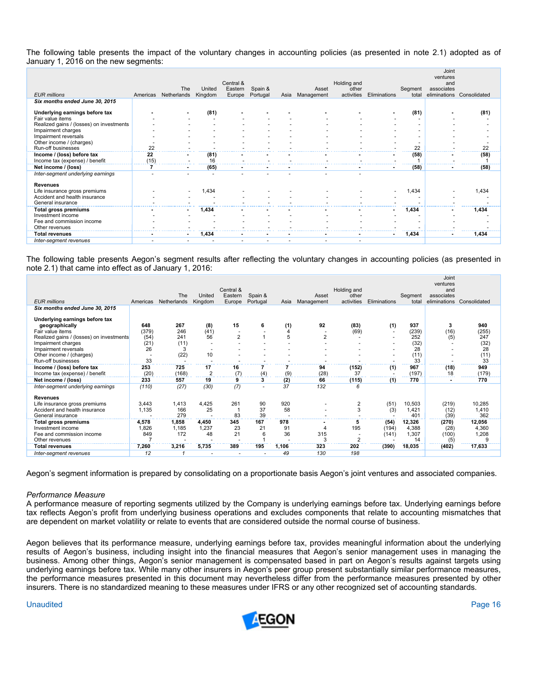The following table presents the impact of the voluntary changes in accounting policies (as presented in note 2.1) adopted as of January 1, 2016 on the new segments:

|                                                |      |                          |         |                          |                          |      |            |                          |              |         | Joint<br>ventures |                           |
|------------------------------------------------|------|--------------------------|---------|--------------------------|--------------------------|------|------------|--------------------------|--------------|---------|-------------------|---------------------------|
|                                                |      | The                      | United  | Central &<br>Eastern     | Spain &                  |      | Asset      | Holding and<br>other     |              | Segment | and<br>associates |                           |
| <b>EUR millions</b>                            |      | Americas Netherlands     | Kingdom | Europe                   | Portugal                 | Asia | Management | activities               | Eliminations | total   |                   | eliminations Consolidated |
| Six months ended June 30, 2015                 |      |                          |         |                          |                          |      |            |                          |              |         |                   |                           |
| Underlying earnings before tax                 |      |                          | (81)    |                          |                          |      |            |                          |              | (81)    |                   | (81)                      |
| Fair value items                               |      |                          |         |                          |                          |      |            |                          |              |         |                   |                           |
| Realized gains / (losses) on investments       |      |                          |         |                          |                          |      |            |                          |              |         |                   |                           |
| Impairment charges                             |      |                          |         |                          |                          |      |            |                          |              |         |                   |                           |
| Impairment reversals                           |      |                          |         |                          |                          |      |            |                          |              |         |                   |                           |
| Other income / (charges)<br>Run-off businesses | 22   |                          |         |                          |                          |      |            |                          |              | 22      |                   | 22                        |
| Income / (loss) before tax                     | 22   |                          | (81)    |                          |                          |      |            |                          |              | (58)    |                   | (58)                      |
| Income tax (expense) / benefit                 | (15) |                          | 16      |                          |                          |      |            |                          |              |         |                   |                           |
| Net income / (loss)                            | 7    | $\blacksquare$           | (65)    | $\blacksquare$           |                          |      |            |                          |              | (58)    |                   | (58)                      |
| Inter-segment underlying earnings              |      |                          |         |                          |                          |      |            |                          |              |         |                   |                           |
|                                                |      |                          |         |                          |                          |      |            |                          |              |         |                   |                           |
| <b>Revenues</b>                                |      |                          |         |                          |                          |      |            |                          |              |         |                   |                           |
| Life insurance gross premiums                  |      |                          | 1,434   |                          |                          |      |            |                          |              | 1,434   |                   | 1,434                     |
| Accident and health insurance                  |      |                          |         |                          |                          |      |            |                          |              |         |                   |                           |
| General insurance                              |      |                          |         |                          |                          |      |            |                          |              |         |                   |                           |
| <b>Total gross premiums</b>                    |      | $\sim$                   | 1,434   |                          |                          |      |            |                          |              | 1,434   |                   | 1,434                     |
| Investment income                              |      |                          |         |                          |                          |      |            |                          |              |         |                   |                           |
| Fee and commission income<br>Other revenues    |      |                          |         |                          |                          |      |            |                          |              |         |                   |                           |
| <b>Total revenues</b>                          |      | $\sim$                   | 1,434   |                          |                          |      |            |                          |              | 1,434   |                   | 1,434                     |
|                                                |      | $\overline{\phantom{a}}$ |         | $\overline{\phantom{a}}$ | $\overline{\phantom{0}}$ | ٠    | ٠          | $\overline{\phantom{a}}$ |              |         |                   |                           |
| Inter-segment revenues                         |      |                          |         |                          |                          |      |            |                          |              |         |                   |                           |

The following table presents Aegon's segment results after reflecting the voluntary changes in accounting policies (as presented in note 2.1) that came into effect as of January 1, 2016:

|                                          |          |             |                |                |          |       |                |                |              |         | Joint<br>ventures |              |
|------------------------------------------|----------|-------------|----------------|----------------|----------|-------|----------------|----------------|--------------|---------|-------------------|--------------|
|                                          |          |             |                | Central &      |          |       |                | Holding and    |              |         | and               |              |
| <b>EUR</b> millions                      |          | The         | United         | Eastern        | Spain &  |       | Asset          | other          | Eliminations | Segment | associates        |              |
|                                          | Americas | Netherlands | Kingdom        | Europe         | Portugal | Asia  | Management     | activities     |              | total   | eliminations      | Consolidated |
| Six months ended June 30, 2015           |          |             |                |                |          |       |                |                |              |         |                   |              |
| Underlying earnings before tax           |          |             |                |                |          |       |                |                |              |         |                   |              |
| geographically                           | 648      | 267         | (8)            | 15             | 6        | (1)   | 92             | (83)           | (1)          | 937     | 3                 | 940          |
| Fair value items                         | (379)    | 246         | (41)           |                |          | 4     |                | (69)           |              | (239)   | (16)              | (255)        |
| Realized gains / (losses) on investments | (54)     | 241         | 56             | $\overline{2}$ |          |       | $\overline{2}$ |                |              | 252     | (5)               | 247          |
| Impairment charges                       | (21)     | (11)        |                |                |          |       |                |                |              | (32)    |                   | (32)         |
| Impairment reversals                     | 26       | 3           | ٠              |                |          |       |                |                |              | 28      |                   | 28           |
| Other income / (charges)                 |          | (22)        | 10             |                |          |       |                |                |              | (11)    |                   | (11)         |
| Run-off businesses                       | 33       |             |                |                |          |       |                |                |              | 33      |                   | 33           |
| Income / (loss) before tax               | 253      | 725         | 17             | 16             |          |       | 94             | (152)          | (1)          | 967     | (18)              | 949          |
| Income tax (expense) / benefit           | (20)     | (168)       | $\overline{2}$ | (7)            | (4)      | (9)   | (28)           | 37             |              | (197)   | 18                | (179)        |
| Net income / (loss)                      | 233      | 557         | 19             | 9              | 3        | (2)   | 66             | (115)          | (1)          | 770     |                   | 770          |
| Inter-segment underlying earnings        | (110)    | (27)        | (30)           | (7)            |          | 37    | 132            | 6              |              |         |                   |              |
| <b>Revenues</b>                          |          |             |                |                |          |       |                |                |              |         |                   |              |
| Life insurance gross premiums            | 3,443    | 1,413       | 4,425          | 261            | 90       | 920   |                | $\overline{2}$ | (51)         | 10,503  | (219)             | 10,285       |
| Accident and health insurance            | 1,135    | 166         | 25             |                | 37       | 58    |                | 3              | (3)          | 1,421   | (12)              | 1,410        |
| General insurance                        |          | 279         |                | 83             | 39       |       |                |                |              | 401     | (39)              | 362          |
| <b>Total gross premiums</b>              | 4,578    | 1,858       | 4,450          | 345            | 167      | 978   |                | 5              | (54)         | 12,326  | (270)             | 12,056       |
| Investment income                        | 1,826    | 1,185       | 1,237          | 23             | 21       | 91    | 4              | 195            | (194)        | 4,388   | (28)              | 4,360        |
| Fee and commission income                | 849      | 172         | 48             | 21             |          | 36    | 315            |                | (141)        | 1,307   | (100)             | 1,208        |
| Other revenues                           |          |             |                |                |          |       | 3              | $\overline{2}$ |              | 14      | (5)               | 9            |
| <b>Total revenues</b>                    | 7,260    | 3,216       | 5,735          | 389            | 195      | 1.106 | 323            | 202            | (390)        | 18,035  | (402)             | 17,633       |
| Inter-segment revenues                   | 12       |             |                |                |          | 49    | 130            | 198            |              |         |                   |              |

Aegon's segment information is prepared by consolidating on a proportionate basis Aegon's joint ventures and associated companies.

#### *Performance Measure*

A performance measure of reporting segments utilized by the Company is underlying earnings before tax. Underlying earnings before tax reflects Aegon's profit from underlying business operations and excludes components that relate to accounting mismatches that are dependent on market volatility or relate to events that are considered outside the normal course of business.

Aegon believes that its performance measure, underlying earnings before tax, provides meaningful information about the underlying results of Aegon's business, including insight into the financial measures that Aegon's senior management uses in managing the business. Among other things, Aegon's senior management is compensated based in part on Aegon's results against targets using underlying earnings before tax. While many other insurers in Aegon's peer group present substantially similar performance measures, the performance measures presented in this document may nevertheless differ from the performance measures presented by other insurers. There is no standardized meaning to these measures under IFRS or any other recognized set of accounting standards.

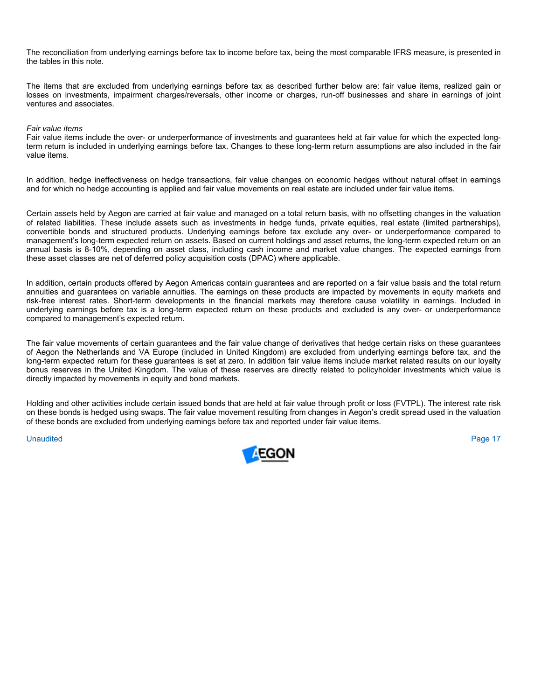The reconciliation from underlying earnings before tax to income before tax, being the most comparable IFRS measure, is presented in the tables in this note.

The items that are excluded from underlying earnings before tax as described further below are: fair value items, realized gain or losses on investments, impairment charges/reversals, other income or charges, run-off businesses and share in earnings of joint ventures and associates.

#### *Fair value items*

Fair value items include the over- or underperformance of investments and guarantees held at fair value for which the expected longterm return is included in underlying earnings before tax. Changes to these long-term return assumptions are also included in the fair value items.

In addition, hedge ineffectiveness on hedge transactions, fair value changes on economic hedges without natural offset in earnings and for which no hedge accounting is applied and fair value movements on real estate are included under fair value items.

Certain assets held by Aegon are carried at fair value and managed on a total return basis, with no offsetting changes in the valuation of related liabilities. These include assets such as investments in hedge funds, private equities, real estate (limited partnerships), convertible bonds and structured products. Underlying earnings before tax exclude any over- or underperformance compared to management's long-term expected return on assets. Based on current holdings and asset returns, the long-term expected return on an annual basis is 8-10%, depending on asset class, including cash income and market value changes. The expected earnings from these asset classes are net of deferred policy acquisition costs (DPAC) where applicable.

In addition, certain products offered by Aegon Americas contain guarantees and are reported on a fair value basis and the total return annuities and guarantees on variable annuities. The earnings on these products are impacted by movements in equity markets and risk-free interest rates. Short-term developments in the financial markets may therefore cause volatility in earnings. Included in underlying earnings before tax is a long-term expected return on these products and excluded is any over- or underperformance compared to management's expected return.

The fair value movements of certain guarantees and the fair value change of derivatives that hedge certain risks on these guarantees of Aegon the Netherlands and VA Europe (included in United Kingdom) are excluded from underlying earnings before tax, and the long-term expected return for these guarantees is set at zero. In addition fair value items include market related results on our loyalty bonus reserves in the United Kingdom. The value of these reserves are directly related to policyholder investments which value is directly impacted by movements in equity and bond markets.

Holding and other activities include certain issued bonds that are held at fair value through profit or loss (FVTPL). The interest rate risk on these bonds is hedged using swaps. The fair value movement resulting from changes in Aegon's credit spread used in the valuation of these bonds are excluded from underlying earnings before tax and reported under fair value items.

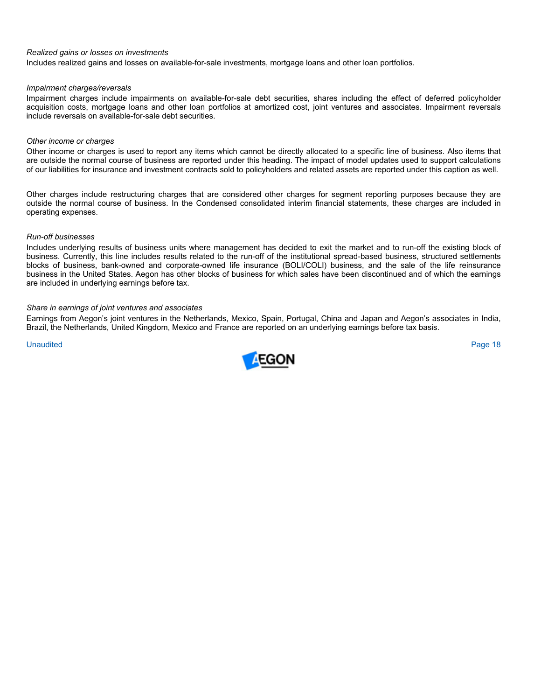#### *Realized gains or losses on investments*

Includes realized gains and losses on available-for-sale investments, mortgage loans and other loan portfolios.

#### *Impairment charges/reversals*

Impairment charges include impairments on available-for-sale debt securities, shares including the effect of deferred policyholder acquisition costs, mortgage loans and other loan portfolios at amortized cost, joint ventures and associates. Impairment reversals include reversals on available-for-sale debt securities.

#### *Other income or charges*

Other income or charges is used to report any items which cannot be directly allocated to a specific line of business. Also items that are outside the normal course of business are reported under this heading. The impact of model updates used to support calculations of our liabilities for insurance and investment contracts sold to policyholders and related assets are reported under this caption as well.

Other charges include restructuring charges that are considered other charges for segment reporting purposes because they are outside the normal course of business. In the Condensed consolidated interim financial statements, these charges are included in operating expenses.

#### *Run-off businesses*

Includes underlying results of business units where management has decided to exit the market and to run-off the existing block of business. Currently, this line includes results related to the run-off of the institutional spread-based business, structured settlements blocks of business, bank-owned and corporate-owned life insurance (BOLI/COLI) business, and the sale of the life reinsurance business in the United States. Aegon has other blocks of business for which sales have been discontinued and of which the earnings are included in underlying earnings before tax.

#### *Share in earnings of joint ventures and associates*

Earnings from Aegon's joint ventures in the Netherlands, Mexico, Spain, Portugal, China and Japan and Aegon's associates in India, Brazil, the Netherlands, United Kingdom, Mexico and France are reported on an underlying earnings before tax basis.

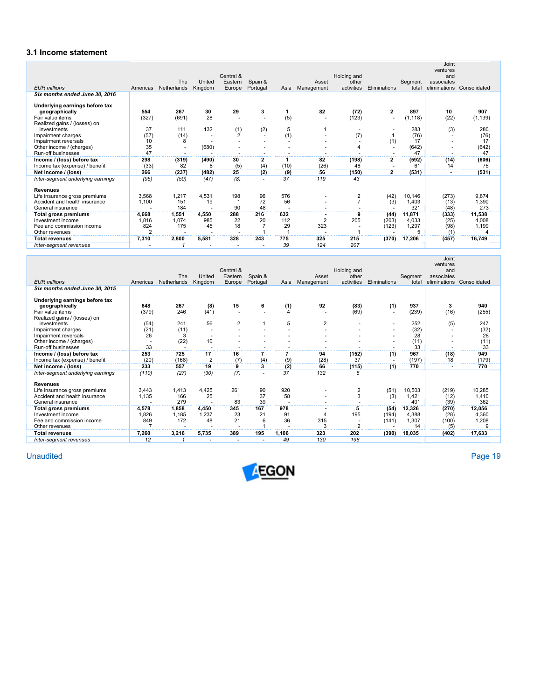## **3.1 Income statement**

|                                   |                | The         | United  | Central &<br>Eastern | Spain &        |      | Asset          | Holding and<br>other                      |                         |                  | Joint<br>ventures<br>and<br>associates |              |
|-----------------------------------|----------------|-------------|---------|----------------------|----------------|------|----------------|-------------------------------------------|-------------------------|------------------|----------------------------------------|--------------|
| <b>EUR</b> millions               | Americas       | Netherlands | Kingdom | Europe               | Portugal       | Asia | Management     | activities                                | Eliminations            | Segment<br>total | eliminations                           | Consolidated |
| Six months ended June 30, 2016    |                |             |         |                      |                |      |                |                                           |                         |                  |                                        |              |
|                                   |                |             |         |                      |                |      |                |                                           |                         |                  |                                        |              |
| Underlying earnings before tax    | 554            | 267         | 30      | 29                   |                |      | 82             |                                           | $\overline{\mathbf{c}}$ | 897              |                                        | 907          |
| geographically                    |                |             |         |                      | 3              |      |                | (72)                                      |                         |                  | 10                                     |              |
| Fair value items                  | (327)          | (691)       | 28      |                      |                | (5)  |                | (123)                                     |                         | (1, 118)         | (22)                                   | (1, 139)     |
| Realized gains / (losses) on      |                |             |         |                      |                |      |                |                                           |                         |                  |                                        |              |
| investments                       | 37             | 111         | 132     | (1)                  | (2)            | 5    |                | $\overline{\phantom{a}}$                  |                         | 283              | (3)                                    | 280          |
| Impairment charges                | (57)           | (14)        |         | $\overline{2}$       | $\sim$         | (1)  |                | (7)                                       |                         | (76)             |                                        | (76)         |
| Impairment reversals              | 10             | 8           |         |                      |                |      |                |                                           | (1)                     | 17               |                                        | 17           |
| Other income / (charges)          | 35             | ٠           | (680)   |                      |                |      |                | 4                                         |                         | (642)            |                                        | (642)        |
| Run-off businesses                | 47             |             |         |                      |                |      |                |                                           |                         | 47               |                                        | 47           |
| Income / (loss) before tax        | 298            | (319)       | (490)   | 30                   | $\overline{2}$ |      | 82             | (198)                                     | $\overline{2}$          | (592)            | (14)                                   | (606)        |
| Income tax (expense) / benefit    | (33)           | 82          | 8       | (5)                  | (4)            | (10) | (26)           | 48                                        |                         | 61               | 14                                     | 75           |
| Net income / (loss)               | 266            | (237)       | (482)   | 25                   | (2)            | (9)  | 56             | (150)                                     | 2                       | (531)            |                                        | (531)        |
| Inter-segment underlying earnings | (95)           | (50)        | (47)    | (8)                  |                | 37   | 119            | 43                                        |                         |                  |                                        |              |
| <b>Revenues</b>                   |                |             |         |                      |                |      |                |                                           |                         |                  |                                        |              |
|                                   |                |             |         |                      |                | 576  |                |                                           |                         |                  |                                        |              |
| Life insurance gross premiums     | 3,568          | 1,217       | 4,531   | 198                  | 96             |      |                | $\overline{\mathbf{c}}$<br>$\overline{7}$ | (42)                    | 10,146           | (273)                                  | 9,874        |
| Accident and health insurance     | 1,100          | 151         | 19      |                      | 72             | 56   |                |                                           | (3)                     | 1,403            | (13)                                   | 1,390        |
| General insurance                 |                | 184         |         | 90                   | 48             |      |                |                                           |                         | 321              | (48)                                   | 273          |
| <b>Total gross premiums</b>       | 4.668          | 1,551       | 4.550   | 288                  | 216            | 632  |                |                                           | (44)                    | 11,871           | (333)                                  | 11,538       |
| Investment income                 | 1,816          | 1,074       | 985     | 22                   | 20             | 112  | $\overline{2}$ | 205                                       | (203)                   | 4,033            | (25)                                   | 4,008        |
| Fee and commission income         | 824            | 175         | 45      | 18                   |                | 29   | 323            |                                           | (123)                   | 1,297            | (98)                                   | 1,199        |
| Other revenues                    | $\mathfrak{p}$ |             |         |                      |                |      |                |                                           |                         |                  | (1)                                    |              |
| <b>Total revenues</b>             | 7,310          | 2,800       | 5,581   | 328                  | 243            | 775  | 325            | 215                                       | (370)                   | 17,206           | (457)                                  | 16,749       |
| Inter-segment revenues            |                |             |         |                      |                | 39   | 124            | 207                                       |                         |                  |                                        |              |

| <b>EUR millions</b>                                                                       | Americas           | The<br>Netherlands  | United<br>Kingdom    | Central &<br>Eastern<br>Europe | Spain &<br>Portugal | Asia      | Asset<br>Management | Holding and<br>other<br>activities | Eliminations             | Segment<br>total       | Joint<br>ventures<br>and<br>associates<br>eliminations | Consolidated           |
|-------------------------------------------------------------------------------------------|--------------------|---------------------|----------------------|--------------------------------|---------------------|-----------|---------------------|------------------------------------|--------------------------|------------------------|--------------------------------------------------------|------------------------|
| Six months ended June 30, 2015                                                            |                    |                     |                      |                                |                     |           |                     |                                    |                          |                        |                                                        |                        |
| Underlying earnings before tax<br>geographically<br>Fair value items                      | 648<br>(379)       | 267<br>246          | (8)<br>(41)          | 15                             | 6                   | (1)       | 92                  | (83)<br>(69)                       | (1)                      | 937<br>(239)           | 3<br>(16)                                              | 940<br>(255)           |
| Realized gains / (losses) on<br>investments<br>Impairment charges<br>Impairment reversals | (54)<br>(21)<br>26 | 241<br>(11)<br>3    | 56                   | 2                              |                     | 5         | $\overline{2}$      |                                    | $\overline{\phantom{a}}$ | 252<br>(32)<br>28      | (5)                                                    | 247<br>(32)<br>28      |
| Other income / (charges)<br>Run-off businesses                                            | 33                 | (22)                | 10                   |                                |                     |           |                     |                                    |                          | (11)<br>33             |                                                        | (11)<br>33             |
| Income / (loss) before tax<br>Income tax (expense) / benefit                              | 253<br>(20)        | 725<br>(168)        | 17<br>$\overline{2}$ | 16<br>(7)                      | (4)                 | (9)       | 94<br>(28)          | (152)<br>37                        | (1)                      | 967<br>(197)           | (18)<br>18                                             | 949<br>(179)           |
| Net income / (loss)                                                                       | 233                | 557                 | 19                   | 9                              | 3                   | (2)       | 66                  | (115)                              | (1)                      | 770                    |                                                        | 770                    |
| Inter-segment underlying earnings                                                         | (110)              | (27)                | (30)                 | (7)                            |                     | 37        | 132                 | 6                                  |                          |                        |                                                        |                        |
| <b>Revenues</b>                                                                           |                    |                     |                      |                                |                     |           |                     |                                    |                          |                        |                                                        |                        |
| Life insurance gross premiums<br>Accident and health insurance<br>General insurance       | 3,443<br>1,135     | 1,413<br>166<br>279 | 4,425<br>25          | 261<br>83                      | 90<br>37<br>39      | 920<br>58 |                     | 2<br>3                             | (51)<br>(3)              | 10,503<br>1.421<br>401 | (219)<br>(12)<br>(39)                                  | 10,285<br>1,410<br>362 |
| Total gross premiums                                                                      | 4,578              | 1.858               | 4.450                | 345                            | 167                 | 978       |                     | 5                                  | (54)                     | 12,326                 | (270)                                                  | 12,056                 |
| Investment income                                                                         | 1,826              | 1,185               | 1,237                | 23                             | 21                  | 91        | 4                   | 195                                | (194)                    | 4,388                  | (28)                                                   | 4,360                  |
| Fee and commission income<br>Other revenues                                               | 849                | 172                 | 48                   | 21                             |                     | 36        | 315                 | $\overline{a}$<br>$\overline{2}$   | (141)                    | 1,307<br>14            | (100)<br>(5)                                           | 1,208<br>9             |
| <b>Total revenues</b>                                                                     | 7,260              | 3.216               | 5,735                | 389                            | 195                 | 1.106     | 323                 | 202                                | (390)                    | 18,035                 | (402)                                                  | 17,633                 |
| Inter-segment revenues                                                                    | 12                 | 1                   |                      |                                |                     | 49        | 130                 | 198                                |                          |                        |                                                        |                        |

Unaudited Unaudited Page 19

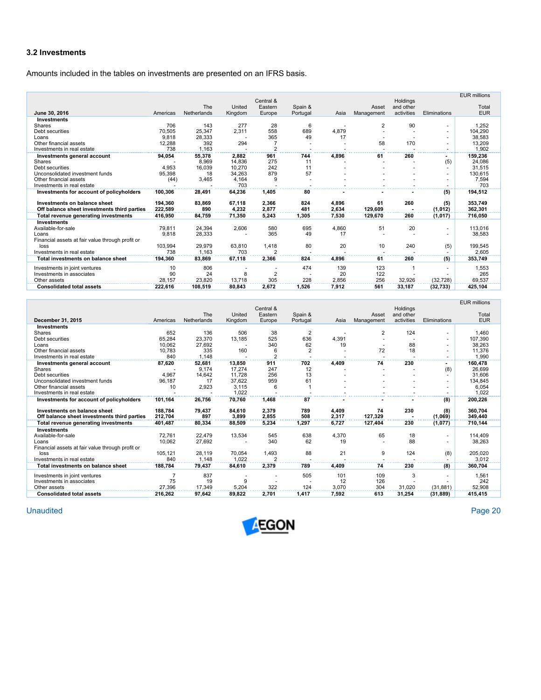#### **3.2 Investments**

Amounts included in the tables on investments are presented on an IFRS basis.

|                                                  |          |             |         | Central &      |          |       |                |                       |                          | <b>EUR millions</b> |
|--------------------------------------------------|----------|-------------|---------|----------------|----------|-------|----------------|-----------------------|--------------------------|---------------------|
|                                                  |          | The         | United  | Eastern        | Spain &  |       | Asset          | Holdings<br>and other |                          | Total               |
| June 30, 2016                                    | Americas | Netherlands | Kingdom | Europe         | Portugal | Asia  | Management     | activities            | Eliminations             | <b>EUR</b>          |
| Investments                                      |          |             |         |                |          |       |                |                       |                          |                     |
| Shares                                           | 706      | 143         | 277     | 28             | 6        |       | $\overline{2}$ | 90                    | $\sim$                   | 1,252               |
| Debt securities                                  | 70,505   | 25,347      | 2,311   | 558            | 689      | 4,879 |                |                       | $\overline{\phantom{a}}$ | 104.290             |
| Loans                                            | 9.818    | 28,333      |         | 365            | 49       | 17    |                |                       | $\overline{\phantom{a}}$ | 38,583              |
| Other financial assets                           | 12,288   | 392         | 294     |                |          |       | 58             | 170                   |                          | 13,209              |
| Investments in real estate                       | 738      | 1.163       |         | $\overline{2}$ |          |       |                |                       |                          | 1.902               |
| Investments general account                      | 94,054   | 55,378      | 2,882   | 961            | 744      | 4.896 | 61             | 260                   | ۰                        | 159,236             |
| Shares                                           |          | 8.969       | 14.836  | 275            | 11       |       |                |                       | (5)                      | 24.086              |
| Debt securities                                  | 4,953    | 16,039      | 10,270  | 242            | 11       |       |                |                       |                          | 31,515              |
| Unconsolidated investment funds                  | 95,398   | 18          | 34.263  | 879            | 57       |       |                |                       |                          | 130.615             |
| Other financial assets                           | (44)     | 3,465       | 4,164   | 9              |          |       |                |                       |                          | 7,594               |
| Investments in real estate                       |          |             | 703     |                |          |       |                |                       |                          | 703                 |
| Investments for account of policyholders         | 100,306  | 28,491      | 64,236  | 1,405          | 80       |       |                |                       | (5)                      | 194,512             |
| Investments on balance sheet                     | 194,360  | 83,869      | 67,118  | 2,366          | 824      | 4,896 | 61             | 260                   | (5)                      | 353,749             |
| Off balance sheet investments third parties      | 222.589  | 890         | 4,232   | 2,877          | 481      | 2.634 | 129.609        |                       | (1,012)                  | 362,301             |
| Total revenue generating investments             | 416.950  | 84,759      | 71,350  | 5,243          | 1,305    | 7.530 | 129,670        | 260                   | (1,017)                  | 716,050             |
| <b>Investments</b>                               |          |             |         |                |          |       |                |                       |                          |                     |
| Available-for-sale                               | 79,811   | 24.394      | 2,606   | 580            | 695      | 4,860 | 51             | 20                    | $\overline{a}$           | 113.016             |
| Loans                                            | 9,818    | 28,333      |         | 365            | 49       | 17    |                |                       |                          | 38,583              |
| Financial assets at fair value through profit or |          |             |         |                |          |       |                |                       |                          |                     |
| loss                                             | 103,994  | 29.979      | 63,810  | 1,418          | 80       | 20    | 10             | 240                   | (5)                      | 199,545             |
| Investments in real estate                       | 738      | 1.163       | 703     | $\overline{2}$ |          |       |                |                       |                          | 2,605               |
| Total investments on balance sheet               | 194.360  | 83.869      | 67,118  | 2,366          | 824      | 4.896 | 61             | 260                   | (5)                      | 353,749             |
| Investments in joint ventures                    | 10       | 806         |         |                | 474      | 139   | 123            |                       |                          | 1,553               |
| Investments in associates                        | 90       | 24          | 8       | $\overline{2}$ |          | 20    | 122            |                       |                          | 265                 |
| Other assets                                     | 28,157   | 23.820      | 13,718  | 305            | 228      | 2,856 | 256            | 32.926                | (32, 728)                | 69,537              |
|                                                  |          |             |         |                |          |       |                |                       |                          |                     |
| <b>Consolidated total assets</b>                 | 222.616  | 108.519     | 80,843  | 2,672          | 1.526    | 7,912 | 561            | 33,187                | (32, 733)                | 425,104             |

|                                                  |          |             |                   |                   |                     |       |                     |                         |                          | <b>EUR millions</b> |
|--------------------------------------------------|----------|-------------|-------------------|-------------------|---------------------|-------|---------------------|-------------------------|--------------------------|---------------------|
|                                                  |          | The         |                   | Central &         |                     |       |                     | Holdings                |                          |                     |
| December 31, 2015                                | Americas | Netherlands | United<br>Kingdom | Eastern<br>Europe | Spain &<br>Portugal | Asia  | Asset<br>Management | and other<br>activities | Eliminations             | Total<br><b>EUR</b> |
| <b>Investments</b>                               |          |             |                   |                   |                     |       |                     |                         |                          |                     |
| Shares                                           | 652      | 136         | 506               | 38                | $\overline{2}$      |       | $\overline{2}$      | 124                     | ٠                        | 1.460               |
| Debt securities                                  | 65,284   | 23.370      | 13,185            | 525               | 636                 | 4,391 |                     |                         | ٠                        | 107,390             |
| Loans                                            | 10,062   | 27,692      |                   | 340               | 62                  | 19    |                     | 88                      | $\overline{\phantom{a}}$ | 38,263              |
| Other financial assets                           | 10,783   | 335         | 160               | 6                 | $\overline{2}$      |       | 72                  | 18                      | $\overline{\phantom{a}}$ | 11,376              |
| Investments in real estate                       | 840      | 1.148       |                   | $\overline{2}$    |                     |       |                     |                         |                          | 1.990               |
| Investments general account                      | 87,620   | 52,681      | 13,850            | 911               | 702                 | 4,409 | 74                  | 230                     | $\sim$                   | 160,478             |
| Shares                                           |          | 9.174       | 17.274            | 247               | 12                  |       |                     |                         | (8)                      | 26.699              |
| Debt securities                                  | 4.967    | 14.642      | 11.728            | 256               | 13                  |       |                     |                         |                          | 31.606              |
| Unconsolidated investment funds                  | 96,187   | 17          | 37,622            | 959               | 61                  |       |                     |                         | ٠                        | 134,845             |
| Other financial assets                           | 10       | 2,923       | 3.115             | 6                 |                     |       |                     |                         | $\overline{\phantom{a}}$ | 6.054               |
| Investments in real estate                       |          |             | 1.022             |                   |                     |       |                     |                         |                          | 1.022               |
| Investments for account of policyholders         | 101.164  | 26,756      | 70,760            | 1.468             | 87                  |       |                     |                         | (8)                      | 200,226             |
| Investments on balance sheet                     | 188.784  | 79,437      | 84,610            | 2,379             | 789                 | 4,409 | 74                  | 230                     | (8)                      | 360,704             |
| Off balance sheet investments third parties      | 212.704  | 897         | 3.899             | 2.855             | 508                 | 2.317 | 127.329             |                         | (1,069)                  | 349,440             |
| Total revenue generating investments             | 401,487  | 80,334      | 88,509            | 5,234             | 1,297               | 6,727 | 127,404             | 230                     | (1,077)                  | 710,144             |
| <b>Investments</b>                               |          |             |                   |                   |                     |       |                     |                         |                          |                     |
| Available-for-sale                               | 72.761   | 22.479      | 13,534            | 545               | 638                 | 4,370 | 65                  | 18                      | ٠                        | 114.409             |
| Loans                                            | 10.062   | 27,692      |                   | 340               | 62                  | 19    |                     | 88                      |                          | 38,263              |
| Financial assets at fair value through profit or |          |             |                   |                   |                     |       |                     |                         |                          |                     |
| loss                                             | 105.121  | 28.119      | 70.054            | 1,493             | 88                  | 21    | 9                   | 124                     | (8)                      | 205.020             |
| Investments in real estate                       | 840      | 1.148       | 1.022             | 2                 |                     |       |                     |                         |                          | 3.012               |
| Total investments on balance sheet               | 188,784  | 79,437      | 84,610            | 2,379             | 789                 | 4,409 | 74                  | 230                     | (8)                      | 360,704             |
| Investments in joint ventures                    | 7        | 837         |                   |                   | 505                 | 101   | 109                 | 3                       | $\overline{\phantom{a}}$ | 1,561               |
| Investments in associates                        | 75       | 19          | 9                 |                   |                     | 12    | 126                 |                         |                          | 242                 |
| Other assets                                     | 27.396   | 17.349      | 5,204             | 322               | 124                 | 3,070 | 304                 | 31.020                  | (31.881)                 | 52,908              |
| <b>Consolidated total assets</b>                 | 216.262  | 97,642      | 89.822            | 2.701             | 1.417               | 7.592 | 613                 | 31.254                  | (31.889)                 | 415,415             |

**Unaudited** Unaudited Page 20

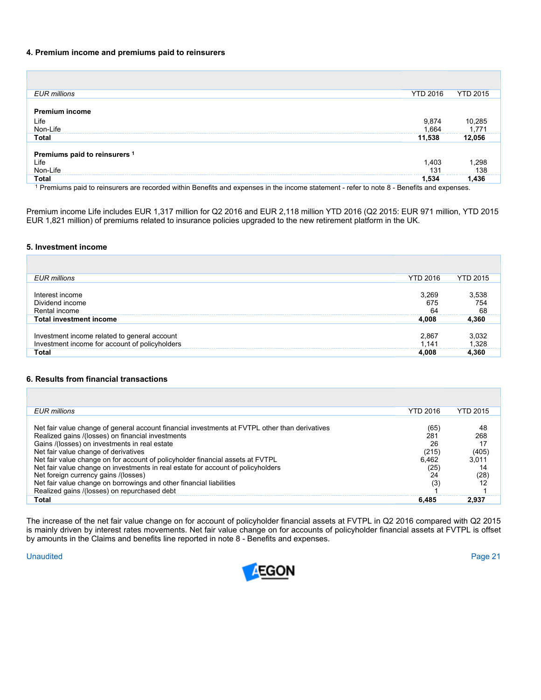#### **4. Premium income and premiums paid to reinsurers**

| <b>EUR</b> millions           | <b>YTD 2016</b> | <b>YTD 2015</b> |
|-------------------------------|-----------------|-----------------|
|                               |                 |                 |
| <b>Premium income</b>         |                 |                 |
| Life                          |                 | 10,285          |
| Non-Life                      | 9,874<br>1,664  | 1.771           |
| <b>Total</b>                  | 11,538          | 12,056          |
| Premiums paid to reinsurers 1 |                 |                 |
| Life                          | 1,403           | 298             |
| Non-Life                      | 131             | 138             |
| <b>Total</b><br>_____         | .534            | .436            |

1 Premiums paid to reinsurers are recorded within Benefits and expenses in the income statement - refer to note 8 - Benefits and expenses.

Premium income Life includes EUR 1,317 million for Q2 2016 and EUR 2,118 million YTD 2016 (Q2 2015: EUR 971 million, YTD 2015 EUR 1,821 million) of premiums related to insurance policies upgraded to the new retirement platform in the UK.

#### **5. Investment income**

| <b>EUR</b> millions                                                                            | <b>YTD 2016</b>    | YTD 2015           |
|------------------------------------------------------------------------------------------------|--------------------|--------------------|
| Interest income<br>Dividend income<br>Rental income                                            | 3.269<br>675<br>64 | 3.538<br>754<br>68 |
| <b>Total investment income</b>                                                                 | 4.008              | 4.360              |
| Investment income related to general account<br>Investment income for account of policyholders | 2,867<br>1.141     | 328                |
| Total                                                                                          | 4 OO8              | . 360              |

### **6. Results from financial transactions**

| EUR millions                                                                                                                                                                                                                                                                                                                                                                                                                                                                                                                                                                      | <b>YTD 2016</b>                                          | <b>YTD 2015</b>                                 |
|-----------------------------------------------------------------------------------------------------------------------------------------------------------------------------------------------------------------------------------------------------------------------------------------------------------------------------------------------------------------------------------------------------------------------------------------------------------------------------------------------------------------------------------------------------------------------------------|----------------------------------------------------------|-------------------------------------------------|
| Net fair value change of general account financial investments at FVTPL other than derivatives<br>Realized gains /(losses) on financial investments<br>Gains /(losses) on investments in real estate<br>Net fair value change of derivatives<br>Net fair value change on for account of policyholder financial assets at FVTPL<br>Net fair value change on investments in real estate for account of policyholders<br>Net foreign currency gains /(losses)<br>Net fair value change on borrowings and other financial liabilities<br>Realized gains /(losses) on repurchased debt | (65)<br>281<br>26<br>(215)<br>6.462<br>(25)<br>24<br>(3) | 48<br>268<br>17<br>(405)<br>3.011<br>14<br>(28) |
| Total                                                                                                                                                                                                                                                                                                                                                                                                                                                                                                                                                                             | 6.485                                                    | 2.937                                           |

The increase of the net fair value change on for account of policyholder financial assets at FVTPL in Q2 2016 compared with Q2 2015 is mainly driven by interest rates movements. Net fair value change on for accounts of policyholder financial assets at FVTPL is offset by amounts in the Claims and benefits line reported in note 8 - Benefits and expenses.

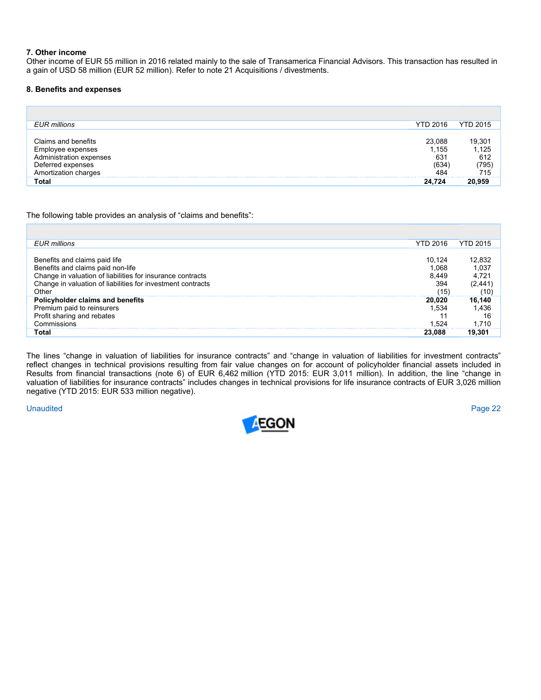#### **7. Other income**

Other income of EUR 55 million in 2016 related mainly to the sale of Transamerica Financial Advisors. This transaction has resulted in a gain of USD 58 million (EUR 52 million). Refer to note 21 Acquisitions / divestments.

#### **8. Benefits and expenses**

| <b>EUR</b> millions                                                                                              | <b>YTD 2016</b>                        | <b>YTD 2015</b>                      |
|------------------------------------------------------------------------------------------------------------------|----------------------------------------|--------------------------------------|
| Claims and benefits<br>Employee expenses<br>Administration expenses<br>Deferred expenses<br>Amortization charges | 23.088<br>1.155<br>63'<br>'634'<br>484 | 19,301<br>1,125<br>612<br>795<br>715 |
| Total                                                                                                            | 24.724                                 |                                      |

The following table provides an analysis of "claims and benefits":

| <b>EUR</b> millions                                                                                                              | <b>YTD 2016</b> | <b>YTD 2015</b> |
|----------------------------------------------------------------------------------------------------------------------------------|-----------------|-----------------|
|                                                                                                                                  |                 |                 |
|                                                                                                                                  | 10,124          | 12,832          |
|                                                                                                                                  | 1,068           | 1,037           |
| Benefits and claims paid life<br>Benefits and claims paid non-life<br>Change in valuation of liabilities for insurance contracts | 8.449           | 4,721           |
| Change in valuation of liabilities for investment contracts                                                                      | 394             | (2,441          |
| Other                                                                                                                            | (15             |                 |
| Policyholder claims and benefits                                                                                                 | 20,020          | 16,140          |
| Premium paid to reinsurers                                                                                                       | 1.534           | .436            |
| Profit sharing and rebates                                                                                                       |                 |                 |
| Commissions                                                                                                                      | .524            |                 |
| Total                                                                                                                            | 23.088          |                 |

The lines "change in valuation of liabilities for insurance contracts" and "change in valuation of liabilities for investment contracts" reflect changes in technical provisions resulting from fair value changes on for account of policyholder financial assets included in Results from financial transactions (note 6) of EUR 6,462 million (YTD 2015: EUR 3,011 million). In addition, the line "change in valuation of liabilities for insurance contracts" includes changes in technical provisions for life insurance contracts of EUR 3,026 million negative (YTD 2015: EUR 533 million negative).

Unaudited Page 22

г

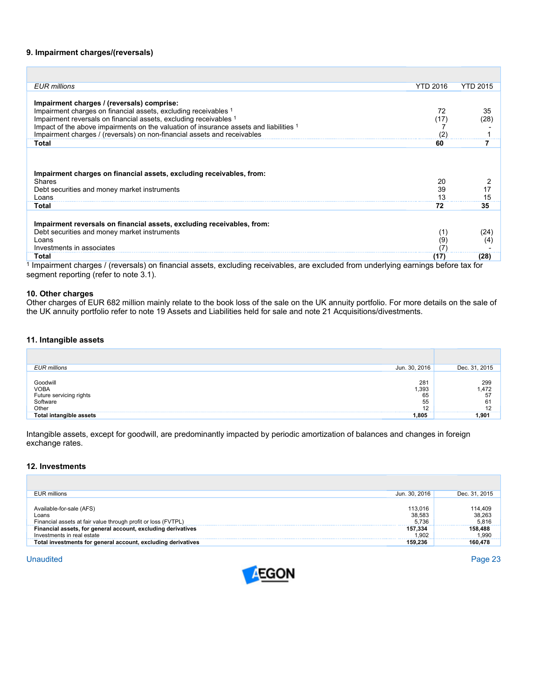#### **9. Impairment charges/(reversals)**

| <b>EUR</b> millions                                                                                                                            | <b>YTD 2016</b> | <b>YTD 2015</b> |
|------------------------------------------------------------------------------------------------------------------------------------------------|-----------------|-----------------|
|                                                                                                                                                |                 |                 |
| Impairment charges / (reversals) comprise:                                                                                                     |                 |                 |
| Impairment charges on financial assets, excluding receivables 1                                                                                | 72              | 35              |
| Impairment reversals on financial assets, excluding receivables 1                                                                              | (17             | (28             |
| Impact of the above impairments on the valuation of insurance assets and liabilities 1                                                         |                 |                 |
| Impairment charges / (reversals) on non-financial assets and receivables                                                                       | (2              |                 |
| Total                                                                                                                                          | 60              |                 |
| Impairment charges on financial assets, excluding receivables, from:<br><b>Shares</b><br>Debt securities and money market instruments<br>Loans | 20<br>39<br>13  | 17<br>15        |
| Total                                                                                                                                          | 72              | 35              |
| Impairment reversals on financial assets, excluding receivables, from:<br>Debt securities and money market instruments                         | (1)             | (24)            |
| Loans                                                                                                                                          | (9)             | (4)             |
| Investments in associates                                                                                                                      |                 |                 |
| Total                                                                                                                                          | (17)            | (28)            |

1 Impairment charges / (reversals) on financial assets, excluding receivables, are excluded from underlying earnings before tax for segment reporting (refer to note 3.1).

#### **10. Other charges**

Other charges of EUR 682 million mainly relate to the book loss of the sale on the UK annuity portfolio. For more details on the sale of the UK annuity portfolio refer to note 19 Assets and Liabilities held for sale and note 21 Acquisitions/divestments.

#### **11. Intangible assets**

| Future servicing rights<br>Software<br>Other | 65<br>55      | 57<br>61      |
|----------------------------------------------|---------------|---------------|
| Goodwill<br>VOBA                             | 281<br>.393   | 299<br>.472   |
| <b>EUR</b> millions                          | Jun. 30, 2016 | Dec. 31, 2015 |
|                                              |               |               |

Intangible assets, except for goodwill, are predominantly impacted by periodic amortization of balances and changes in foreign exchange rates.

#### **12. Investments**

П

| EUR millions                                                                                       | Jun. 30, 2016              | Dec. 31, 2015              |
|----------------------------------------------------------------------------------------------------|----------------------------|----------------------------|
| Available-for-sale (AFS)<br>Loans<br>Financial assets at fair value through profit or loss (FVTPL) | 113,016<br>38.583<br>5.736 | 114,409<br>38,263<br>5.816 |
| Financial assets, for general account, excluding derivatives<br>Investments in real estate         | 157.334<br>.902            | 158,488<br>.990            |
| Total investments for general account, excluding derivatives                                       | 159.236                    | 160.478                    |

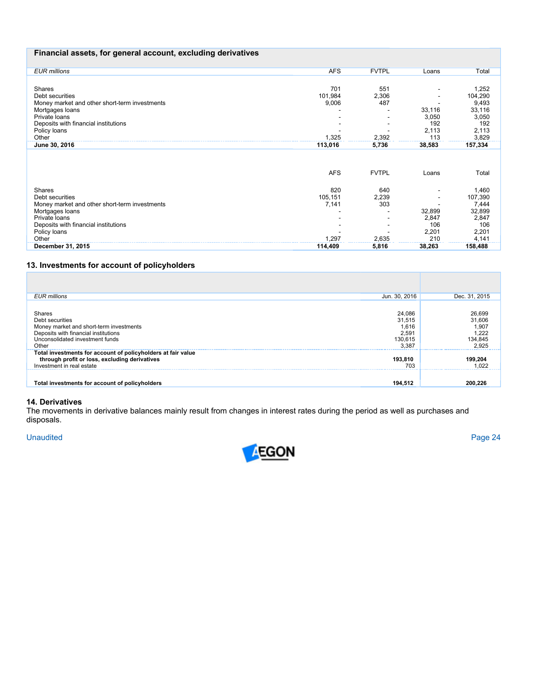## **Financial assets, for general account, excluding derivatives**

| <b>EUR</b> millions                           | <b>AFS</b> | <b>FVTPL</b> | Loans  | Total           |
|-----------------------------------------------|------------|--------------|--------|-----------------|
|                                               |            |              |        |                 |
| Shares                                        | 701        | 551          |        | 1,252           |
| Debt securities                               | 101,984    | 2,306        |        | 104,290         |
| Money market and other short-term investments | 9,006      | 487          |        | 9,493           |
| Mortgages loans                               |            |              | 33,116 | 33,116          |
| Private loans                                 |            |              | 3,050  | 3,050           |
| Deposits with financial institutions          |            |              | 192    | 192             |
| Policy loans                                  |            |              | 2,113  | 2,113           |
| Other                                         | 1,325      | 2,392        | 113    | 3,829           |
| June 30, 2016                                 | 113,016    | 5,736        | 38,583 | 157,334         |
|                                               | <b>AFS</b> | <b>FVTPL</b> | Loans  | Total           |
| <b>Shares</b>                                 | 820        | 640          |        | 1,460           |
| Debt securities                               | 105,151    | 2,239        |        | 107,390         |
| Money market and other short-term investments | 7,141      | 303          |        |                 |
| Mortgages loans                               |            |              | 32,899 | 7,444<br>32,899 |
| Private loans                                 |            |              | 2,847  | 2,847           |
| Deposits with financial institutions          |            |              | 106    | 106             |
| Policy loans                                  |            |              | 2,201  | 2,201           |
| Other                                         | 1,297      | 2,635        | 210    | 4,141           |
| December 31, 2015                             | 114,409    | 5,816        | 38,263 | 158,488         |

# **13. Investments for account of policyholders**

| <b>EUR</b> millions                                                                                                                                      | Jun. 30, 2016                                          | Dec. 31, 2015                                          |
|----------------------------------------------------------------------------------------------------------------------------------------------------------|--------------------------------------------------------|--------------------------------------------------------|
| Shares<br>Debt securities<br>Money market and short-term investments<br>Deposits with financial institutions<br>Unconsolidated investment funds<br>Other | 24,086<br>31,515<br>1,616<br>2,591<br>130,615<br>3.387 | 26,699<br>31,606<br>1,907<br>1,222<br>134,845<br>2.925 |
| Total investments for account of policyholders at fair value<br>through profit or loss, excluding derivatives<br>Investment in real estate               | 193,810<br>703                                         | 199,204<br>.022                                        |
| Total investments for account of policyholders                                                                                                           | 194,512                                                | 200.226                                                |

#### **14. Derivatives**

The movements in derivative balances mainly result from changes in interest rates during the period as well as purchases and disposals.

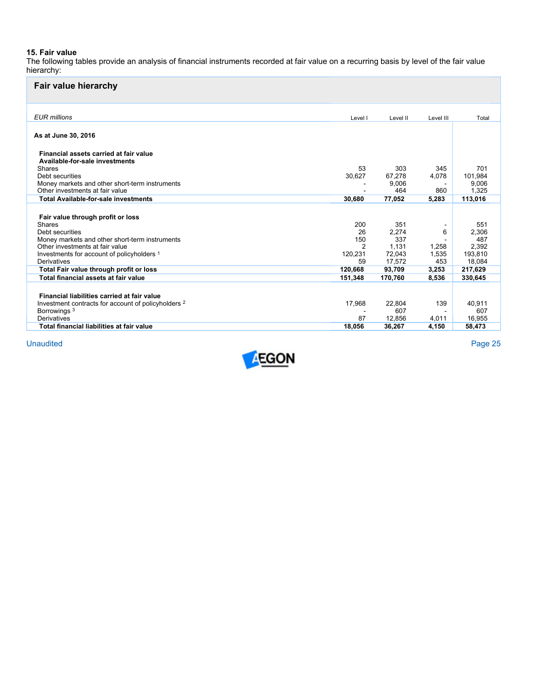#### **15. Fair value**

The following tables provide an analysis of financial instruments recorded at fair value on a recurring basis by level of the fair value hierarchy:

| <b>Fair value hierarchy</b>                                              |                |          |           |         |
|--------------------------------------------------------------------------|----------------|----------|-----------|---------|
| <b>EUR</b> millions                                                      | Level I        | Level II | Level III | Total   |
| As at June 30, 2016                                                      |                |          |           |         |
| Financial assets carried at fair value<br>Available-for-sale investments |                |          |           |         |
| Shares                                                                   | 53             | 303      | 345       | 701     |
| Debt securities                                                          | 30,627         | 67.278   | 4.078     | 101,984 |
| Money markets and other short-term instruments                           |                | 9.006    |           | 9,006   |
| Other investments at fair value                                          |                | 464      | 860       | 1.325   |
| <b>Total Available-for-sale investments</b>                              | 30,680         | 77,052   | 5,283     | 113,016 |
| Fair value through profit or loss                                        |                |          |           |         |
| Shares                                                                   | 200            | 351      |           | 551     |
| Debt securities                                                          | 26             | 2,274    | 6         | 2,306   |
| Money markets and other short-term instruments                           | 150            | 337      |           | 487     |
| Other investments at fair value                                          | $\overline{2}$ | 1.131    | 1,258     | 2,392   |
| Investments for account of policyholders 1                               | 120,231        | 72.043   | 1,535     | 193,810 |
| Derivatives                                                              | 59             | 17,572   | 453       | 18,084  |
| Total Fair value through profit or loss                                  | 120,668        | 93,709   | 3,253     | 217,629 |
| Total financial assets at fair value                                     | 151,348        | 170,760  | 8,536     | 330,645 |
|                                                                          |                |          |           |         |
| Financial liabilities carried at fair value                              |                |          |           |         |
| Investment contracts for account of policyholders 2                      | 17,968         | 22.804   | 139       | 40.911  |
| Borrowings <sup>3</sup>                                                  |                | 607      |           | 607     |
| Derivatives                                                              | 87             | 12,856   | 4,011     | 16,955  |
| Total financial liabilities at fair value                                | 18,056         | 36.267   | 4,150     | 58,473  |

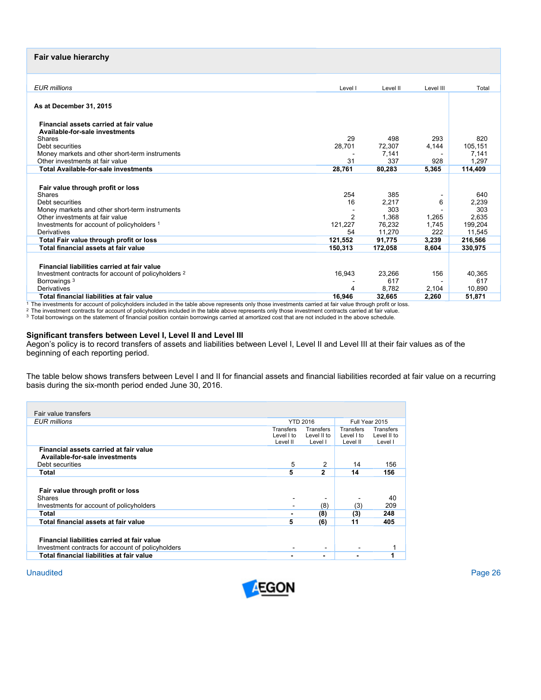# **Fair value hierarchy**

| <b>EUR</b> millions                                                                                                                                                                                                                                         |                                                         |                                                            |                                     |                                                              |
|-------------------------------------------------------------------------------------------------------------------------------------------------------------------------------------------------------------------------------------------------------------|---------------------------------------------------------|------------------------------------------------------------|-------------------------------------|--------------------------------------------------------------|
|                                                                                                                                                                                                                                                             | Level I                                                 | Level II                                                   | Level III                           | Total                                                        |
| As at December 31, 2015                                                                                                                                                                                                                                     |                                                         |                                                            |                                     |                                                              |
| Financial assets carried at fair value<br>Available-for-sale investments                                                                                                                                                                                    |                                                         |                                                            |                                     |                                                              |
| <b>Shares</b>                                                                                                                                                                                                                                               | 29                                                      | 498                                                        | 293                                 | 820                                                          |
| Debt securities                                                                                                                                                                                                                                             | 28,701                                                  | 72,307                                                     | 4,144                               | 105,151                                                      |
| Money markets and other short-term instruments                                                                                                                                                                                                              |                                                         | 7.141                                                      |                                     | 7,141                                                        |
| Other investments at fair value                                                                                                                                                                                                                             | 31                                                      | 337                                                        | 928                                 | 1.297                                                        |
| <b>Total Available-for-sale investments</b>                                                                                                                                                                                                                 | 28,761                                                  | 80,283                                                     | 5,365                               | 114,409                                                      |
| Fair value through profit or loss<br>Shares<br>Debt securities<br>Money markets and other short-term instruments<br>Other investments at fair value<br>Investments for account of policyholders 1<br>Derivatives<br>Total Fair value through profit or loss | 254<br>16<br>$\overline{2}$<br>121.227<br>54<br>121,552 | 385<br>2,217<br>303<br>1.368<br>76.232<br>11.270<br>91,775 | 6<br>1,265<br>1.745<br>222<br>3,239 | 640<br>2,239<br>303<br>2.635<br>199,204<br>11,545<br>216,566 |
| Total financial assets at fair value                                                                                                                                                                                                                        | 150,313                                                 | 172,058                                                    | 8.604                               | 330.975                                                      |
| Financial liabilities carried at fair value<br>Investment contracts for account of policyholders 2<br>Borrowings <sup>3</sup><br>Derivatives                                                                                                                | 16,943<br>4                                             | 23,266<br>617<br>8,782                                     | 156<br>2,104                        | 40,365<br>617<br>10,890                                      |
| Total financial liabilities at fair value                                                                                                                                                                                                                   | 16.946                                                  | 32.665                                                     | 2.260                               | 51,871                                                       |
| The investments for account of policyholders included in the toble above represents only these investments corried of foir value through profit or loos                                                                                                     |                                                         |                                                            |                                     |                                                              |

 $\frac{1}{4}$  The investments for account of policyholders included in the table above represents only those investments carried at fair value through profit or loss.<br>
<sup>2</sup> The investment contracts for account of policyholders

#### **Significant transfers between Level I, Level II and Level III**

Aegon's policy is to record transfers of assets and liabilities between Level I, Level II and Level III at their fair values as of the beginning of each reporting period.

The table below shows transfers between Level I and II for financial assets and financial liabilities recorded at fair value on a recurring basis during the six-month period ended June 30, 2016.

| Fair value transfers                                                                             |                  |                          |                  |                |
|--------------------------------------------------------------------------------------------------|------------------|--------------------------|------------------|----------------|
| <b>EUR</b> millions                                                                              |                  | <b>YTD 2016</b>          |                  | Full Year 2015 |
|                                                                                                  | <b>Transfers</b> | <b>Transfers</b>         | <b>Transfers</b> |                |
|                                                                                                  | Level I to       | Level II to              | Level I to       | Level II to    |
|                                                                                                  | Level II         | Level I                  | Level II         | Level I        |
| Financial assets carried at fair value<br>Available-for-sale investments                         |                  |                          |                  |                |
| Debt securities                                                                                  | 5                | 2                        | 14               | 156            |
| Total                                                                                            | 5                | $\mathbf{2}$             | 14               | 156            |
| Fair value through profit or loss                                                                |                  |                          |                  |                |
| Shares                                                                                           |                  |                          |                  | 40             |
| Investments for account of policyholders                                                         | ۰                | (8)                      | (3)              | 209            |
| Total                                                                                            |                  | (8)                      | (3)              | 248            |
| Total financial assets at fair value                                                             | 5                | (6)                      | 11               | 405            |
| Financial liabilities carried at fair value<br>Investment contracts for account of policyholders | ۰                | $\overline{\phantom{a}}$ | -                | 1              |
| Total financial liabilities at fair value                                                        |                  | $\blacksquare$           |                  | 1              |

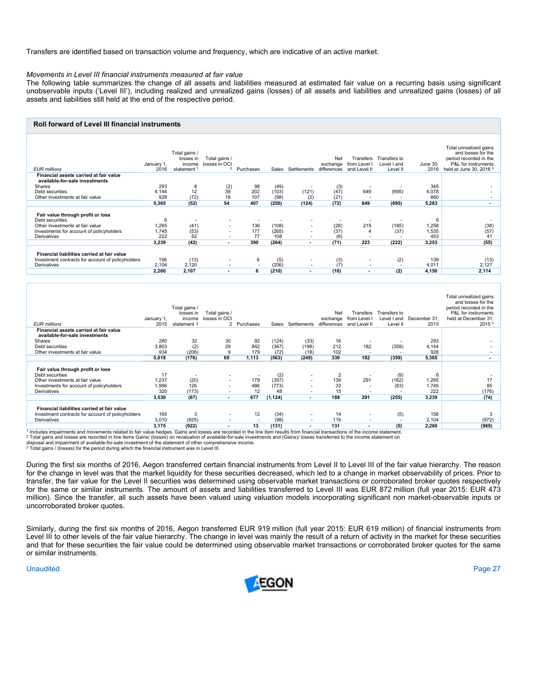Transfers are identified based on transaction volume and frequency, which are indicative of an active market.

#### *Movements in Level III financial instruments measured at fair value*

The following table summarizes the change of all assets and liabilities measured at estimated fair value on a recurring basis using significant unobservable inputs ('Level III'), including realized and unrealized gains (losses) of all assets and liabilities and unrealized gains (losses) of all assets and liabilities still held at the end of the respective period.

#### **Roll forward of Level III financial instruments**

| <b>EUR millions</b>                                                      | January 1,<br>2016 | Total gains /<br>losses in<br>income<br>statement <sup>1</sup> | Total gains /<br>losses in OCI | <sup>2</sup> Purchases | Sales | Settlements              | Net<br>exchange<br>differences | Transfers<br>from Level I<br>and Level II | Transfers to<br>Level I and<br>Level II | June 30.<br>2016 | Total unrealized gains<br>and losses for the<br>period recorded in the<br>P&L for instruments<br>held at June 30, 2016 <sup>3</sup> |
|--------------------------------------------------------------------------|--------------------|----------------------------------------------------------------|--------------------------------|------------------------|-------|--------------------------|--------------------------------|-------------------------------------------|-----------------------------------------|------------------|-------------------------------------------------------------------------------------------------------------------------------------|
| Financial assets carried at fair value<br>available-for-sale investments |                    |                                                                |                                |                        |       |                          |                                |                                           |                                         |                  |                                                                                                                                     |
| Shares                                                                   | 293                | 8                                                              | $^{(2)}_{39}$                  | 98                     | (49)  |                          | (3)                            |                                           |                                         | 345              |                                                                                                                                     |
| Debt securities                                                          | 4,144              | 12                                                             |                                | 202                    | (103) | (121)                    | (47)                           | 649                                       | (695)                                   | 4,078            |                                                                                                                                     |
| Other investments at fair value                                          | 928                | (72)                                                           | 18                             | 107                    | (98)  | (2)                      | (21)                           |                                           |                                         | 860              |                                                                                                                                     |
|                                                                          | 5.365              | (52)                                                           | 54                             | 407                    | (250) | (124)                    | (72)                           | 649                                       | (695)                                   | 5.283            | $\overline{\phantom{a}}$                                                                                                            |
| Fair value through profit or loss<br>Debt securities                     | 6                  |                                                                |                                |                        |       |                          |                                |                                           |                                         | 6                |                                                                                                                                     |
| Other investments at fair value                                          | 1,265              | (41)                                                           |                                | 136                    | (108) | $\sim$                   | (28)                           | 219                                       | (185)                                   | 1,258            | (38)                                                                                                                                |
| Investments for account of policyholders                                 | 1.745              | (53)                                                           |                                | 177                    | (265) | -                        | (37)                           | 4                                         | (37)                                    | 1,535            | (57)                                                                                                                                |
| Derivatives                                                              | 222                | 52                                                             | $\overline{\phantom{a}}$       | 77                     | 108   | $\overline{\phantom{a}}$ | (6)                            |                                           |                                         | 453              | 41                                                                                                                                  |
|                                                                          | 3,239              | (42)                                                           |                                | 390                    | (264) |                          | (71)                           | 223                                       | (222)                                   | 3,253            | (55)                                                                                                                                |
| Financial liabilities carried at fair value                              |                    |                                                                |                                |                        |       |                          |                                |                                           |                                         |                  |                                                                                                                                     |
| Investment contracts for account of policyholders                        | 156                | (13)                                                           |                                | 6                      | (5)   | ٠                        | (3)                            | $\overline{\phantom{a}}$                  | (2)                                     | 139              | (13)                                                                                                                                |
| Derivatives                                                              | 2,104              | 2.120                                                          | $\sim$                         |                        | (206) | $\sim$                   |                                | $\overline{\phantom{a}}$                  | $\overline{\phantom{a}}$                | 4,011            | 2,127                                                                                                                               |
|                                                                          | 2.260              | 2.107                                                          |                                | 6                      | (210) |                          | (10)                           | ۰                                         | (2)                                     | 4,150            | 2,114                                                                                                                               |
|                                                                          |                    |                                                                |                                |                        |       |                          |                                |                                           |                                         |                  |                                                                                                                                     |

| <b>EUR</b> millions                                                      | January 1,<br>2015 | Total gains /<br>losses in<br>income<br>statement 1 | Total gains /<br>losses in OCI | 2 Purchases | Sales    | Settlements              | Net<br>exchange<br>differences | Transfers<br>from Level I<br>and Level II | Transfers to<br>Level I and<br>Level II | December 31.<br>2015 | Total unrealized gains<br>and losses for the<br>period recorded in the<br>P&L for instruments<br>held at December 31,<br>2015 <sup>3</sup> |
|--------------------------------------------------------------------------|--------------------|-----------------------------------------------------|--------------------------------|-------------|----------|--------------------------|--------------------------------|-------------------------------------------|-----------------------------------------|----------------------|--------------------------------------------------------------------------------------------------------------------------------------------|
| Financial assets carried at fair value<br>available-for-sale investments |                    |                                                     |                                |             |          |                          |                                |                                           |                                         |                      |                                                                                                                                            |
| Shares                                                                   | 280                | 32                                                  | 30                             | 92          | (124)    | (33)                     | 16                             |                                           |                                         | 293                  |                                                                                                                                            |
| Debt securities                                                          | 3,803              | (2)                                                 | 29                             | 842         | (367)    | (198)                    | 212                            | 182                                       | (359)                                   | 4,144                |                                                                                                                                            |
| Other investments at fair value                                          | 934                | (206)                                               | 9                              | 179         | (72)     | (18)                     | 102                            | $\overline{\phantom{a}}$                  |                                         | 928                  | $\overline{\phantom{a}}$                                                                                                                   |
|                                                                          | 5,018              | (176)                                               | 69                             | 1,113       | (563)    | (249)                    | 330                            | 182                                       | (359)                                   | 5,365                | $\overline{\phantom{a}}$                                                                                                                   |
| Fair value through profit or loss                                        |                    |                                                     |                                |             |          |                          |                                |                                           |                                         |                      |                                                                                                                                            |
| Debt securities                                                          | 17                 | ٠                                                   | $\sim$                         |             | (2)      |                          | 2                              |                                           | (9)                                     | 6                    |                                                                                                                                            |
| Other investments at fair value                                          | 1,237              | (20)                                                | $\sim$                         | 179         | (397)    | ۰                        | 139                            | 291                                       | (162)                                   | 1,265                | 17                                                                                                                                         |
| Investments for account of policyholders                                 | 1,956              | 126                                                 | ۰.                             | 486         | (773)    | ۰                        | 33                             |                                           | (83)                                    | 1,745                | 85                                                                                                                                         |
| Derivatives                                                              | 320                | (173)                                               |                                | 12          | 48       |                          | 15                             |                                           |                                         | 222                  | (176)                                                                                                                                      |
|                                                                          | 3,530              | (67)                                                |                                | 677         | (1, 124) | ۰.                       | 188                            | 291                                       | (255)                                   | 3,239                | (74)                                                                                                                                       |
| Financial liabilities carried at fair value                              |                    |                                                     |                                |             |          |                          |                                |                                           |                                         |                      |                                                                                                                                            |
| Investment contracts for account of policyholders                        | 165                | 3                                                   | $\overline{\phantom{a}}$       | 12          | (34)     | $\overline{\phantom{a}}$ | 14                             | ۰.                                        | (5)                                     | 156                  | 3                                                                                                                                          |
| Derivatives                                                              | 3.010              | (925)                                               |                                | -           | (98)     |                          | 116                            | ۰.                                        |                                         | 2.104                | (972)                                                                                                                                      |
|                                                                          | 3,175              | (922)                                               |                                | 13          | (131)    |                          | 131                            |                                           | (5)                                     | 2,260                | (969)                                                                                                                                      |

89) [5] [6] [922] [922] [922] [922] [922] [922] [922] [923] [131] [131] [131] [131] [131] [150 [150 [160] [160<br>I Includes impairments and movements related to fair value hedges. Gains and losses are recorded in the line te

disposal and impairment of available-for-sale investment of the statement of other comprehensive income.<br><sup>3</sup> Total gains / (losses) for the period during which the financial instrument was in Level III.

During the first six months of 2016, Aegon transferred certain financial instruments from Level II to Level III of the fair value hierarchy. The reason for the change in level was that the market liquidity for these securities decreased, which led to a change in market observability of prices. Prior to transfer, the fair value for the Level II securities was determined using observable market transactions or corroborated broker quotes respectively for the same or similar instruments. The amount of assets and liabilities transferred to Level III was EUR 872 million (full year 2015: EUR 473 million). Since the transfer, all such assets have been valued using valuation models incorporating significant non market-observable inputs or uncorroborated broker quotes.

Similarly, during the first six months of 2016, Aegon transferred EUR 919 million (full year 2015: EUR 619 million) of financial instruments from Level III to other levels of the fair value hierarchy. The change in level was mainly the result of a return of activity in the market for these securities and that for these securities the fair value could be determined using observable market transactions or corroborated broker quotes for the same or similar instruments.

Unaudited **Page 27 (2010)** Page 27 (2010) Page 27 (2010) Page 27 (2010) Page 27 (2010) Page 27 (2010) Page 27 (2010)

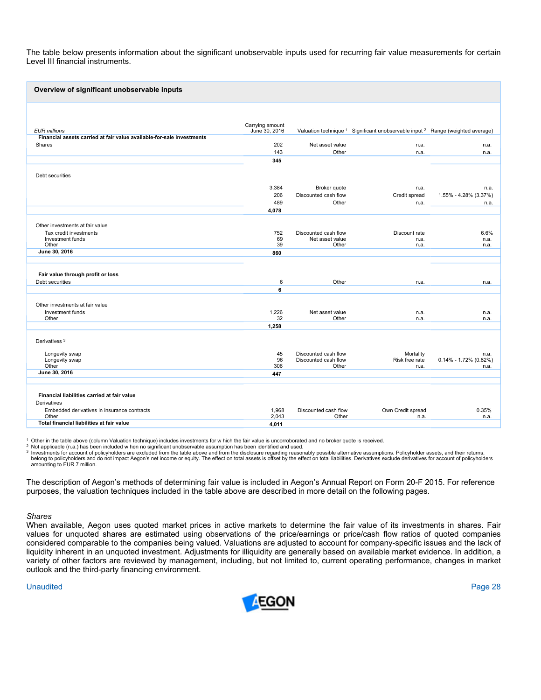The table below presents information about the significant unobservable inputs used for recurring fair value measurements for certain Level III financial instruments.

| Overview of significant unobservable inputs                           |                                  |                               |                                                                                                       |                                   |
|-----------------------------------------------------------------------|----------------------------------|-------------------------------|-------------------------------------------------------------------------------------------------------|-----------------------------------|
|                                                                       |                                  |                               |                                                                                                       |                                   |
| <b>EUR</b> millions                                                   | Carrying amount<br>June 30, 2016 |                               | Valuation technique <sup>1</sup> Significant unobservable input <sup>2</sup> Range (weighted average) |                                   |
| Financial assets carried at fair value available for sale investments |                                  |                               |                                                                                                       |                                   |
| Shares                                                                | 202                              | Net asset value               | n.a.                                                                                                  | n.a.                              |
|                                                                       | 143                              | Other                         | n.a.                                                                                                  | n.a.                              |
|                                                                       | 345                              |                               |                                                                                                       |                                   |
| Debt securities                                                       |                                  |                               |                                                                                                       |                                   |
|                                                                       | 3,384                            | Broker quote                  | n.a.                                                                                                  | n.a.                              |
|                                                                       | 206                              | Discounted cash flow          | Credit spread                                                                                         | 1.55% - 4.28% (3.37%)             |
|                                                                       | 489                              | Other                         | n.a.                                                                                                  | n.a.                              |
|                                                                       | 4,078                            |                               |                                                                                                       |                                   |
|                                                                       |                                  |                               |                                                                                                       |                                   |
| Other investments at fair value<br>Tax credit investments             | 752                              | Discounted cash flow          | Discount rate                                                                                         | 6.6%                              |
| Investment funds                                                      | 69                               | Net asset value               | n.a.                                                                                                  | n.a.                              |
| Other                                                                 | 39                               | Other                         | n.a.                                                                                                  | n.a.                              |
| June 30, 2016                                                         | 860                              |                               |                                                                                                       |                                   |
|                                                                       |                                  |                               |                                                                                                       |                                   |
| Fair value through profit or loss                                     |                                  |                               |                                                                                                       |                                   |
| Debt securities                                                       | 6                                | Other                         | n.a.                                                                                                  | n.a.                              |
|                                                                       | 6                                |                               |                                                                                                       |                                   |
|                                                                       |                                  |                               |                                                                                                       |                                   |
| Other investments at fair value                                       |                                  |                               |                                                                                                       |                                   |
| Investment funds<br>Other                                             | 1,226<br>32                      | Net asset value<br>Other      | n.a.<br>n.a.                                                                                          | n.a.<br>n.a.                      |
|                                                                       | 1,258                            |                               |                                                                                                       |                                   |
|                                                                       |                                  |                               |                                                                                                       |                                   |
| Derivatives <sup>3</sup>                                              |                                  |                               |                                                                                                       |                                   |
| Longevity swap                                                        | 45                               | Discounted cash flow          | Mortality                                                                                             | n.a.                              |
| Longevity swap<br>Other                                               | 96<br>306                        | Discounted cash flow<br>Other | Risk free rate<br>n.a.                                                                                | $0.14\% - 1.72\%$ (0.82%)<br>n.a. |
| June 30, 2016                                                         | 447                              |                               |                                                                                                       |                                   |
|                                                                       |                                  |                               |                                                                                                       |                                   |
| Financial liabilities carried at fair value                           |                                  |                               |                                                                                                       |                                   |
| Derivatives                                                           |                                  |                               |                                                                                                       |                                   |
| Embedded derivatives in insurance contracts                           | 1,968                            | Discounted cash flow          | Own Credit spread                                                                                     | 0.35%                             |
| Other                                                                 | 2,043                            | Other                         | n.a.                                                                                                  | n.a.                              |
| Total financial liabilities at fair value                             | 4,011                            |                               |                                                                                                       |                                   |

<sup>1</sup> Other in the table above (column Valuation technique) includes investments for w hich the fair value is uncorroborated and no broker quote is received.

2 Not applicable (n.a.) has been included when no significant unobservable assumption has been identified and used.<br>3 Investments for account of policyholders are excluded from the table above and from the disclosure regar belong to policyholders and do not impact Aegon's net income or equity. The effect on total assets is offset by the effect on total liabilities. Derivatives exclude derivatives for account of policyholders amounting to EUR 7 million.

The description of Aegon's methods of determining fair value is included in Aegon's Annual Report on Form 20-F 2015. For reference purposes, the valuation techniques included in the table above are described in more detail on the following pages.

#### *Shares*

When available, Aegon uses quoted market prices in active markets to determine the fair value of its investments in shares. Fair values for unquoted shares are estimated using observations of the price/earnings or price/cash flow ratios of quoted companies considered comparable to the companies being valued. Valuations are adjusted to account for company-specific issues and the lack of liquidity inherent in an unquoted investment. Adjustments for illiquidity are generally based on available market evidence. In addition, a variety of other factors are reviewed by management, including, but not limited to, current operating performance, changes in market outlook and the third-party financing environment.

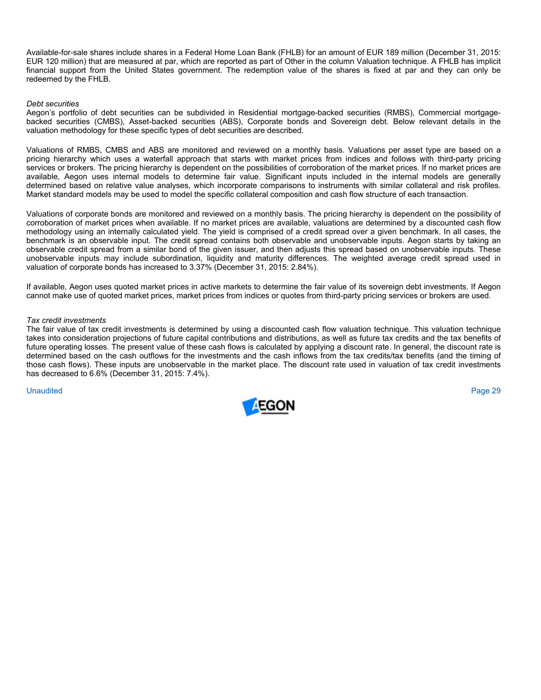Available-for-sale shares include shares in a Federal Home Loan Bank (FHLB) for an amount of EUR 189 million (December 31, 2015: EUR 120 million) that are measured at par, which are reported as part of Other in the column Valuation technique. A FHLB has implicit financial support from the United States government. The redemption value of the shares is fixed at par and they can only be redeemed by the FHLB.

#### *Debt securities*

Aegon's portfolio of debt securities can be subdivided in Residential mortgage-backed securities (RMBS), Commercial mortgagebacked securities (CMBS), Asset-backed securities (ABS), Corporate bonds and Sovereign debt. Below relevant details in the valuation methodology for these specific types of debt securities are described.

Valuations of RMBS, CMBS and ABS are monitored and reviewed on a monthly basis. Valuations per asset type are based on a pricing hierarchy which uses a waterfall approach that starts with market prices from indices and follows with third-party pricing services or brokers. The pricing hierarchy is dependent on the possibilities of corroboration of the market prices. If no market prices are available, Aegon uses internal models to determine fair value. Significant inputs included in the internal models are generally determined based on relative value analyses, which incorporate comparisons to instruments with similar collateral and risk profiles. Market standard models may be used to model the specific collateral composition and cash flow structure of each transaction.

Valuations of corporate bonds are monitored and reviewed on a monthly basis. The pricing hierarchy is dependent on the possibility of corroboration of market prices when available. If no market prices are available, valuations are determined by a discounted cash flow methodology using an internally calculated yield. The yield is comprised of a credit spread over a given benchmark. In all cases, the benchmark is an observable input. The credit spread contains both observable and unobservable inputs. Aegon starts by taking an observable credit spread from a similar bond of the given issuer, and then adjusts this spread based on unobservable inputs. These unobservable inputs may include subordination, liquidity and maturity differences. The weighted average credit spread used in valuation of corporate bonds has increased to 3.37% (December 31, 2015: 2.84%).

If available, Aegon uses quoted market prices in active markets to determine the fair value of its sovereign debt investments. If Aegon cannot make use of quoted market prices, market prices from indices or quotes from third-party pricing services or brokers are used.

#### *Tax credit investments*

The fair value of tax credit investments is determined by using a discounted cash flow valuation technique. This valuation technique takes into consideration projections of future capital contributions and distributions, as well as future tax credits and the tax benefits of future operating losses. The present value of these cash flows is calculated by applying a discount rate. In general, the discount rate is determined based on the cash outflows for the investments and the cash inflows from the tax credits/tax benefits (and the timing of those cash flows). These inputs are unobservable in the market place. The discount rate used in valuation of tax credit investments has decreased to 6.6% (December 31, 2015: 7.4%).

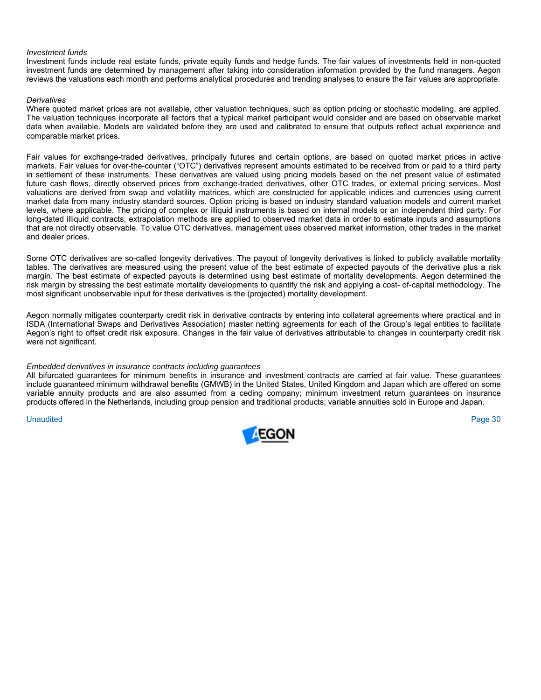#### *Investment funds*

Investment funds include real estate funds, private equity funds and hedge funds. The fair values of investments held in non-quoted investment funds are determined by management after taking into consideration information provided by the fund managers. Aegon reviews the valuations each month and performs analytical procedures and trending analyses to ensure the fair values are appropriate.

#### *Derivatives*

Where quoted market prices are not available, other valuation techniques, such as option pricing or stochastic modeling, are applied. The valuation techniques incorporate all factors that a typical market participant would consider and are based on observable market data when available. Models are validated before they are used and calibrated to ensure that outputs reflect actual experience and comparable market prices.

Fair values for exchange-traded derivatives, principally futures and certain options, are based on quoted market prices in active markets. Fair values for over-the-counter ("OTC") derivatives represent amounts estimated to be received from or paid to a third party in settlement of these instruments. These derivatives are valued using pricing models based on the net present value of estimated future cash flows, directly observed prices from exchange-traded derivatives, other OTC trades, or external pricing services. Most valuations are derived from swap and volatility matrices, which are constructed for applicable indices and currencies using current market data from many industry standard sources. Option pricing is based on industry standard valuation models and current market levels, where applicable. The pricing of complex or illiquid instruments is based on internal models or an independent third party. For long-dated illiquid contracts, extrapolation methods are applied to observed market data in order to estimate inputs and assumptions that are not directly observable. To value OTC derivatives, management uses observed market information, other trades in the market and dealer prices.

Some OTC derivatives are so-called longevity derivatives. The payout of longevity derivatives is linked to publicly available mortality tables. The derivatives are measured using the present value of the best estimate of expected payouts of the derivative plus a risk margin. The best estimate of expected payouts is determined using best estimate of mortality developments. Aegon determined the risk margin by stressing the best estimate mortality developments to quantify the risk and applying a cost- of-capital methodology. The most significant unobservable input for these derivatives is the (projected) mortality development.

Aegon normally mitigates counterparty credit risk in derivative contracts by entering into collateral agreements where practical and in ISDA (International Swaps and Derivatives Association) master netting agreements for each of the Group's legal entities to facilitate Aegon's right to offset credit risk exposure. Changes in the fair value of derivatives attributable to changes in counterparty credit risk were not significant.

#### *Embedded derivatives in insurance contracts including guarantees*

All bifurcated guarantees for minimum benefits in insurance and investment contracts are carried at fair value. These guarantees include guaranteed minimum withdrawal benefits (GMWB) in the United States, United Kingdom and Japan which are offered on some variable annuity products and are also assumed from a ceding company; minimum investment return guarantees on insurance products offered in the Netherlands, including group pension and traditional products; variable annuities sold in Europe and Japan.

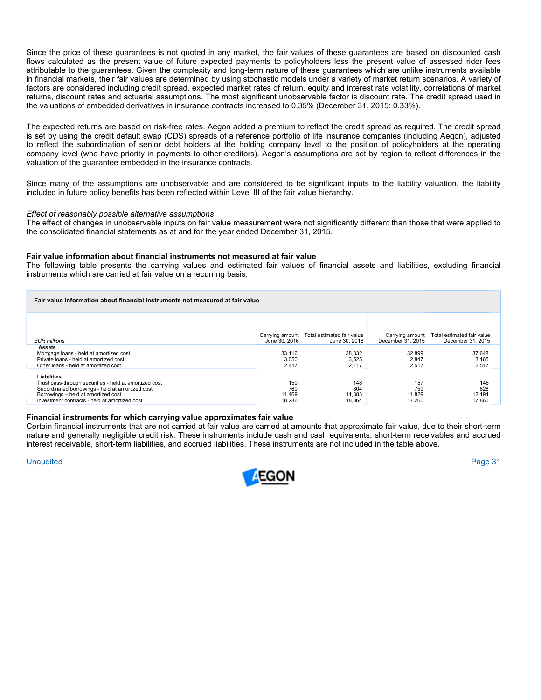Since the price of these guarantees is not quoted in any market, the fair values of these guarantees are based on discounted cash flows calculated as the present value of future expected payments to policyholders less the present value of assessed rider fees attributable to the guarantees. Given the complexity and long-term nature of these guarantees which are unlike instruments available in financial markets, their fair values are determined by using stochastic models under a variety of market return scenarios. A variety of factors are considered including credit spread, expected market rates of return, equity and interest rate volatility, correlations of market returns, discount rates and actuarial assumptions. The most significant unobservable factor is discount rate. The credit spread used in the valuations of embedded derivatives in insurance contracts increased to 0.35% (December 31, 2015: 0.33%).

The expected returns are based on risk-free rates. Aegon added a premium to reflect the credit spread as required. The credit spread is set by using the credit default swap (CDS) spreads of a reference portfolio of life insurance companies (including Aegon), adjusted to reflect the subordination of senior debt holders at the holding company level to the position of policyholders at the operating company level (who have priority in payments to other creditors). Aegon's assumptions are set by region to reflect differences in the valuation of the guarantee embedded in the insurance contracts.

Since many of the assumptions are unobservable and are considered to be significant inputs to the liability valuation, the liability included in future policy benefits has been reflected within Level III of the fair value hierarchy.

#### *Effect of reasonably possible alternative assumptions*

The effect of changes in unobservable inputs on fair value measurement were not significantly different than those that were applied to the consolidated financial statements as at and for the year ended December 31, 2015.

#### **Fair value information about financial instruments not measured at fair value**

The following table presents the carrying values and estimated fair values of financial assets and liabilities, excluding financial instruments which are carried at fair value on a recurring basis.

| Fair value information about financial instruments not measured at fair value                                                       |                          |                                            |                          |                            |
|-------------------------------------------------------------------------------------------------------------------------------------|--------------------------|--------------------------------------------|--------------------------|----------------------------|
|                                                                                                                                     |                          | Carrying amount Total estimated fair value | Carrying amount          | Total estimated fair value |
| <b>EUR</b> millions                                                                                                                 | June 30, 2016            | June 30, 2016                              | December 31, 2015        | December 31, 2015          |
| Assets<br>Mortgage loans - held at amortized cost<br>Private loans - held at amortized cost<br>Other loans - held at amortized cost | 33.116<br>3.050<br>2.417 | 38,832<br>3.525<br>2.417                   | 32,899<br>2.847<br>2,517 | 37,648<br>3,165<br>2,517   |
| Liabilities                                                                                                                         |                          |                                            |                          |                            |
| Trust pass-through securities - held at amortized cost                                                                              | 159                      | 148                                        | 157                      | 146                        |
| Subordinated borrowings - held at amortized cost                                                                                    | 760                      | 804                                        | 759                      | 828                        |
| Borrowings - held at amortized cost                                                                                                 | 11.469                   | 11.883                                     | 11.829                   | 12,194                     |
| Investment contracts - held at amortized cost                                                                                       | 18.286                   | 18.864                                     | 17.260                   | 17.860                     |

#### **Financial instruments for which carrying value approximates fair value**

Certain financial instruments that are not carried at fair value are carried at amounts that approximate fair value, due to their short-term nature and generally negligible credit risk. These instruments include cash and cash equivalents, short-term receivables and accrued interest receivable, short-term liabilities, and accrued liabilities. These instruments are not included in the table above.

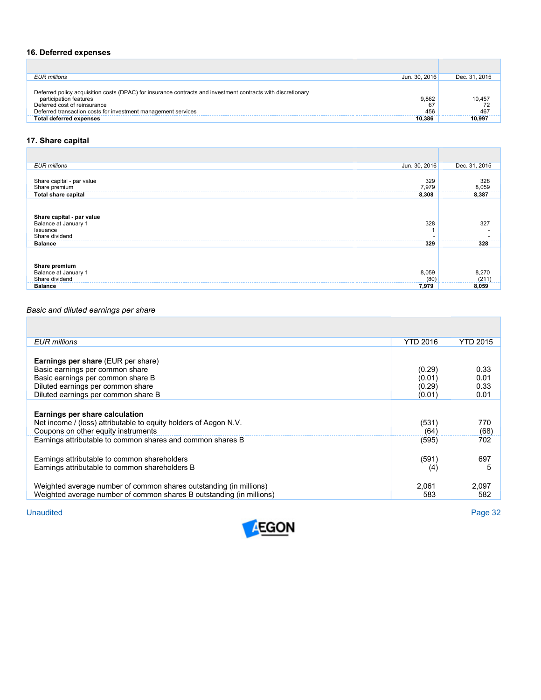## **16. Deferred expenses**

| Jun. 30, 2016<br><b>EUR</b> millions                                                                         | Dec. 31, 2015 |
|--------------------------------------------------------------------------------------------------------------|---------------|
|                                                                                                              |               |
| Deferred policy acquisition costs (DPAC) for insurance contracts and investment contracts with discretionary |               |
| 9.862<br>participation features                                                                              | 10.457        |
| Deferred cost of reinsurance<br>67                                                                           |               |
| Deferred transaction costs for investment management services<br>456                                         | 467           |
| <b>Total deferred expenses</b><br>10.386                                                                     | 10.997        |

# **17. Share capital**

| Jun. 30, 2016<br><b>EUR</b> millions                                                   | Dec. 31, 2015   |
|----------------------------------------------------------------------------------------|-----------------|
|                                                                                        |                 |
| 329<br>Share capital - par value                                                       | 328<br>8,059    |
| Share premium<br>7,979<br><b>Total share capital</b><br>8,308                          | 8,387           |
| Share capital - par value<br>Balance at January 1<br>328<br>Issuance<br>Share dividend | 327<br>-------- |
| 329<br><b>Balance</b>                                                                  | 328             |
| <b>Share premium</b><br>Balance at January 1<br>8,059                                  | 8,270           |
| Share dividend<br>(80)                                                                 | (211)           |
| 7,979<br><b>Balance</b>                                                                | 8,059           |

# *Basic and diluted earnings per share*

| EUR millions                                                                                                                                                                                  | <b>YTD 2016</b>                      | YTD 2015                     |
|-----------------------------------------------------------------------------------------------------------------------------------------------------------------------------------------------|--------------------------------------|------------------------------|
| <b>Earnings per share (EUR per share)</b><br>Basic earnings per common share<br>Basic earnings per common share B<br>Diluted earnings per common share<br>Diluted earnings per common share B | (0.29)<br>(0.01)<br>(0.29)<br>(0.01) | 0.33<br>0.01<br>0.33<br>0.01 |
| Earnings per share calculation<br>Net income / (loss) attributable to equity holders of Aegon N.V.<br>Coupons on other equity instruments                                                     | (531)<br>(64)                        | 770<br>(68)                  |
| Earnings attributable to common shares and common shares B                                                                                                                                    | (595)                                | 702                          |
| Earnings attributable to common shareholders<br>Earnings attributable to common shareholders B                                                                                                | (591)<br>(4)                         | 697<br>5                     |
| Weighted average number of common shares outstanding (in millions)<br>Weighted average number of common shares B outstanding (in millions)                                                    | 2.061<br>583                         | 2,097<br>582                 |

**Unaudited** Unaudited Page 32

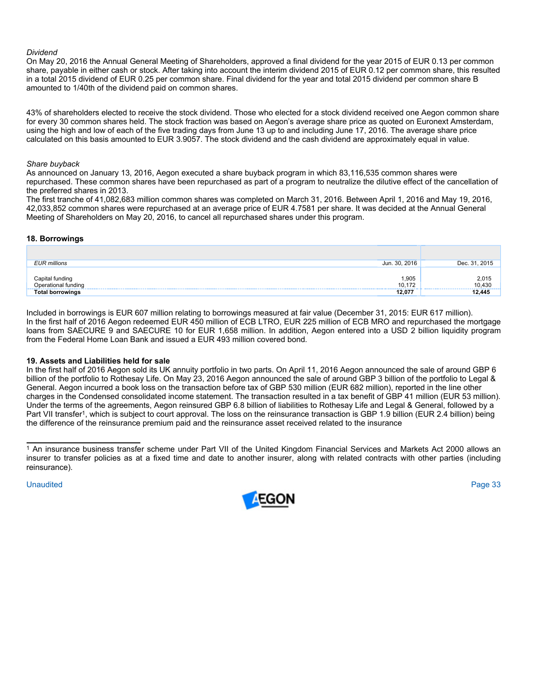#### *Dividend*

On May 20, 2016 the Annual General Meeting of Shareholders, approved a final dividend for the year 2015 of EUR 0.13 per common share, payable in either cash or stock. After taking into account the interim dividend 2015 of EUR 0.12 per common share, this resulted in a total 2015 dividend of EUR 0.25 per common share. Final dividend for the year and total 2015 dividend per common share B amounted to 1/40th of the dividend paid on common shares.

43% of shareholders elected to receive the stock dividend. Those who elected for a stock dividend received one Aegon common share for every 30 common shares held. The stock fraction was based on Aegon's average share price as quoted on Euronext Amsterdam, using the high and low of each of the five trading days from June 13 up to and including June 17, 2016. The average share price calculated on this basis amounted to EUR 3.9057. The stock dividend and the cash dividend are approximately equal in value.

#### *Share buyback*

As announced on January 13, 2016, Aegon executed a share buyback program in which 83,116,535 common shares were repurchased. These common shares have been repurchased as part of a program to neutralize the dilutive effect of the cancellation of the preferred shares in 2013.

The first tranche of 41,082,683 million common shares was completed on March 31, 2016. Between April 1, 2016 and May 19, 2016, 42,033,852 common shares were repurchased at an average price of EUR 4.7581 per share. It was decided at the Annual General Meeting of Shareholders on May 20, 2016, to cancel all repurchased shares under this program.

#### **18. Borrowings**

| <b>EUR millions</b>                    | Jun. 30, 2016   | Dec. 31, 2015   |
|----------------------------------------|-----------------|-----------------|
| Capital funding<br>Operational funding | 1,905<br>10.172 | 2,015<br>10,430 |
| <b>Total borrowings</b>                | 12,077          | 12,445          |

Included in borrowings is EUR 607 million relating to borrowings measured at fair value (December 31, 2015: EUR 617 million). In the first half of 2016 Aegon redeemed EUR 450 million of ECB LTRO, EUR 225 million of ECB MRO and repurchased the mortgage loans from SAECURE 9 and SAECURE 10 for EUR 1,658 million. In addition, Aegon entered into a USD 2 billion liquidity program from the Federal Home Loan Bank and issued a EUR 493 million covered bond*.*

#### **19. Assets and Liabilities held for sale**

In the first half of 2016 Aegon sold its UK annuity portfolio in two parts. On April 11, 2016 Aegon announced the sale of around GBP 6 billion of the portfolio to Rothesay Life. On May 23, 2016 Aegon announced the sale of around GBP 3 billion of the portfolio to Legal & General. Aegon incurred a book loss on the transaction before tax of GBP 530 million (EUR 682 million), reported in the line other charges in the Condensed consolidated income statement. The transaction resulted in a tax benefit of GBP 41 million (EUR 53 million). Under the terms of the agreements, Aegon reinsured GBP 6.8 billion of liabilities to Rothesay Life and Legal & General, followed by a Part VII transfer<sup>1</sup>, which is subject to court approval. The loss on the reinsurance transaction is GBP 1.9 billion (EUR 2.4 billion) being the difference of the reinsurance premium paid and the reinsurance asset received related to the insurance



<sup>1</sup> An insurance business transfer scheme under Part VII of the United Kingdom Financial Services and Markets Act 2000 allows an insurer to transfer policies as at a fixed time and date to another insurer, along with related contracts with other parties (including reinsurance).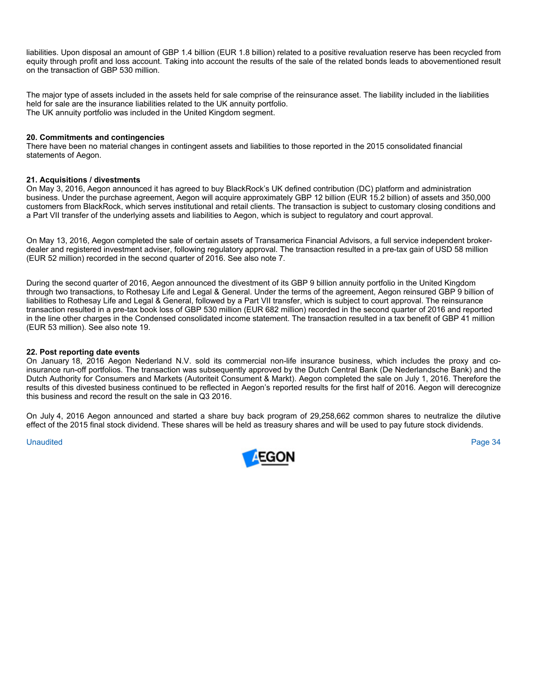liabilities. Upon disposal an amount of GBP 1.4 billion (EUR 1.8 billion) related to a positive revaluation reserve has been recycled from equity through profit and loss account. Taking into account the results of the sale of the related bonds leads to abovementioned result on the transaction of GBP 530 million.

The major type of assets included in the assets held for sale comprise of the reinsurance asset. The liability included in the liabilities held for sale are the insurance liabilities related to the UK annuity portfolio. The UK annuity portfolio was included in the United Kingdom segment.

#### **20. Commitments and contingencies**

There have been no material changes in contingent assets and liabilities to those reported in the 2015 consolidated financial statements of Aegon.

#### **21. Acquisitions / divestments**

On May 3, 2016, Aegon announced it has agreed to buy BlackRock's UK defined contribution (DC) platform and administration business. Under the purchase agreement, Aegon will acquire approximately GBP 12 billion (EUR 15.2 billion) of assets and 350,000 customers from BlackRock, which serves institutional and retail clients. The transaction is subject to customary closing conditions and a Part VII transfer of the underlying assets and liabilities to Aegon, which is subject to regulatory and court approval.

On May 13, 2016, Aegon completed the sale of certain assets of Transamerica Financial Advisors, a full service independent brokerdealer and registered investment adviser, following regulatory approval. The transaction resulted in a pre-tax gain of USD 58 million (EUR 52 million) recorded in the second quarter of 2016. See also note 7.

During the second quarter of 2016, Aegon announced the divestment of its GBP 9 billion annuity portfolio in the United Kingdom through two transactions, to Rothesay Life and Legal & General. Under the terms of the agreement, Aegon reinsured GBP 9 billion of liabilities to Rothesay Life and Legal & General, followed by a Part VII transfer, which is subject to court approval. The reinsurance transaction resulted in a pre-tax book loss of GBP 530 million (EUR 682 million) recorded in the second quarter of 2016 and reported in the line other charges in the Condensed consolidated income statement. The transaction resulted in a tax benefit of GBP 41 million (EUR 53 million). See also note 19.

#### **22. Post reporting date events**

On January 18, 2016 Aegon Nederland N.V. sold its commercial non-life insurance business, which includes the proxy and coinsurance run-off portfolios. The transaction was subsequently approved by the Dutch Central Bank (De Nederlandsche Bank) and the Dutch Authority for Consumers and Markets (Autoriteit Consument & Markt). Aegon completed the sale on July 1, 2016. Therefore the results of this divested business continued to be reflected in Aegon's reported results for the first half of 2016. Aegon will derecognize this business and record the result on the sale in Q3 2016.

On July 4, 2016 Aegon announced and started a share buy back program of 29,258,662 common shares to neutralize the dilutive effect of the 2015 final stock dividend. These shares will be held as treasury shares and will be used to pay future stock dividends.

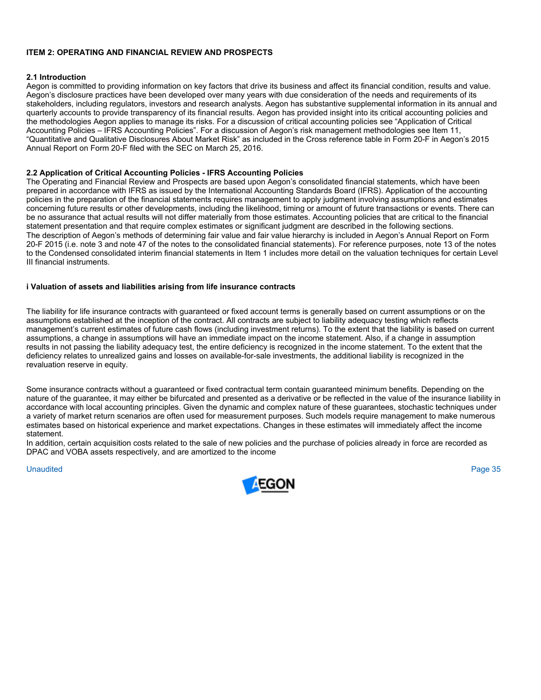#### **ITEM 2: OPERATING AND FINANCIAL REVIEW AND PROSPECTS**

#### **2.1 Introduction**

Aegon is committed to providing information on key factors that drive its business and affect its financial condition, results and value. Aegon's disclosure practices have been developed over many years with due consideration of the needs and requirements of its stakeholders, including regulators, investors and research analysts. Aegon has substantive supplemental information in its annual and quarterly accounts to provide transparency of its financial results. Aegon has provided insight into its critical accounting policies and the methodologies Aegon applies to manage its risks. For a discussion of critical accounting policies see "Application of Critical Accounting Policies – IFRS Accounting Policies". For a discussion of Aegon's risk management methodologies see Item 11, "Quantitative and Qualitative Disclosures About Market Risk" as included in the Cross reference table in Form 20-F in Aegon's 2015 Annual Report on Form 20-F filed with the SEC on March 25, 2016.

#### **2.2 Application of Critical Accounting Policies - IFRS Accounting Policies**

The Operating and Financial Review and Prospects are based upon Aegon's consolidated financial statements, which have been prepared in accordance with IFRS as issued by the International Accounting Standards Board (IFRS). Application of the accounting policies in the preparation of the financial statements requires management to apply judgment involving assumptions and estimates concerning future results or other developments, including the likelihood, timing or amount of future transactions or events. There can be no assurance that actual results will not differ materially from those estimates. Accounting policies that are critical to the financial statement presentation and that require complex estimates or significant judgment are described in the following sections. The description of Aegon's methods of determining fair value and fair value hierarchy is included in Aegon's Annual Report on Form 20-F 2015 (i.e. note 3 and note 47 of the notes to the consolidated financial statements). For reference purposes, note 13 of the notes to the Condensed consolidated interim financial statements in Item 1 includes more detail on the valuation techniques for certain Level III financial instruments.

#### **i Valuation of assets and liabilities arising from life insurance contracts**

The liability for life insurance contracts with guaranteed or fixed account terms is generally based on current assumptions or on the assumptions established at the inception of the contract. All contracts are subject to liability adequacy testing which reflects management's current estimates of future cash flows (including investment returns). To the extent that the liability is based on current assumptions, a change in assumptions will have an immediate impact on the income statement. Also, if a change in assumption results in not passing the liability adequacy test, the entire deficiency is recognized in the income statement. To the extent that the deficiency relates to unrealized gains and losses on available-for-sale investments, the additional liability is recognized in the revaluation reserve in equity.

Some insurance contracts without a guaranteed or fixed contractual term contain guaranteed minimum benefits. Depending on the nature of the guarantee, it may either be bifurcated and presented as a derivative or be reflected in the value of the insurance liability in accordance with local accounting principles. Given the dynamic and complex nature of these guarantees, stochastic techniques under a variety of market return scenarios are often used for measurement purposes. Such models require management to make numerous estimates based on historical experience and market expectations. Changes in these estimates will immediately affect the income statement.

In addition, certain acquisition costs related to the sale of new policies and the purchase of policies already in force are recorded as DPAC and VOBA assets respectively, and are amortized to the income

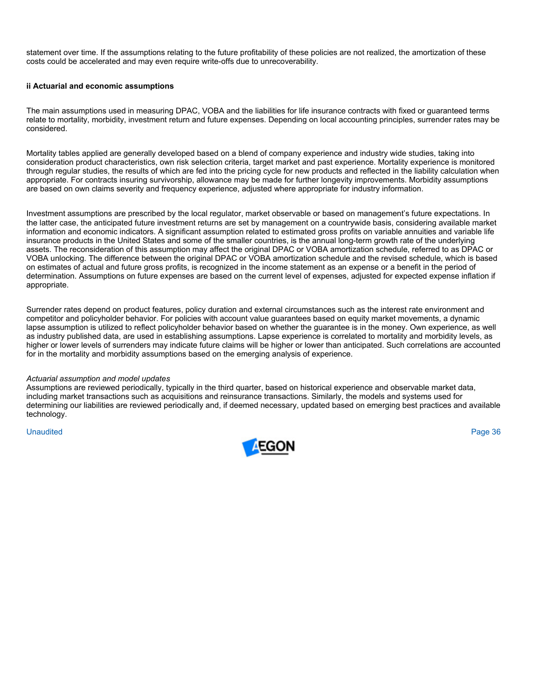statement over time. If the assumptions relating to the future profitability of these policies are not realized, the amortization of these costs could be accelerated and may even require write-offs due to unrecoverability.

# **ii Actuarial and economic assumptions**

The main assumptions used in measuring DPAC, VOBA and the liabilities for life insurance contracts with fixed or guaranteed terms relate to mortality, morbidity, investment return and future expenses. Depending on local accounting principles, surrender rates may be considered.

Mortality tables applied are generally developed based on a blend of company experience and industry wide studies, taking into consideration product characteristics, own risk selection criteria, target market and past experience. Mortality experience is monitored through regular studies, the results of which are fed into the pricing cycle for new products and reflected in the liability calculation when appropriate. For contracts insuring survivorship, allowance may be made for further longevity improvements. Morbidity assumptions are based on own claims severity and frequency experience, adjusted where appropriate for industry information.

Investment assumptions are prescribed by the local regulator, market observable or based on management's future expectations. In the latter case, the anticipated future investment returns are set by management on a countrywide basis, considering available market information and economic indicators. A significant assumption related to estimated gross profits on variable annuities and variable life insurance products in the United States and some of the smaller countries, is the annual long-term growth rate of the underlying assets. The reconsideration of this assumption may affect the original DPAC or VOBA amortization schedule, referred to as DPAC or VOBA unlocking. The difference between the original DPAC or VOBA amortization schedule and the revised schedule, which is based on estimates of actual and future gross profits, is recognized in the income statement as an expense or a benefit in the period of determination. Assumptions on future expenses are based on the current level of expenses, adjusted for expected expense inflation if appropriate.

Surrender rates depend on product features, policy duration and external circumstances such as the interest rate environment and competitor and policyholder behavior. For policies with account value guarantees based on equity market movements, a dynamic lapse assumption is utilized to reflect policyholder behavior based on whether the guarantee is in the money. Own experience, as well as industry published data, are used in establishing assumptions. Lapse experience is correlated to mortality and morbidity levels, as higher or lower levels of surrenders may indicate future claims will be higher or lower than anticipated. Such correlations are accounted for in the mortality and morbidity assumptions based on the emerging analysis of experience.

#### *Actuarial assumption and model updates*

Assumptions are reviewed periodically, typically in the third quarter, based on historical experience and observable market data, including market transactions such as acquisitions and reinsurance transactions. Similarly, the models and systems used for determining our liabilities are reviewed periodically and, if deemed necessary, updated based on emerging best practices and available technology.

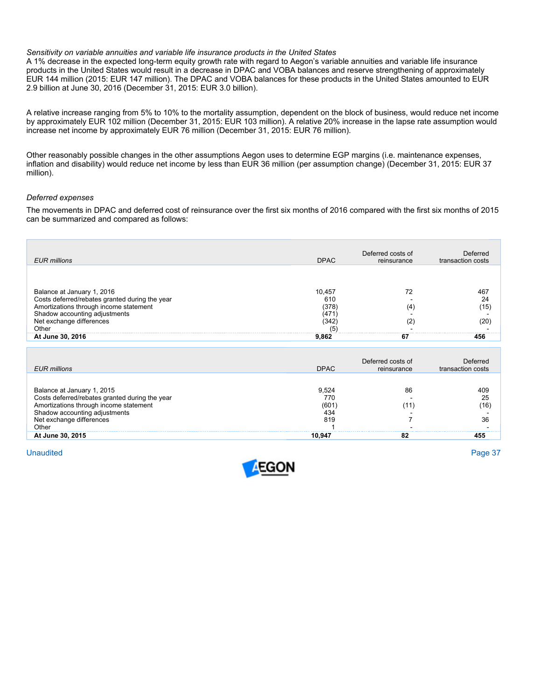#### *Sensitivity on variable annuities and variable life insurance products in the United States*

A 1% decrease in the expected long-term equity growth rate with regard to Aegon's variable annuities and variable life insurance products in the United States would result in a decrease in DPAC and VOBA balances and reserve strengthening of approximately EUR 144 million (2015: EUR 147 million). The DPAC and VOBA balances for these products in the United States amounted to EUR 2.9 billion at June 30, 2016 (December 31, 2015: EUR 3.0 billion).

A relative increase ranging from 5% to 10% to the mortality assumption, dependent on the block of business, would reduce net income by approximately EUR 102 million (December 31, 2015: EUR 103 million). A relative 20% increase in the lapse rate assumption would increase net income by approximately EUR 76 million (December 31, 2015: EUR 76 million).

Other reasonably possible changes in the other assumptions Aegon uses to determine EGP margins (i.e. maintenance expenses, inflation and disability) would reduce net income by less than EUR 36 million (per assumption change) (December 31, 2015: EUR 37 million).

# *Deferred expenses*

The movements in DPAC and deferred cost of reinsurance over the first six months of 2016 compared with the first six months of 2015 can be summarized and compared as follows:

| <b>EUR</b> millions                                                                                                                                                                                              | <b>DPAC</b>                                           | Deferred costs of<br>reinsurance | Deferred<br>transaction costs  |
|------------------------------------------------------------------------------------------------------------------------------------------------------------------------------------------------------------------|-------------------------------------------------------|----------------------------------|--------------------------------|
|                                                                                                                                                                                                                  |                                                       |                                  |                                |
| Balance at January 1, 2016<br>Costs deferred/rebates granted during the year<br>Amortizations through income statement<br>Shadow accounting adjustments<br>Net exchange differences<br>Other<br>At June 30, 2016 | 10.457<br>610<br>(378)<br>(471<br>(342<br>(5<br>9.862 | 72<br>(4<br>(2<br>67             | 467<br>24<br>(15)<br>20<br>456 |

| <b>EUR</b> millions                                                                                                                                                                          | <b>DPAC</b>                         | Deferred costs of<br>reinsurance | Deferred<br>transaction costs |
|----------------------------------------------------------------------------------------------------------------------------------------------------------------------------------------------|-------------------------------------|----------------------------------|-------------------------------|
| Balance at January 1, 2015<br>Costs deferred/rebates granted during the year<br>Amortizations through income statement<br>Shadow accounting adjustments<br>Net exchange differences<br>Other | 9.524<br>77C<br>(601)<br>434<br>819 | 86<br>11                         | 409<br>25<br>(16`<br>36       |
| At June 30, 2015                                                                                                                                                                             | 10.947                              | 82                               | 455                           |

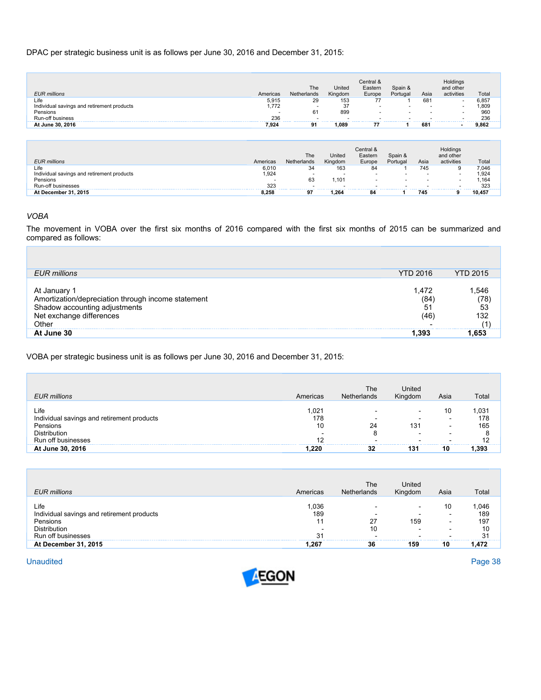# DPAC per strategic business unit is as follows per June 30, 2016 and December 31, 2015:

|                                            |          | The         | United  | Central &<br>Eastern | Spain &                  |      | Holdings<br>and other    |       |
|--------------------------------------------|----------|-------------|---------|----------------------|--------------------------|------|--------------------------|-------|
| <b>EUR</b> millions                        | Americas | Netherlands | Kingdom | Europe               | Portugal                 | Asia | activities               | Total |
| Life                                       | 5.915    | 29          | 153     | 77                   |                          | 681  | ۰                        | 6,857 |
| Individual savings and retirement products | 1.772    |             | 37      |                      | $\overline{\phantom{a}}$ |      | $\overline{\phantom{a}}$ | ,809  |
| Pensions                                   |          | 61          | 899     | . .                  | $\overline{\phantom{a}}$ | . .  | . .                      | 960   |
| Run-off business                           | 236      |             | -       |                      | $\overline{\phantom{a}}$ |      | . .                      | 236   |
| At June 30, 2016                           | 7,924    | 91          | 1.089   |                      |                          | 681  | $\overline{\phantom{0}}$ | 9.862 |

|                                            |          | The         | United                   | Central &<br>Eastern | Spain &                  |      | Holdings<br>and other |        |
|--------------------------------------------|----------|-------------|--------------------------|----------------------|--------------------------|------|-----------------------|--------|
| <b>EUR</b> millions                        | Americas | Netherlands | Kingdom                  | Europe               | Portugal                 | Asia | activities            | Total  |
| Life                                       | 6.010    | 34          | 163                      | 84                   |                          | 745  | 9                     | 7.046  |
| Individual savings and retirement products | 1.924    |             | $\overline{\phantom{a}}$ |                      | $\overline{\phantom{a}}$ |      |                       | 1.924  |
| Pensions                                   | -        | 63          | $.10^{\circ}$            |                      |                          |      |                       | .164   |
| Run-off businesses                         | 323      |             |                          |                      |                          |      |                       | 323    |
| At December 31, 2015                       | 8.258    | 97          | 1.264                    | 84                   |                          | 745  |                       | 10.457 |

# *VOBA*

The movement in VOBA over the first six months of 2016 compared with the first six months of 2015 can be summarized and compared as follows:

| <b>EUR</b> millions                                                                                                                    | <b>YTD 2016</b>            | <b>YTD 2015</b>                             |
|----------------------------------------------------------------------------------------------------------------------------------------|----------------------------|---------------------------------------------|
| At January<br>Amortization/depreciation through income statement<br>Shadow accounting adjustments<br>Net exchange differences<br>Other | 1.472<br>'84<br>51<br>146، | .546<br>(78)<br>53<br>132<br>$\overline{1}$ |
| At June 30                                                                                                                             | .393                       |                                             |

VOBA per strategic business unit is as follows per June 30, 2016 and December 31, 2015:

| <b>EUR</b> millions                                            | Americas          | The<br>Netherlands | United<br>Kinadom | Asia                                | Total               |
|----------------------------------------------------------------|-------------------|--------------------|-------------------|-------------------------------------|---------------------|
| Life<br>Individual savings and retirement products<br>Pensions | .021<br>178<br>10 | 24                 | 131               | 10<br>-<br>$\overline{\phantom{0}}$ | 1,031<br>178<br>165 |
| Distribution<br>Run off businesses                             |                   |                    |                   |                                     | 8                   |
| At June 30, 2016                                               |                   | 32                 | 131               | 10                                  |                     |

| <b>EUR</b> millions                        | Americas | The<br><b>Netherlands</b> | United<br>Kingdom        | Asia                     | Total |
|--------------------------------------------|----------|---------------------------|--------------------------|--------------------------|-------|
| Life                                       | 1.036    |                           | $\overline{\phantom{0}}$ | 10                       | 1,046 |
| Individual savings and retirement products | 189      | -                         |                          | -                        | 189   |
| Pensions                                   | 11       | 27                        | 159                      | $\overline{\phantom{0}}$ | 197   |
| Distribution                               | - -      | 10                        |                          | $\overline{\phantom{0}}$ | 10    |
| Run off businesses                         | 31       |                           |                          |                          | 31    |
| At December 31, 2015                       | . 267    | 36                        | 159                      | 10                       | 1.472 |

Unaudited Unaudited Page 38

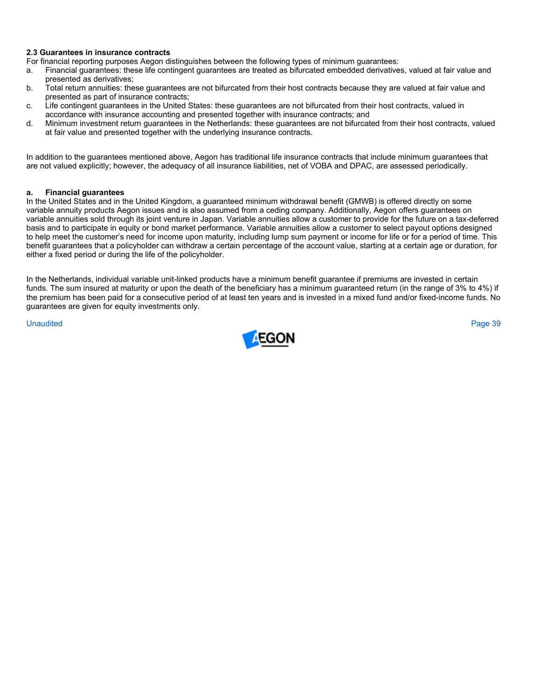# **2.3 Guarantees in insurance contracts**

For financial reporting purposes Aegon distinguishes between the following types of minimum guarantees:

- a. Financial guarantees: these life contingent guarantees are treated as bifurcated embedded derivatives, valued at fair value and presented as derivatives;
- b. Total return annuities: these guarantees are not bifurcated from their host contracts because they are valued at fair value and presented as part of insurance contracts;
- c. Life contingent guarantees in the United States: these guarantees are not bifurcated from their host contracts, valued in accordance with insurance accounting and presented together with insurance contracts; and
- d. Minimum investment return guarantees in the Netherlands: these guarantees are not bifurcated from their host contracts, valued at fair value and presented together with the underlying insurance contracts.

In addition to the guarantees mentioned above, Aegon has traditional life insurance contracts that include minimum guarantees that are not valued explicitly; however, the adequacy of all insurance liabilities, net of VOBA and DPAC, are assessed periodically.

# **a. Financial guarantees**

In the United States and in the United Kingdom, a guaranteed minimum withdrawal benefit (GMWB) is offered directly on some variable annuity products Aegon issues and is also assumed from a ceding company. Additionally, Aegon offers guarantees on variable annuities sold through its joint venture in Japan. Variable annuities allow a customer to provide for the future on a tax-deferred basis and to participate in equity or bond market performance. Variable annuities allow a customer to select payout options designed to help meet the customer's need for income upon maturity, including lump sum payment or income for life or for a period of time. This benefit guarantees that a policyholder can withdraw a certain percentage of the account value, starting at a certain age or duration, for either a fixed period or during the life of the policyholder.

In the Netherlands, individual variable unit-linked products have a minimum benefit guarantee if premiums are invested in certain funds. The sum insured at maturity or upon the death of the beneficiary has a minimum quaranteed return (in the range of 3% to 4%) if the premium has been paid for a consecutive period of at least ten years and is invested in a mixed fund and/or fixed-income funds. No guarantees are given for equity investments only.

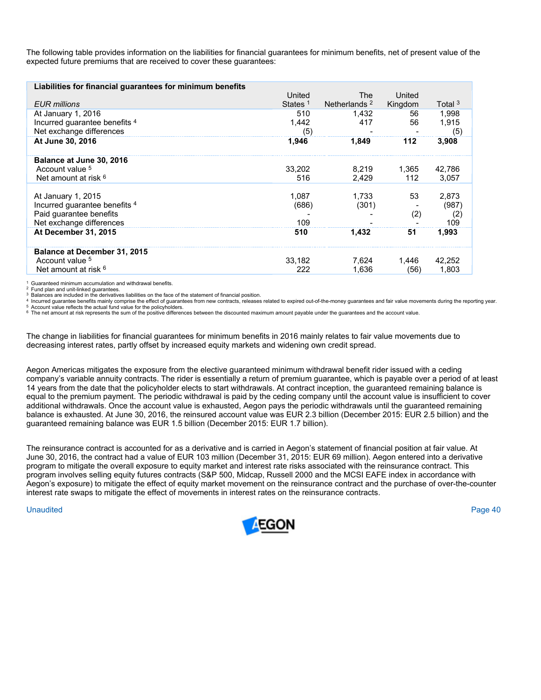The following table provides information on the liabilities for financial guarantees for minimum benefits, net of present value of the expected future premiums that are received to cover these guarantees:

| Liabilities for financial guarantees for minimum benefits |                     |                          |         |                    |
|-----------------------------------------------------------|---------------------|--------------------------|---------|--------------------|
|                                                           | United              | The                      | United  |                    |
| <b>EUR</b> millions                                       | States <sup>1</sup> | Netherlands <sup>2</sup> | Kingdom | Total <sup>3</sup> |
| At January 1, 2016                                        | 510                 | 1.432                    | 56      | 1,998              |
| Incurred guarantee benefits 4                             | 1.442               | 417                      | 56      | 1.915              |
| Net exchange differences                                  | (5)                 |                          |         | (5)                |
| At June 30, 2016                                          | 1,946               | 1.849                    | 112     | 3,908              |
| Balance at June 30, 2016                                  |                     |                          |         |                    |
| Account value 5                                           | 33,202              | 8.219                    | 1.365   | 42,786             |
| Net amount at risk $6$                                    | 516                 | 2,429                    | 112     | 3,057              |
|                                                           |                     |                          |         |                    |
| At January 1, 2015                                        | 1.087               | 1.733                    | 53      | 2.873              |
| Incurred quarantee benefits 4                             | (686)               | (301)                    |         | (987)              |
| Paid quarantee benefits                                   |                     |                          | (2)     | (2)                |
| Net exchange differences                                  | 109                 |                          |         | 109                |
| At December 31, 2015                                      | 510                 | 1,432                    | 51      | 1,993              |
| Balance at December 31, 2015                              |                     |                          |         |                    |
| Account value 5                                           | 33.182              | 7.624                    | 1.446   | 42,252             |
| Net amount at risk <sup>6</sup>                           | 222                 | 1.636                    | (56)    | 1.803              |
|                                                           |                     |                          |         |                    |

1 Guaranteed minimum accumulation and withdrawal benefits.

2 Fund plan and unit-linked guarantees.<br>
3 Balances are included in the derivatives liabilities on the face of the statement of financial position.<br>
4 Incurred guarantee benefits mainly comprise the effect of guarantees an

The change in liabilities for financial guarantees for minimum benefits in 2016 mainly relates to fair value movements due to decreasing interest rates, partly offset by increased equity markets and widening own credit spread.

Aegon Americas mitigates the exposure from the elective guaranteed minimum withdrawal benefit rider issued with a ceding company's variable annuity contracts. The rider is essentially a return of premium guarantee, which is payable over a period of at least 14 years from the date that the policyholder elects to start withdrawals. At contract inception, the guaranteed remaining balance is equal to the premium payment. The periodic withdrawal is paid by the ceding company until the account value is insufficient to cover additional withdrawals. Once the account value is exhausted, Aegon pays the periodic withdrawals until the guaranteed remaining balance is exhausted. At June 30, 2016, the reinsured account value was EUR 2.3 billion (December 2015: EUR 2.5 billion) and the guaranteed remaining balance was EUR 1.5 billion (December 2015: EUR 1.7 billion).

The reinsurance contract is accounted for as a derivative and is carried in Aegon's statement of financial position at fair value. At June 30, 2016, the contract had a value of EUR 103 million (December 31, 2015: EUR 69 million). Aegon entered into a derivative program to mitigate the overall exposure to equity market and interest rate risks associated with the reinsurance contract. This program involves selling equity futures contracts (S&P 500, Midcap, Russell 2000 and the MCSI EAFE index in accordance with Aegon's exposure) to mitigate the effect of equity market movement on the reinsurance contract and the purchase of over-the-counter interest rate swaps to mitigate the effect of movements in interest rates on the reinsurance contracts.

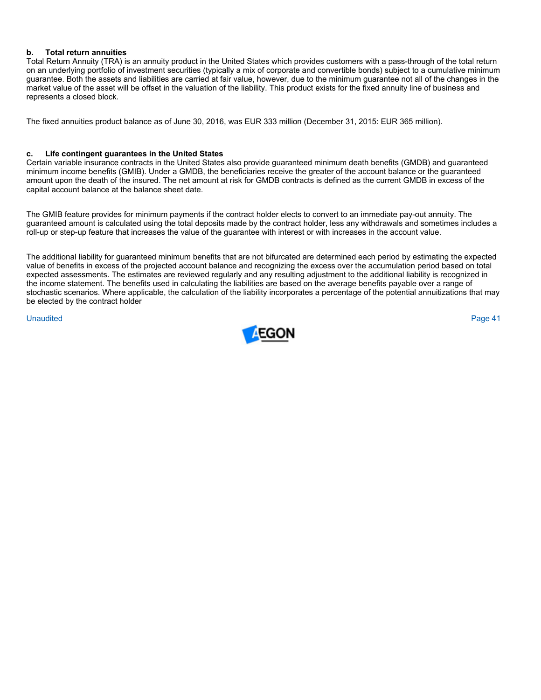# **b. Total return annuities**

Total Return Annuity (TRA) is an annuity product in the United States which provides customers with a pass-through of the total return on an underlying portfolio of investment securities (typically a mix of corporate and convertible bonds) subject to a cumulative minimum guarantee. Both the assets and liabilities are carried at fair value, however, due to the minimum guarantee not all of the changes in the market value of the asset will be offset in the valuation of the liability. This product exists for the fixed annuity line of business and represents a closed block.

The fixed annuities product balance as of June 30, 2016, was EUR 333 million (December 31, 2015: EUR 365 million).

# **c. Life contingent guarantees in the United States**

Certain variable insurance contracts in the United States also provide guaranteed minimum death benefits (GMDB) and guaranteed minimum income benefits (GMIB). Under a GMDB, the beneficiaries receive the greater of the account balance or the guaranteed amount upon the death of the insured. The net amount at risk for GMDB contracts is defined as the current GMDB in excess of the capital account balance at the balance sheet date.

The GMIB feature provides for minimum payments if the contract holder elects to convert to an immediate pay-out annuity. The guaranteed amount is calculated using the total deposits made by the contract holder, less any withdrawals and sometimes includes a roll-up or step-up feature that increases the value of the guarantee with interest or with increases in the account value.

The additional liability for guaranteed minimum benefits that are not bifurcated are determined each period by estimating the expected value of benefits in excess of the projected account balance and recognizing the excess over the accumulation period based on total expected assessments. The estimates are reviewed regularly and any resulting adjustment to the additional liability is recognized in the income statement. The benefits used in calculating the liabilities are based on the average benefits payable over a range of stochastic scenarios. Where applicable, the calculation of the liability incorporates a percentage of the potential annuitizations that may be elected by the contract holder

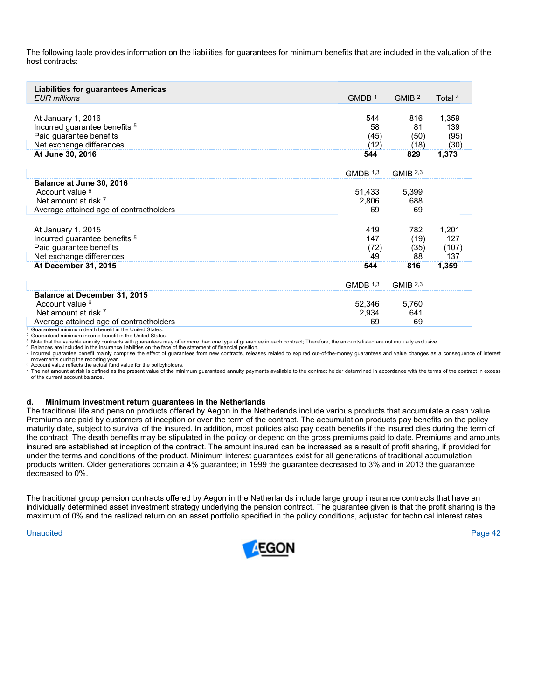The following table provides information on the liabilities for guarantees for minimum benefits that are included in the valuation of the host contracts:

| <b>Liabilities for guarantees Americas</b><br><b>EUR</b> millions | GMDB <sup>1</sup> | GMIB <sup>2</sup>   | Total 4 |
|-------------------------------------------------------------------|-------------------|---------------------|---------|
|                                                                   |                   |                     |         |
| At January 1, 2016                                                | 544               | 816                 | 1,359   |
| Incurred guarantee benefits <sup>5</sup>                          | 58                | 81                  | 139     |
| Paid guarantee benefits                                           | (45)              | (50)                | (95)    |
| Net exchange differences                                          | (12)              | (18)                | (30)    |
| At June 30, 2016                                                  | 544               | 829                 | 1,373   |
|                                                                   | GMDB $1,3$        | GMIB <sup>2,3</sup> |         |
| Balance at June 30, 2016                                          |                   |                     |         |
| Account value <sup>6</sup>                                        | 51,433            | 5,399               |         |
| Net amount at risk 7                                              | 2,806             | 688                 |         |
| Average attained age of contractholders                           | 69                | 69                  |         |
|                                                                   |                   |                     |         |
| At January 1, 2015                                                | 419               | 782                 | 1,201   |
| Incurred guarantee benefits <sup>5</sup>                          | 147               | (19)                | 127     |
| Paid guarantee benefits                                           | (72)              | (35)                | (107)   |
| Net exchange differences                                          | 49                | 88                  | 137     |
| At December 31, 2015                                              | 544               | 816                 | 1,359   |
|                                                                   |                   |                     |         |
|                                                                   | GMDB $1,3$        | GMIB $2,3$          |         |
| Balance at December 31, 2015                                      |                   |                     |         |
| Account value <sup>6</sup>                                        | 52,346            | 5,760               |         |
| Net amount at risk 7                                              | 2,934             | 641                 |         |
| Average attained age of contractholders                           | 69                | 69                  |         |
| Guaranteed minimum death benefit in the United States.            |                   |                     |         |

<sup>2</sup> Guaranteed minimum income benefit in the United States.

3 Note that the variable annuity contracts with guarantees may offer more than one type of guarantee in each contract; Therefore, the amounts listed are not mutually exclusive.<br>4 Balances are included in the insurance liab

5 Incurred guarantee benefit mainly comprise the effect of guarantees from new contracts, releases related to expired out-of-the-money guarantees and value changes as a consequence of interest<br>movements during the reportin

6 Account value reflects the actual fund value for the policyholders.<br>6 Account value reflects the actual fund value for the policyholders.<br>7 The net amount at risk is defined as the present value of the minimum guaranteed of the current account balance.

#### **d. Minimum investment return guarantees in the Netherlands**

The traditional life and pension products offered by Aegon in the Netherlands include various products that accumulate a cash value. Premiums are paid by customers at inception or over the term of the contract. The accumulation products pay benefits on the policy maturity date, subject to survival of the insured. In addition, most policies also pay death benefits if the insured dies during the term of the contract. The death benefits may be stipulated in the policy or depend on the gross premiums paid to date. Premiums and amounts insured are established at inception of the contract. The amount insured can be increased as a result of profit sharing, if provided for under the terms and conditions of the product. Minimum interest guarantees exist for all generations of traditional accumulation products written. Older generations contain a 4% guarantee; in 1999 the guarantee decreased to 3% and in 2013 the guarantee decreased to 0%.

The traditional group pension contracts offered by Aegon in the Netherlands include large group insurance contracts that have an individually determined asset investment strategy underlying the pension contract. The guarantee given is that the profit sharing is the maximum of 0% and the realized return on an asset portfolio specified in the policy conditions, adjusted for technical interest rates

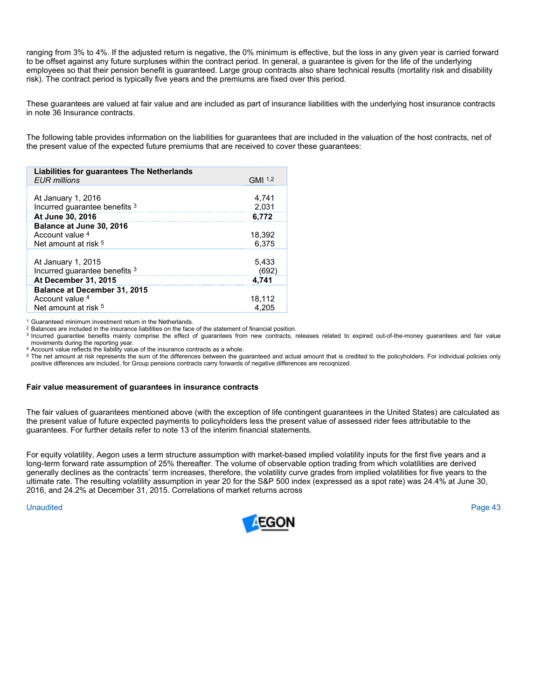ranging from 3% to 4%. If the adjusted return is negative, the 0% minimum is effective, but the loss in any given year is carried forward to be offset against any future surpluses within the contract period. In general, a guarantee is given for the life of the underlying employees so that their pension benefit is guaranteed. Large group contracts also share technical results (mortality risk and disability risk). The contract period is typically five years and the premiums are fixed over this period.

These guarantees are valued at fair value and are included as part of insurance liabilities with the underlying host insurance contracts in note 36 Insurance contracts.

The following table provides information on the liabilities for guarantees that are included in the valuation of the host contracts, net of the present value of the expected future premiums that are received to cover these guarantees:

| Liabilities for guarantees The Netherlands<br><b>EUR</b> millions | GMI 1,2        |
|-------------------------------------------------------------------|----------------|
|                                                                   |                |
| At January 1, 2016<br>Incurred guarantee benefits 3               | 4.741<br>2,031 |
| At June 30, 2016                                                  | 6,772          |
| Balance at June 30, 2016                                          |                |
| Account value 4                                                   | 18,392         |
| Net amount at risk <sup>5</sup>                                   | 6.375          |
|                                                                   |                |
| At January 1, 2015                                                | 5,433          |
| Incurred guarantee benefits 3                                     | (692)          |
| <b>At December 31, 2015</b>                                       | 4.741          |
| Balance at December 31, 2015                                      |                |
| Account value 4                                                   | 18,112         |
| Net amount at risk <sup>5</sup>                                   | 4.205          |

<sup>1</sup> Guaranteed minimum investment return in the Netherlands.<br><sup>2</sup> Balances are included in the insurance liabilities on the face of the statement of financial position.

3 Incurred guarantee benefits mainly comprise the effect of guarantees from new contracts, releases related to expired out-of-the-money guarantees and fair value movements during the reporting year.<br>4 Account value reflects the liability value of the insurance contracts as a whole.

<sup>5</sup> The net amount at risk represents the sum of the differences between the guaranteed and actual amount that is credited to the policyholders. For individual policies only positive differences are included, for Group pensions contracts carry forwards of negative differences are recoqnized.

#### **Fair value measurement of guarantees in insurance contracts**

The fair values of guarantees mentioned above (with the exception of life contingent guarantees in the United States) are calculated as the present value of future expected payments to policyholders less the present value of assessed rider fees attributable to the guarantees. For further details refer to note 13 of the interim financial statements.

For equity volatility, Aegon uses a term structure assumption with market-based implied volatility inputs for the first five years and a long-term forward rate assumption of 25% thereafter. The volume of observable option trading from which volatilities are derived generally declines as the contracts' term increases, therefore, the volatility curve grades from implied volatilities for five years to the ultimate rate. The resulting volatility assumption in year 20 for the S&P 500 index (expressed as a spot rate) was 24.4% at June 30, 2016, and 24.2% at December 31, 2015. Correlations of market returns across

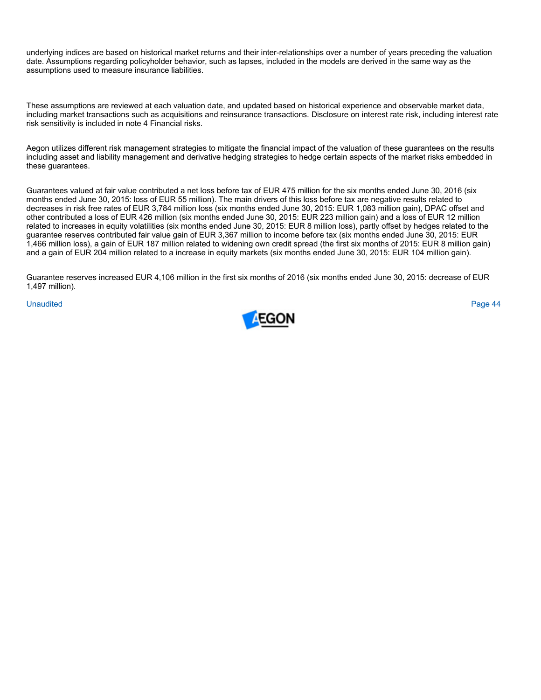underlying indices are based on historical market returns and their inter-relationships over a number of years preceding the valuation date. Assumptions regarding policyholder behavior, such as lapses, included in the models are derived in the same way as the assumptions used to measure insurance liabilities.

These assumptions are reviewed at each valuation date, and updated based on historical experience and observable market data, including market transactions such as acquisitions and reinsurance transactions. Disclosure on interest rate risk, including interest rate risk sensitivity is included in note 4 Financial risks.

Aegon utilizes different risk management strategies to mitigate the financial impact of the valuation of these guarantees on the results including asset and liability management and derivative hedging strategies to hedge certain aspects of the market risks embedded in these guarantees.

Guarantees valued at fair value contributed a net loss before tax of EUR 475 million for the six months ended June 30, 2016 (six months ended June 30, 2015: loss of EUR 55 million). The main drivers of this loss before tax are negative results related to decreases in risk free rates of EUR 3,784 million loss (six months ended June 30, 2015: EUR 1,083 million gain), DPAC offset and other contributed a loss of EUR 426 million (six months ended June 30, 2015: EUR 223 million gain) and a loss of EUR 12 million related to increases in equity volatilities (six months ended June 30, 2015: EUR 8 million loss), partly offset by hedges related to the guarantee reserves contributed fair value gain of EUR 3,367 million to income before tax (six months ended June 30, 2015: EUR 1,466 million loss), a gain of EUR 187 million related to widening own credit spread (the first six months of 2015: EUR 8 million gain) and a gain of EUR 204 million related to a increase in equity markets (six months ended June 30, 2015: EUR 104 million gain).

Guarantee reserves increased EUR 4,106 million in the first six months of 2016 (six months ended June 30, 2015: decrease of EUR 1,497 million).

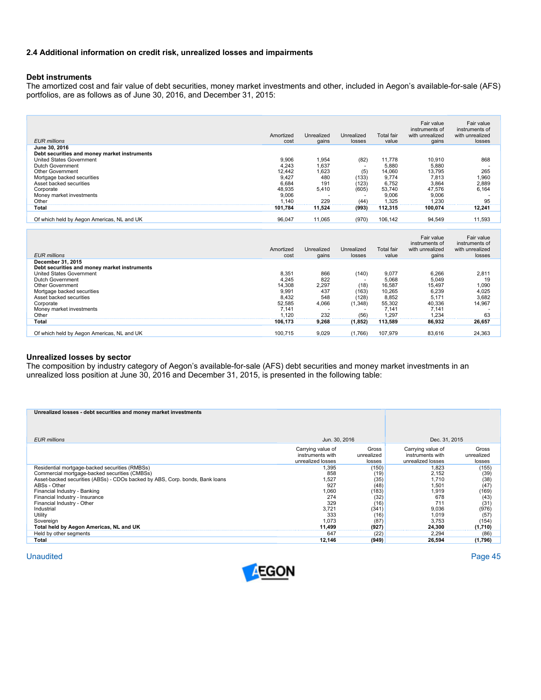# **2.4 Additional information on credit risk, unrealized losses and impairments**

# **Debt instruments**

The amortized cost and fair value of debt securities, money market investments and other, included in Aegon's available-for-sale (AFS) portfolios, are as follows as of June 30, 2016, and December 31, 2015:

| <b>EUR</b> millions                          | Amortized<br>cost | Unrealized<br>gains | Unrealized<br>losses     | <b>Total fair</b><br>value | Fair value<br>instruments of<br>with unrealized<br>gains | Fair value<br>instruments of<br>with unrealized<br>losses |
|----------------------------------------------|-------------------|---------------------|--------------------------|----------------------------|----------------------------------------------------------|-----------------------------------------------------------|
| June 30, 2016                                |                   |                     |                          |                            |                                                          |                                                           |
| Debt securities and money market instruments |                   |                     |                          |                            |                                                          |                                                           |
| <b>United States Government</b>              | 9,906             | 1,954               | (82)                     | 11.778                     | 10.910                                                   | 868                                                       |
| Dutch Government                             | 4,243             | 1,637               |                          | 5,880                      | 5.880                                                    |                                                           |
| Other Government                             | 12.442            | 1,623               | (5)                      | 14,060                     | 13.795                                                   | 265                                                       |
| Mortgage backed securities                   | 9.427             | 480                 | (133)                    | 9.774                      | 7.813                                                    | 1,960                                                     |
| Asset backed securities                      | 6,684             | 191                 | (123)                    | 6,752                      | 3,864                                                    | 2,889                                                     |
| Corporate                                    | 48,935            | 5,410               | (605)                    | 53,740                     | 47.576                                                   | 6,164                                                     |
| Money market investments                     | 9,006             |                     | $\overline{\phantom{a}}$ | 9,006                      | 9.006                                                    |                                                           |
| Other                                        | 1.140             | 229                 | (44)                     | 1.325                      | 1.230                                                    | 95                                                        |
| Total                                        | 101.784           | 11,524              | (993)                    | 112,315                    | 100.074                                                  | 12,241                                                    |
| Of which held by Aegon Americas, NL and UK   | 96,047            | 11,065              | (970)                    | 106,142                    | 94,549                                                   | 11,593                                                    |
|                                              |                   |                     |                          |                            |                                                          |                                                           |

| <b>EUR</b> millions                          | Amortized<br>cost | Unrealized<br>gains | Unrealized<br>losses     | <b>Total fair</b><br>value | Fair value<br>instruments of<br>with unrealized<br>gains | Fair value<br>instruments of<br>with unrealized<br>losses |
|----------------------------------------------|-------------------|---------------------|--------------------------|----------------------------|----------------------------------------------------------|-----------------------------------------------------------|
| December 31, 2015                            |                   |                     |                          |                            |                                                          |                                                           |
| Debt securities and money market instruments |                   |                     |                          |                            |                                                          |                                                           |
| United States Government                     | 8,351             | 866                 | (140)                    | 9,077                      | 6.266                                                    | 2,811                                                     |
| Dutch Government                             | 4,245             | 822                 |                          | 5,068                      | 5,049                                                    | 19                                                        |
| <b>Other Government</b>                      | 14,308            | 2,297               | (18)                     | 16,587                     | 15.497                                                   | 1,090                                                     |
| Mortgage backed securities                   | 9,991             | 437                 | (163)                    | 10.265                     | 6.239                                                    | 4,025                                                     |
| Asset backed securities                      | 8,432             | 548                 | (128)                    | 8,852                      | 5.171                                                    | 3,682                                                     |
| Corporate                                    | 52,585            | 4.066               | (1,348)                  | 55,302                     | 40.336                                                   | 14.967                                                    |
| Money market investments                     | 7.141             |                     | $\overline{\phantom{a}}$ | 7.141                      | 7.141                                                    |                                                           |
| Other                                        | .120              | 232                 | (56)                     | 1.297                      | 1.234                                                    | 63                                                        |
| Total                                        | 106.173           | 9,268               | (1, 852)                 | 113,589                    | 86,932                                                   | 26,657                                                    |
|                                              |                   |                     |                          |                            |                                                          |                                                           |
| Of which held by Aegon Americas, NL and UK   | 100.715           | 9,029               | (1,766)                  | 107.979                    | 83,616                                                   | 24,363                                                    |

#### **Unrealized losses by sector**

The composition by industry category of Aegon's available-for-sale (AFS) debt securities and money market investments in an unrealized loss position at June 30, 2016 and December 31, 2015, is presented in the following table:

| Unrealized losses - debt securities and money market investments             |                   |            |                   |            |
|------------------------------------------------------------------------------|-------------------|------------|-------------------|------------|
|                                                                              |                   |            |                   |            |
|                                                                              |                   |            |                   |            |
|                                                                              |                   |            |                   |            |
| <b>EUR</b> millions                                                          |                   |            |                   |            |
|                                                                              | Jun. 30, 2016     |            | Dec. 31, 2015     |            |
|                                                                              | Carrying value of | Gross      | Carrying value of | Gross      |
|                                                                              | instruments with  | unrealized | instruments with  | unrealized |
|                                                                              | unrealized losses | losses     | unrealized losses | losses     |
| Residential mortgage-backed securities (RMBSs)                               | 1,395             | (150)      | 1,823             | (155)      |
| Commercial mortgage-backed securities (CMBSs)                                | 858               | (19)       | 2,152             | (39)       |
| Asset-backed securities (ABSs) - CDOs backed by ABS, Corp. bonds, Bank loans | 1,527             | (35)       | 1,710             | (38)       |
| ABSs - Other                                                                 | 927               | (48)       | 1,501             | (47)       |
| Financial Industry - Banking                                                 | 1,060             | (183)      | 1,919             | (169)      |
| Financial Industry - Insurance                                               | 274               | (32)       | 678               | (43)       |
| Financial Industry - Other                                                   | 329               | (16)       | 711               | (31)       |
| Industrial                                                                   | 3.721             | (341)      | 9.036             | (976)      |
| Utility                                                                      | 333               | (16)       | 1,019             | (57)       |
| Sovereign                                                                    | 1,073             | (87)       | 3,753             | (154)      |
| Total held by Aegon Americas, NL and UK                                      | 11.499            | (927)      | 24.300            | (1,710)    |
| Held by other segments                                                       | 647               | (22)       | 2,294             | (86)       |
|                                                                              |                   |            |                   |            |
| Total                                                                        | 12,146            | (949)      | 26,594            | (1,796)    |

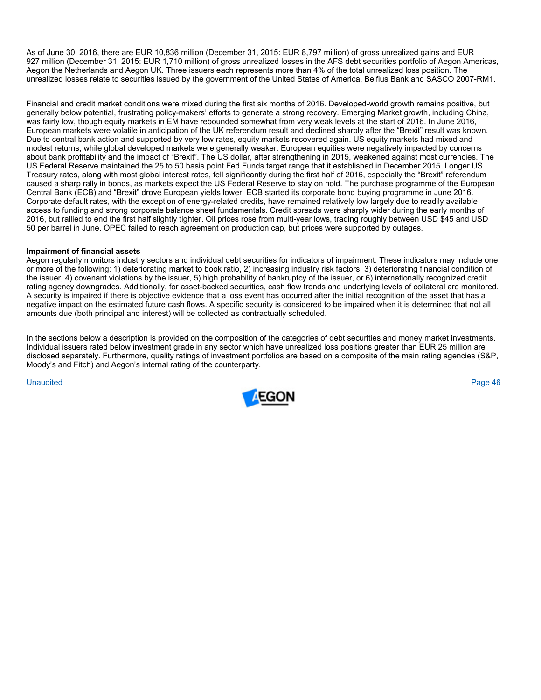As of June 30, 2016, there are EUR 10,836 million (December 31, 2015: EUR 8,797 million) of gross unrealized gains and EUR 927 million (December 31, 2015: EUR 1,710 million) of gross unrealized losses in the AFS debt securities portfolio of Aegon Americas, Aegon the Netherlands and Aegon UK. Three issuers each represents more than 4% of the total unrealized loss position. The unrealized losses relate to securities issued by the government of the United States of America, Belfius Bank and SASCO 2007-RM1.

Financial and credit market conditions were mixed during the first six months of 2016. Developed-world growth remains positive, but generally below potential, frustrating policy-makers' efforts to generate a strong recovery. Emerging Market growth, including China, was fairly low, though equity markets in EM have rebounded somewhat from very weak levels at the start of 2016. In June 2016, European markets were volatile in anticipation of the UK referendum result and declined sharply after the "Brexit" result was known. Due to central bank action and supported by very low rates, equity markets recovered again. US equity markets had mixed and modest returns, while global developed markets were generally weaker. European equities were negatively impacted by concerns about bank profitability and the impact of "Brexit". The US dollar, after strengthening in 2015, weakened against most currencies. The US Federal Reserve maintained the 25 to 50 basis point Fed Funds target range that it established in December 2015. Longer US Treasury rates, along with most global interest rates, fell significantly during the first half of 2016, especially the "Brexit" referendum caused a sharp rally in bonds, as markets expect the US Federal Reserve to stay on hold. The purchase programme of the European Central Bank (ECB) and "Brexit" drove European yields lower. ECB started its corporate bond buying programme in June 2016. Corporate default rates, with the exception of energy-related credits, have remained relatively low largely due to readily available access to funding and strong corporate balance sheet fundamentals. Credit spreads were sharply wider during the early months of 2016, but rallied to end the first half slightly tighter. Oil prices rose from multi-year lows, trading roughly between USD \$45 and USD 50 per barrel in June. OPEC failed to reach agreement on production cap, but prices were supported by outages.

# **Impairment of financial assets**

Aegon regularly monitors industry sectors and individual debt securities for indicators of impairment. These indicators may include one or more of the following: 1) deteriorating market to book ratio, 2) increasing industry risk factors, 3) deteriorating financial condition of the issuer, 4) covenant violations by the issuer, 5) high probability of bankruptcy of the issuer, or 6) internationally recognized credit rating agency downgrades. Additionally, for asset-backed securities, cash flow trends and underlying levels of collateral are monitored. A security is impaired if there is objective evidence that a loss event has occurred after the initial recognition of the asset that has a negative impact on the estimated future cash flows. A specific security is considered to be impaired when it is determined that not all amounts due (both principal and interest) will be collected as contractually scheduled.

In the sections below a description is provided on the composition of the categories of debt securities and money market investments. Individual issuers rated below investment grade in any sector which have unrealized loss positions greater than EUR 25 million are disclosed separately. Furthermore, quality ratings of investment portfolios are based on a composite of the main rating agencies (S&P, Moody's and Fitch) and Aegon's internal rating of the counterparty.

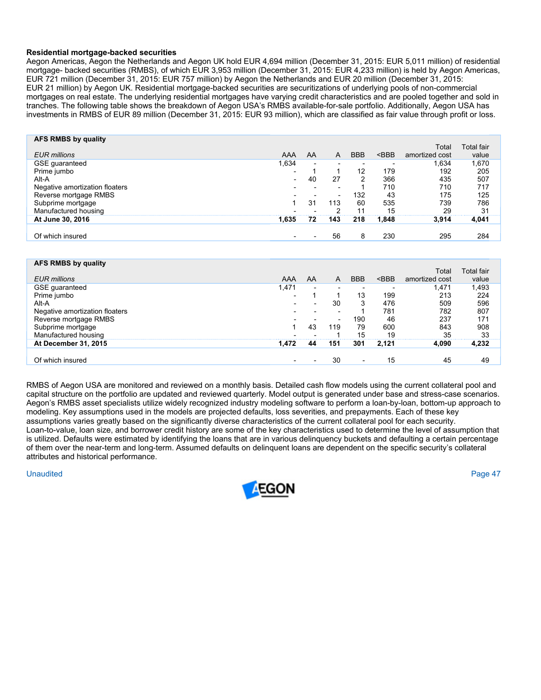## **Residential mortgage-backed securities**

Aegon Americas, Aegon the Netherlands and Aegon UK hold EUR 4,694 million (December 31, 2015: EUR 5,011 million) of residential mortgage- backed securities (RMBS), of which EUR 3,953 million (December 31, 2015: EUR 4,233 million) is held by Aegon Americas, EUR 721 million (December 31, 2015: EUR 757 million) by Aegon the Netherlands and EUR 20 million (December 31, 2015: EUR 21 million) by Aegon UK. Residential mortgage-backed securities are securitizations of underlying pools of non-commercial mortgages on real estate. The underlying residential mortgages have varying credit characteristics and are pooled together and sold in tranches. The following table shows the breakdown of Aegon USA's RMBS available-for-sale portfolio. Additionally, Aegon USA has investments in RMBS of EUR 89 million (December 31, 2015: EUR 93 million), which are classified as fair value through profit or loss.

| AFS RMBS by quality            |       |                          |                          |            |         | Total          | Total fair |
|--------------------------------|-------|--------------------------|--------------------------|------------|---------|----------------|------------|
| <b>EUR</b> millions            | AAA   | AA                       | A                        | <b>BBB</b> | $<$ BBB | amortized cost | value      |
| GSE guaranteed                 | 1,634 | $\overline{\phantom{0}}$ | $\overline{\phantom{0}}$ |            |         | .634           | ,670       |
| Prime jumbo                    | -     |                          |                          | 12         | 179     | 192            | 205        |
| Alt-A                          |       | 40                       | 27                       | 2          | 366     | 435            | 507        |
| Negative amortization floaters |       |                          |                          |            | 710     | 710            | 717        |
| Reverse mortgage RMBS          |       |                          | $\overline{\phantom{a}}$ | 132        | 43      | 175            | 125        |
| Subprime mortgage              |       | 31                       | 113                      | 60         | 535     | 739            | 786        |
| Manufactured housing           |       |                          |                          | 11         | 15      | 29             | 31         |
| At June 30, 2016               | 1,635 | 72                       | 143                      | 218        | 1,848   | 3.914          | 4,041      |
|                                |       |                          |                          |            |         |                |            |
| Of which insured               |       |                          | 56                       | 8          | 230     | 295            | 284        |

| AFS RMBS by quality            |                          |                          |                          |                          |         | Total          | <b>Total fair</b> |  |
|--------------------------------|--------------------------|--------------------------|--------------------------|--------------------------|---------|----------------|-------------------|--|
| <b>EUR</b> millions            | AAA                      | AA                       | A                        | <b>BBB</b>               | $<$ BBB | amortized cost | value             |  |
| GSE guaranteed                 | ,471                     | $\overline{\phantom{0}}$ | $\overline{\phantom{0}}$ | $\overline{\phantom{a}}$ |         | 1,471          | 1,493             |  |
| Prime jumbo                    | $\overline{\phantom{a}}$ |                          |                          | 13                       | 199     | 213            | 224               |  |
| Alt-A                          | $\overline{\phantom{0}}$ | $\overline{\phantom{a}}$ | 30                       | 3                        | 476     | 509            | 596               |  |
| Negative amortization floaters |                          |                          | $\overline{\phantom{0}}$ |                          | 781     | 782            | 807               |  |
| Reverse mortgage RMBS          |                          |                          | $\overline{\phantom{0}}$ | 190                      | 46      | 237            | 171               |  |
| Subprime mortgage              |                          | 43                       | 119                      | 79                       | 600     | 843            | 908               |  |
| Manufactured housing           |                          |                          |                          | 15                       | 19      | 35             | 33                |  |
| At December 31, 2015           | 1.472                    | 44                       | 151                      | 301                      | 2,121   | 4.090          | 4,232             |  |
|                                |                          |                          |                          |                          |         |                |                   |  |
| Of which insured               | $\overline{\phantom{0}}$ |                          | 30                       | $\overline{\phantom{0}}$ | 15      | 45             | 49                |  |
|                                |                          |                          |                          |                          |         |                |                   |  |

RMBS of Aegon USA are monitored and reviewed on a monthly basis. Detailed cash flow models using the current collateral pool and capital structure on the portfolio are updated and reviewed quarterly. Model output is generated under base and stress-case scenarios. Aegon's RMBS asset specialists utilize widely recognized industry modeling software to perform a loan-by-loan, bottom-up approach to modeling. Key assumptions used in the models are projected defaults, loss severities, and prepayments. Each of these key assumptions varies greatly based on the significantly diverse characteristics of the current collateral pool for each security. Loan-to-value, loan size, and borrower credit history are some of the key characteristics used to determine the level of assumption that is utilized. Defaults were estimated by identifying the loans that are in various delinquency buckets and defaulting a certain percentage of them over the near-term and long-term. Assumed defaults on delinquent loans are dependent on the specific security's collateral attributes and historical performance.

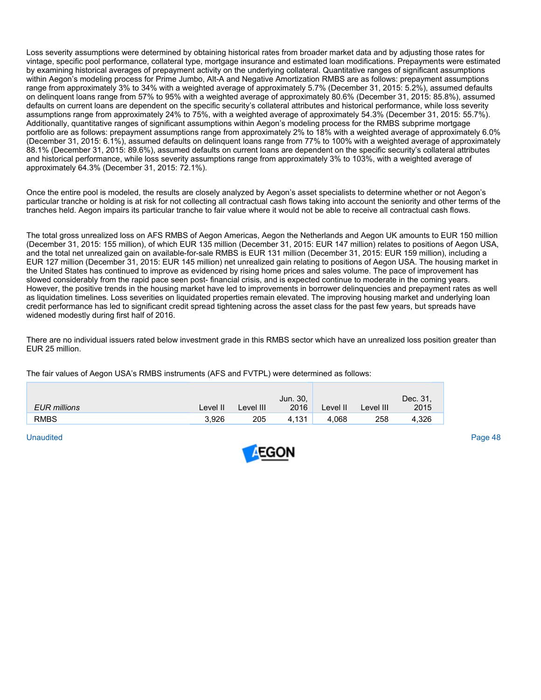Loss severity assumptions were determined by obtaining historical rates from broader market data and by adjusting those rates for vintage, specific pool performance, collateral type, mortgage insurance and estimated loan modifications. Prepayments were estimated by examining historical averages of prepayment activity on the underlying collateral. Quantitative ranges of significant assumptions within Aegon's modeling process for Prime Jumbo, Alt-A and Negative Amortization RMBS are as follows: prepayment assumptions range from approximately 3% to 34% with a weighted average of approximately 5.7% (December 31, 2015: 5.2%), assumed defaults on delinquent loans range from 57% to 95% with a weighted average of approximately 80.6% (December 31, 2015: 85.8%), assumed defaults on current loans are dependent on the specific security's collateral attributes and historical performance, while loss severity assumptions range from approximately 24% to 75%, with a weighted average of approximately 54.3% (December 31, 2015: 55.7%). Additionally, quantitative ranges of significant assumptions within Aegon's modeling process for the RMBS subprime mortgage portfolio are as follows: prepayment assumptions range from approximately 2% to 18% with a weighted average of approximately 6.0% (December 31, 2015: 6.1%), assumed defaults on delinquent loans range from 77% to 100% with a weighted average of approximately 88.1% (December 31, 2015: 89.6%), assumed defaults on current loans are dependent on the specific security's collateral attributes and historical performance, while loss severity assumptions range from approximately 3% to 103%, with a weighted average of approximately 64.3% (December 31, 2015: 72.1%).

Once the entire pool is modeled, the results are closely analyzed by Aegon's asset specialists to determine whether or not Aegon's particular tranche or holding is at risk for not collecting all contractual cash flows taking into account the seniority and other terms of the tranches held. Aegon impairs its particular tranche to fair value where it would not be able to receive all contractual cash flows.

The total gross unrealized loss on AFS RMBS of Aegon Americas, Aegon the Netherlands and Aegon UK amounts to EUR 150 million (December 31, 2015: 155 million), of which EUR 135 million (December 31, 2015: EUR 147 million) relates to positions of Aegon USA, and the total net unrealized gain on available-for-sale RMBS is EUR 131 million (December 31, 2015: EUR 159 million), including a EUR 127 million (December 31, 2015: EUR 145 million) net unrealized gain relating to positions of Aegon USA. The housing market in the United States has continued to improve as evidenced by rising home prices and sales volume. The pace of improvement has slowed considerably from the rapid pace seen post- financial crisis, and is expected continue to moderate in the coming years. However, the positive trends in the housing market have led to improvements in borrower delinquencies and prepayment rates as well as liquidation timelines. Loss severities on liquidated properties remain elevated. The improving housing market and underlying loan credit performance has led to significant credit spread tightening across the asset class for the past few years, but spreads have widened modestly during first half of 2016.

There are no individual issuers rated below investment grade in this RMBS sector which have an unrealized loss position greater than EUR 25 million.

The fair values of Aegon USA's RMBS instruments (AFS and FVTPL) were determined as follows:

|                     |          |           | Jun. 30, |          |           | Dec. 31, |
|---------------------|----------|-----------|----------|----------|-----------|----------|
| <b>EUR</b> millions | Level II | Level III | 2016     | Level II | Level III | 2015     |
| <b>RMBS</b>         | 3.926    | 205       | 4.131    | 4.068    | 258       | .326     |

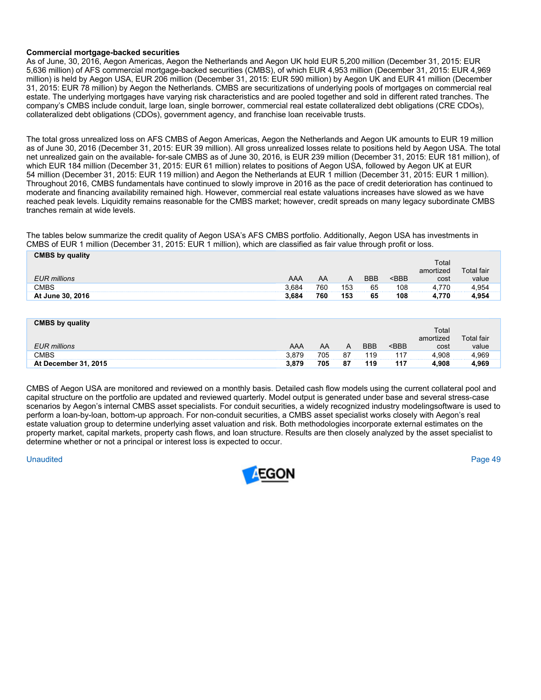# **Commercial mortgage-backed securities**

As of June, 30, 2016, Aegon Americas, Aegon the Netherlands and Aegon UK hold EUR 5,200 million (December 31, 2015: EUR 5,636 million) of AFS commercial mortgage-backed securities (CMBS), of which EUR 4,953 million (December 31, 2015: EUR 4,969 million) is held by Aegon USA, EUR 206 million (December 31, 2015: EUR 590 million) by Aegon UK and EUR 41 million (December 31, 2015: EUR 78 million) by Aegon the Netherlands. CMBS are securitizations of underlying pools of mortgages on commercial real estate. The underlying mortgages have varying risk characteristics and are pooled together and sold in different rated tranches. The company's CMBS include conduit, large loan, single borrower, commercial real estate collateralized debt obligations (CRE CDOs), collateralized debt obligations (CDOs), government agency, and franchise loan receivable trusts.

The total gross unrealized loss on AFS CMBS of Aegon Americas, Aegon the Netherlands and Aegon UK amounts to EUR 19 million as of June 30, 2016 (December 31, 2015: EUR 39 million). All gross unrealized losses relate to positions held by Aegon USA. The total net unrealized gain on the available- for-sale CMBS as of June 30, 2016, is EUR 239 million (December 31, 2015: EUR 181 million), of which EUR 184 million (December 31, 2015: EUR 61 million) relates to positions of Aegon USA, followed by Aegon UK at EUR 54 million (December 31, 2015: EUR 119 million) and Aegon the Netherlands at EUR 1 million (December 31, 2015: EUR 1 million). Throughout 2016, CMBS fundamentals have continued to slowly improve in 2016 as the pace of credit deterioration has continued to moderate and financing availability remained high. However, commercial real estate valuations increases have slowed as we have reached peak levels. Liquidity remains reasonable for the CMBS market; however, credit spreads on many legacy subordinate CMBS tranches remain at wide levels.

The tables below summarize the credit quality of Aegon USA's AFS CMBS portfolio. Additionally, Aegon USA has investments in CMBS of EUR 1 million (December 31, 2015: EUR 1 million), which are classified as fair value through profit or loss.

| <b>CMBS by quality</b> |       |          |          |            |                                                |                   |            |
|------------------------|-------|----------|----------|------------|------------------------------------------------|-------------------|------------|
|                        |       |          |          |            |                                                | <sup>⊤</sup> otai |            |
|                        |       |          |          |            |                                                | amortized         | Гоtal fair |
| <b>EUR</b> millions    | AAA   | AA       | Α        | <b>BBB</b> | <bbb< th=""><th>cost</th><th>value</th></bbb<> | cost              | value      |
| CMBS                   | 3.684 | 760      | 153<br>. | 65         | 108<br>.                                       | 4.770             | 4.954      |
| At June 30, 2016       | 3.684 | .<br>760 | 153      | .<br>65    | 108                                            | 4.770             | 4.954      |

| <b>CMBS by quality</b> |       |     |    |            |         |           |            |
|------------------------|-------|-----|----|------------|---------|-----------|------------|
|                        |       |     |    |            |         | Totai     |            |
|                        |       |     |    |            |         | amortized | Total fair |
| <b>EUR</b> millions    | AAA   | AA  | A  | <b>BBB</b> | $<$ BBB | cost      | value      |
| <b>CMBS</b>            | 3.879 | 705 | 87 | 119        | 117     | 4.908     | 4.969      |
| At December 31, 2015   | 3.879 | 705 | 87 | 119        | 117     | 4.908     |            |

CMBS of Aegon USA are monitored and reviewed on a monthly basis. Detailed cash flow models using the current collateral pool and capital structure on the portfolio are updated and reviewed quarterly. Model output is generated under base and several stress-case scenarios by Aegon's internal CMBS asset specialists. For conduit securities, a widely recognized industry modelingsoftware is used to perform a loan-by-loan, bottom-up approach. For non-conduit securities, a CMBS asset specialist works closely with Aegon's real estate valuation group to determine underlying asset valuation and risk. Both methodologies incorporate external estimates on the property market, capital markets, property cash flows, and loan structure. Results are then closely analyzed by the asset specialist to determine whether or not a principal or interest loss is expected to occur.

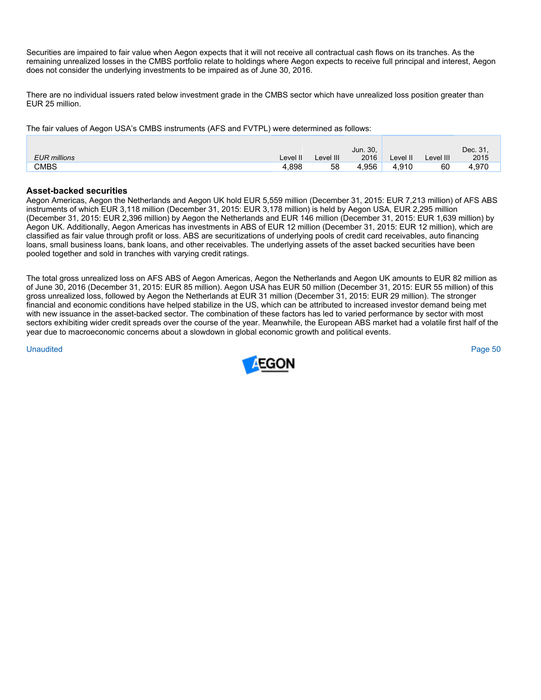Securities are impaired to fair value when Aegon expects that it will not receive all contractual cash flows on its tranches. As the remaining unrealized losses in the CMBS portfolio relate to holdings where Aegon expects to receive full principal and interest, Aegon does not consider the underlying investments to be impaired as of June 30, 2016.

There are no individual issuers rated below investment grade in the CMBS sector which have unrealized loss position greater than EUR 25 million.

The fair values of Aegon USA's CMBS instruments (AFS and FVTPL) were determined as follows:

|                     |          |           | Jun. 30, |            |           | Dec. 31, |
|---------------------|----------|-----------|----------|------------|-----------|----------|
| <b>EUR</b> millions | Level II | Level III | 2016     | ∟evel II ∕ | Level III | 2015     |
| CMBS                | .898     | 58        | 4.956    | 4.910      | 60        | 4.970    |

# **Asset-backed securities**

Aegon Americas, Aegon the Netherlands and Aegon UK hold EUR 5,559 million (December 31, 2015: EUR 7,213 million) of AFS ABS instruments of which EUR 3,118 million (December 31, 2015: EUR 3,178 million) is held by Aegon USA, EUR 2,295 million (December 31, 2015: EUR 2,396 million) by Aegon the Netherlands and EUR 146 million (December 31, 2015: EUR 1,639 million) by Aegon UK. Additionally, Aegon Americas has investments in ABS of EUR 12 million (December 31, 2015: EUR 12 million), which are classified as fair value through profit or loss. ABS are securitizations of underlying pools of credit card receivables, auto financing loans, small business loans, bank loans, and other receivables. The underlying assets of the asset backed securities have been pooled together and sold in tranches with varying credit ratings.

The total gross unrealized loss on AFS ABS of Aegon Americas, Aegon the Netherlands and Aegon UK amounts to EUR 82 million as of June 30, 2016 (December 31, 2015: EUR 85 million). Aegon USA has EUR 50 million (December 31, 2015: EUR 55 million) of this gross unrealized loss, followed by Aegon the Netherlands at EUR 31 million (December 31, 2015: EUR 29 million). The stronger financial and economic conditions have helped stabilize in the US, which can be attributed to increased investor demand being met with new issuance in the asset-backed sector. The combination of these factors has led to varied performance by sector with most sectors exhibiting wider credit spreads over the course of the year. Meanwhile, the European ABS market had a volatile first half of the year due to macroeconomic concerns about a slowdown in global economic growth and political events.

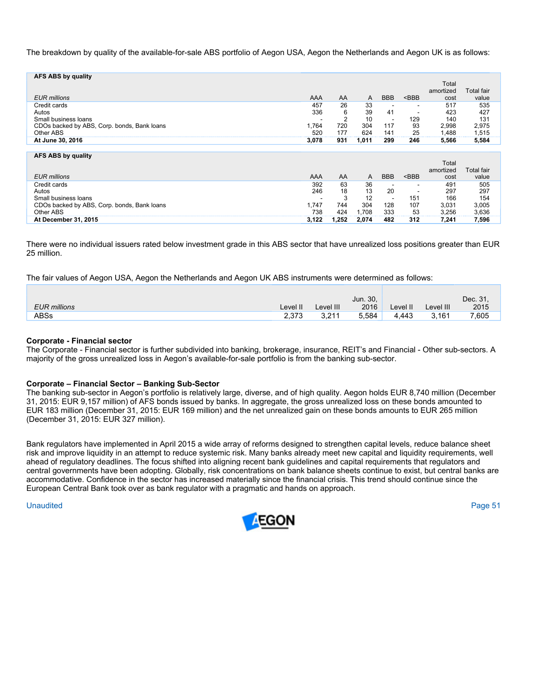The breakdown by quality of the available-for-sale ABS portfolio of Aegon USA, Aegon the Netherlands and Aegon UK is as follows:

| AFS ABS by quality                          |       |     |       |                          |         | Total<br>amortized | <b>Total fair</b> |
|---------------------------------------------|-------|-----|-------|--------------------------|---------|--------------------|-------------------|
| <b>EUR</b> millions                         | AAA   | AA  | A     | <b>BBB</b>               | $<$ BBB | cost               | value             |
| Credit cards                                | 457   | 26  | 33    | $\overline{\phantom{a}}$ | -       | 517                | 535               |
| Autos                                       | 336   | 6   | 39    | 41                       | -       | 423                | 427               |
| Small business loans                        | ۰     | 2   | 10    | $\overline{\phantom{a}}$ | 129     | 140                | 131               |
| CDOs backed by ABS, Corp. bonds, Bank loans | 1.764 | 720 | 304   | 117                      | 93      | 2,998              | 2,975             |
| Other ABS                                   | 520   | 177 | 624   | 141                      | 25      | 1.488              | 1,515             |
| At June 30, 2016                            | 3,078 | 931 | 1,011 | 299                      | 246     | 5,566              | 5,584             |
|                                             |       |     |       |                          |         |                    |                   |
| AFS ABS by quality                          |       |     |       |                          |         | Total<br>amortized | <b>Total fair</b> |
| EUR millions                                | AAA   | AA  | A     | <b>BBB</b>               | $<$ BBB | cost               | value             |

| Credit cards                                | 392                      | 63   | 36    |     | $\sim$ | 49    | 505   |
|---------------------------------------------|--------------------------|------|-------|-----|--------|-------|-------|
| Autos                                       | 246                      | 18   | 13    | 20  |        | 297   | 297   |
| Small business loans                        | $\overline{\phantom{0}}$ |      | 12    |     | 151    | 166   | 154   |
| CDOs backed by ABS, Corp. bonds, Bank loans | .747                     | 744  | 304   | 128 | 107    | 3.031 | 3,005 |
| Other ABS                                   | 738                      | 424  | .708  | 333 | 53     | 3.256 | 3.636 |
| At December 31, 2015                        | 3.122                    | .252 | 2.074 | 482 | 312    | 7,241 | 7.596 |

There were no individual issuers rated below investment grade in this ABS sector that have unrealized loss positions greater than EUR 25 million.

The fair values of Aegon USA, Aegon the Netherlands and Aegon UK ABS instruments were determined as follows:

|                     |          |           | Jun. 30, |          |           | Dec. 31. |
|---------------------|----------|-----------|----------|----------|-----------|----------|
| <b>EUR</b> millions | Level II | Level III | 2016     | ∟evel II | Level III | 2015     |
| ABSs                | 2.373    | 3.211     | 5.584    | 4.443    | 3,161     | 7,605    |

# **Corporate - Financial sector**

The Corporate - Financial sector is further subdivided into banking, brokerage, insurance, REIT's and Financial - Other sub-sectors. A majority of the gross unrealized loss in Aegon's available-for-sale portfolio is from the banking sub-sector.

# **Corporate – Financial Sector – Banking Sub-Sector**

The banking sub-sector in Aegon's portfolio is relatively large, diverse, and of high quality. Aegon holds EUR 8,740 million (December 31, 2015: EUR 9,157 million) of AFS bonds issued by banks. In aggregate, the gross unrealized loss on these bonds amounted to EUR 183 million (December 31, 2015: EUR 169 million) and the net unrealized gain on these bonds amounts to EUR 265 million (December 31, 2015: EUR 327 million).

Bank regulators have implemented in April 2015 a wide array of reforms designed to strengthen capital levels, reduce balance sheet risk and improve liquidity in an attempt to reduce systemic risk. Many banks already meet new capital and liquidity requirements, well ahead of regulatory deadlines. The focus shifted into aligning recent bank guidelines and capital requirements that regulators and central governments have been adopting. Globally, risk concentrations on bank balance sheets continue to exist, but central banks are accommodative. Confidence in the sector has increased materially since the financial crisis. This trend should continue since the European Central Bank took over as bank regulator with a pragmatic and hands on approach.

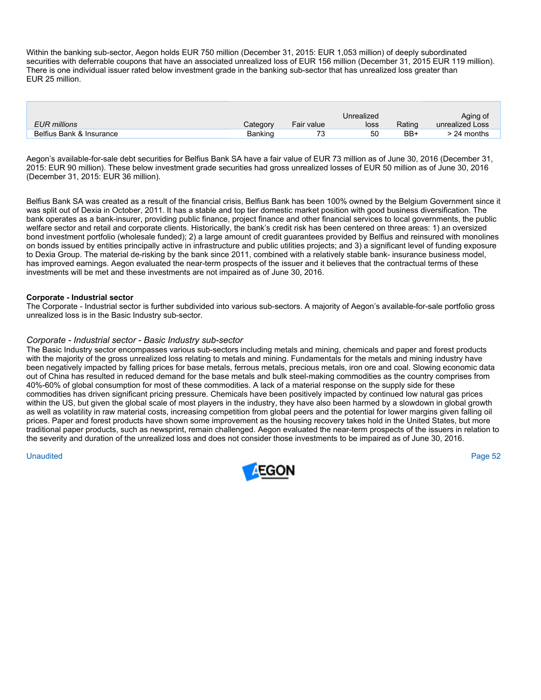Within the banking sub-sector, Aegon holds EUR 750 million (December 31, 2015: EUR 1,053 million) of deeply subordinated securities with deferrable coupons that have an associated unrealized loss of EUR 156 million (December 31, 2015 EUR 119 million). There is one individual issuer rated below investment grade in the banking sub-sector that has unrealized loss greater than EUR 25 million.

|                          |          |            | Unrealized |        | Aging of        |
|--------------------------|----------|------------|------------|--------|-----------------|
| <b>EUR</b> millions      | Category | Fair value | loss       | Rating | unrealized Loss |
| Belfius Bank & Insurance | Banking  | 70         | 50         | BB+    | $> 24$ months   |

Aegon's available-for-sale debt securities for Belfius Bank SA have a fair value of EUR 73 million as of June 30, 2016 (December 31, 2015: EUR 90 million). These below investment grade securities had gross unrealized losses of EUR 50 million as of June 30, 2016 (December 31, 2015: EUR 36 million).

Belfius Bank SA was created as a result of the financial crisis, Belfius Bank has been 100% owned by the Belgium Government since it was split out of Dexia in October, 2011. It has a stable and top tier domestic market position with good business diversification. The bank operates as a bank-insurer, providing public finance, project finance and other financial services to local governments, the public welfare sector and retail and corporate clients. Historically, the bank's credit risk has been centered on three areas: 1) an oversized bond investment portfolio (wholesale funded); 2) a large amount of credit guarantees provided by Belfius and reinsured with monolines on bonds issued by entities principally active in infrastructure and public utilities projects; and 3) a significant level of funding exposure to Dexia Group. The material de-risking by the bank since 2011, combined with a relatively stable bank- insurance business model, has improved earnings. Aegon evaluated the near-term prospects of the issuer and it believes that the contractual terms of these investments will be met and these investments are not impaired as of June 30, 2016.

# **Corporate - Industrial sector**

The Corporate - Industrial sector is further subdivided into various sub-sectors. A majority of Aegon's available-for-sale portfolio gross unrealized loss is in the Basic Industry sub-sector.

# *Corporate - Industrial sector - Basic Industry sub-sector*

The Basic Industry sector encompasses various sub-sectors including metals and mining, chemicals and paper and forest products with the majority of the gross unrealized loss relating to metals and mining. Fundamentals for the metals and mining industry have been negatively impacted by falling prices for base metals, ferrous metals, precious metals, iron ore and coal. Slowing economic data out of China has resulted in reduced demand for the base metals and bulk steel-making commodities as the country comprises from 40%-60% of global consumption for most of these commodities. A lack of a material response on the supply side for these commodities has driven significant pricing pressure. Chemicals have been positively impacted by continued low natural gas prices within the US, but given the global scale of most players in the industry, they have also been harmed by a slowdown in global growth as well as volatility in raw material costs, increasing competition from global peers and the potential for lower margins given falling oil prices. Paper and forest products have shown some improvement as the housing recovery takes hold in the United States, but more traditional paper products, such as newsprint, remain challenged. Aegon evaluated the near-term prospects of the issuers in relation to the severity and duration of the unrealized loss and does not consider those investments to be impaired as of June 30, 2016.

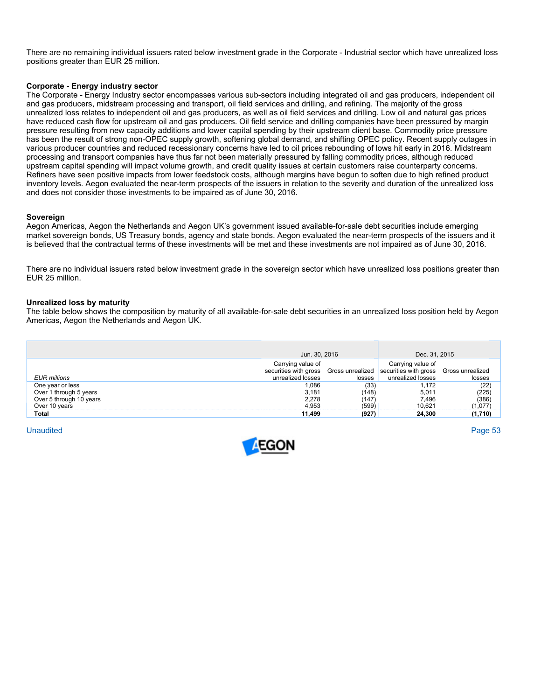There are no remaining individual issuers rated below investment grade in the Corporate - Industrial sector which have unrealized loss positions greater than EUR 25 million.

# **Corporate - Energy industry sector**

The Corporate - Energy Industry sector encompasses various sub-sectors including integrated oil and gas producers, independent oil and gas producers, midstream processing and transport, oil field services and drilling, and refining. The majority of the gross unrealized loss relates to independent oil and gas producers, as well as oil field services and drilling. Low oil and natural gas prices have reduced cash flow for upstream oil and gas producers. Oil field service and drilling companies have been pressured by margin pressure resulting from new capacity additions and lower capital spending by their upstream client base. Commodity price pressure has been the result of strong non-OPEC supply growth, softening global demand, and shifting OPEC policy. Recent supply outages in various producer countries and reduced recessionary concerns have led to oil prices rebounding of lows hit early in 2016. Midstream processing and transport companies have thus far not been materially pressured by falling commodity prices, although reduced upstream capital spending will impact volume growth, and credit quality issues at certain customers raise counterparty concerns. Refiners have seen positive impacts from lower feedstock costs, although margins have begun to soften due to high refined product inventory levels. Aegon evaluated the near-term prospects of the issuers in relation to the severity and duration of the unrealized loss and does not consider those investments to be impaired as of June 30, 2016.

#### **Sovereign**

Aegon Americas, Aegon the Netherlands and Aegon UK's government issued available-for-sale debt securities include emerging market sovereign bonds, US Treasury bonds, agency and state bonds. Aegon evaluated the near-term prospects of the issuers and it is believed that the contractual terms of these investments will be met and these investments are not impaired as of June 30, 2016.

There are no individual issuers rated below investment grade in the sovereign sector which have unrealized loss positions greater than EUR 25 million.

#### **Unrealized loss by maturity**

The table below shows the composition by maturity of all available-for-sale debt securities in an unrealized loss position held by Aegon Americas, Aegon the Netherlands and Aegon UK.

|                                            | Jun. 30, 2016                                                   |                            | Dec. 31, 2015                                                   |                            |
|--------------------------------------------|-----------------------------------------------------------------|----------------------------|-----------------------------------------------------------------|----------------------------|
| EUR millions                               | Carrying value of<br>securities with gross<br>unrealized losses | Gross unrealized<br>losses | Carrying value of<br>securities with gross<br>unrealized losses | Gross unrealized<br>losses |
| One year or less<br>Over 1 through 5 years | .086<br>3.181                                                   | (33)<br>(148)              | .172<br>5.011                                                   | (22)<br>(225)<br>(386)     |
| Over 5 through 10 years<br>Over 10 years   | 2.278<br>4.953                                                  | (147<br>(599)              | 7.496<br>10.621                                                 | 077. ،                     |
| Total                                      | 11.499                                                          | (927)                      | 24.300                                                          | 710)                       |

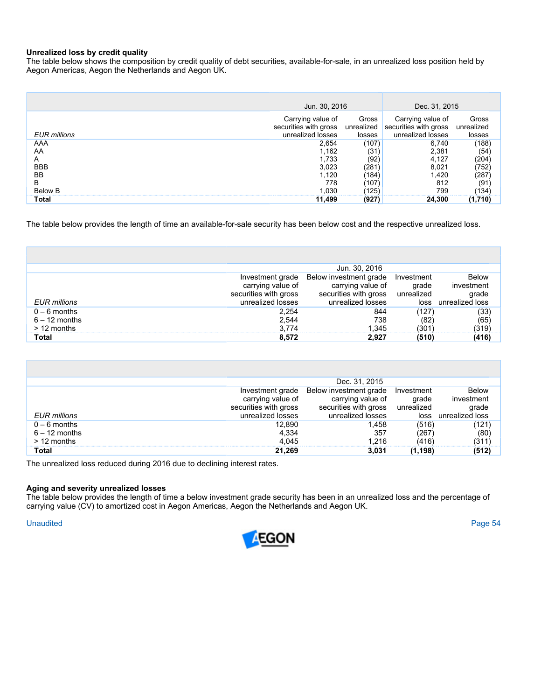# **Unrealized loss by credit quality**

The table below shows the composition by credit quality of debt securities, available-for-sale, in an unrealized loss position held by Aegon Americas, Aegon the Netherlands and Aegon UK.

|                     | Jun. 30, 2016                                                   |                               | Dec. 31, 2015                                                   |                               |
|---------------------|-----------------------------------------------------------------|-------------------------------|-----------------------------------------------------------------|-------------------------------|
| <b>EUR</b> millions | Carrying value of<br>securities with gross<br>unrealized losses | Gross<br>unrealized<br>losses | Carrying value of<br>securities with gross<br>unrealized losses | Gross<br>unrealized<br>losses |
| AAA                 | 2.654                                                           | (107)                         | 6.740                                                           | (188)                         |
| AA                  | l.162                                                           | (31                           | 2.381                                                           | (54                           |
| А                   | 1.733                                                           | (92                           | 4.127                                                           | (204)                         |
| <b>BBB</b>          | 3,023                                                           | 281                           | 8.021                                                           | '752,                         |
| BB                  | 1.120                                                           | 184                           | 420. ا                                                          | 287                           |
| в                   | 778                                                             | 107                           | 812                                                             | (91                           |
| <b>Below B</b>      | .030                                                            | 125                           | 799                                                             | $ 134\rangle$                 |
| Total               | 11,499                                                          | (927                          | 24.300                                                          | (1,710)                       |

The table below provides the length of time an available-for-sale security has been below cost and the respective unrealized loss.

|                     |                       | Jun. 30, 2016          |            |                 |
|---------------------|-----------------------|------------------------|------------|-----------------|
|                     | Investment grade      | Below investment grade | Investment | <b>Below</b>    |
|                     | carrying value of     | carrying value of      | grade      | investment      |
|                     | securities with gross | securities with gross  | unrealized | grade           |
| <b>EUR</b> millions | unrealized losses     | unrealized losses      | loss       | unrealized loss |
| $0 - 6$ months      | 2.254                 | 844                    |            | (33)            |
| $6 - 12$ months     | 2.544                 | 738                    | 82         | (65)            |
| $>12$ months        | 3.774                 | .345                   | 301'       | (319)           |
| Total               | 8.572                 | 2.927                  |            | (416)           |

|                 |                       | Dec. 31, 2015          |            |                                          |
|-----------------|-----------------------|------------------------|------------|------------------------------------------|
|                 | Investment grade      | Below investment grade | Investment | <b>Below</b>                             |
|                 | carrying value of     | carrying value of      | grade      | investment                               |
|                 | securities with gross | securities with gross  | unrealized | grade                                    |
| EUR millions    | unrealized losses     | unrealized losses      | loss       | unrealized loss                          |
| $0 - 6$ months  | 12,890                | 1.458                  | (516)      |                                          |
| $6 - 12$ months | 4,334                 | 357                    | 1267       | $\begin{pmatrix} 121 \ 60 \end{pmatrix}$ |
| $> 12$ months   | 4.045                 | 1 216                  | (416)      | 311)                                     |
| Total           | 21,269                | 3.031                  | (1.198)    |                                          |

The unrealized loss reduced during 2016 due to declining interest rates.

#### **Aging and severity unrealized losses**

The table below provides the length of time a below investment grade security has been in an unrealized loss and the percentage of carrying value (CV) to amortized cost in Aegon Americas, Aegon the Netherlands and Aegon UK.

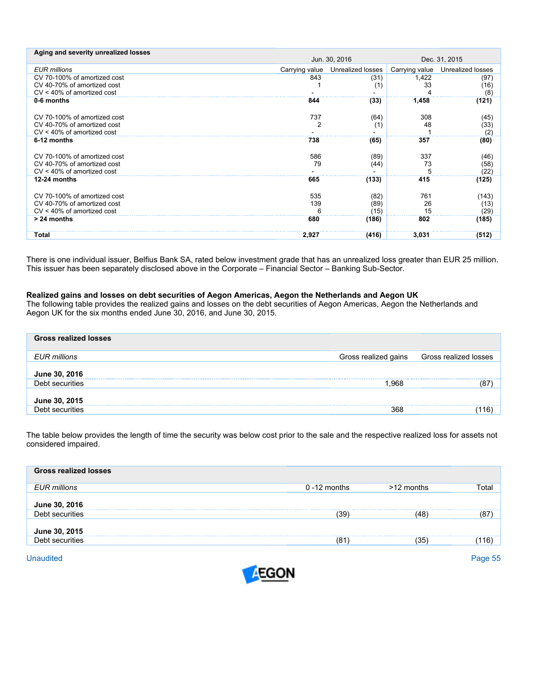| Jun. 30, 2016<br>Dec. 31, 2015<br><b>EUR millions</b><br>Unrealized losses<br>Unrealized losses<br>Carrying value<br>Carrying value<br>CV 70-100% of amortized cost<br>843<br>(31)<br>1,422<br>(97)<br>CV 40-70% of amortized cost<br>33<br>(16)<br>(1)<br>CV < 40% of amortized cost<br>(8)<br>0-6 months<br>(33)<br>1,458<br>(121)<br>844<br>CV 70-100% of amortized cost<br>737<br>308<br>(64)<br>(45)<br>2<br>CV 40-70% of amortized cost<br>48<br>(33)<br>(1)<br>$CV < 40\%$ of amortized cost<br>(2)<br>6-12 months<br>(80)<br>738<br>(65)<br>357<br>CV 70-100% of amortized cost<br>586<br>337<br>(89)<br>(46)<br>73<br>CV 40-70% of amortized cost<br>79<br>(44)<br>(58)<br>$CV < 40\%$ of amortized cost<br>(22)<br>12-24 months<br>415<br>(133)<br>665<br>(125)<br>535<br>CV 70-100% of amortized cost<br>761<br>(82)<br>(143)<br>139<br>26<br>CV 40-70% of amortized cost<br>(89)<br>(13)<br>$CV < 40\%$ of amortized cost<br>15<br>(15)<br>Բ<br>(29)<br>$> 24$ months<br>680<br>(186)<br>802<br>(185)<br>Total | Aging and severity unrealized losses |       |       |       |       |
|----------------------------------------------------------------------------------------------------------------------------------------------------------------------------------------------------------------------------------------------------------------------------------------------------------------------------------------------------------------------------------------------------------------------------------------------------------------------------------------------------------------------------------------------------------------------------------------------------------------------------------------------------------------------------------------------------------------------------------------------------------------------------------------------------------------------------------------------------------------------------------------------------------------------------------------------------------------------------------------------------------------------------|--------------------------------------|-------|-------|-------|-------|
|                                                                                                                                                                                                                                                                                                                                                                                                                                                                                                                                                                                                                                                                                                                                                                                                                                                                                                                                                                                                                            |                                      |       |       |       |       |
|                                                                                                                                                                                                                                                                                                                                                                                                                                                                                                                                                                                                                                                                                                                                                                                                                                                                                                                                                                                                                            |                                      |       |       |       |       |
|                                                                                                                                                                                                                                                                                                                                                                                                                                                                                                                                                                                                                                                                                                                                                                                                                                                                                                                                                                                                                            |                                      |       |       |       |       |
|                                                                                                                                                                                                                                                                                                                                                                                                                                                                                                                                                                                                                                                                                                                                                                                                                                                                                                                                                                                                                            |                                      |       |       |       |       |
|                                                                                                                                                                                                                                                                                                                                                                                                                                                                                                                                                                                                                                                                                                                                                                                                                                                                                                                                                                                                                            |                                      |       |       |       |       |
|                                                                                                                                                                                                                                                                                                                                                                                                                                                                                                                                                                                                                                                                                                                                                                                                                                                                                                                                                                                                                            |                                      |       |       |       |       |
|                                                                                                                                                                                                                                                                                                                                                                                                                                                                                                                                                                                                                                                                                                                                                                                                                                                                                                                                                                                                                            |                                      |       |       |       |       |
|                                                                                                                                                                                                                                                                                                                                                                                                                                                                                                                                                                                                                                                                                                                                                                                                                                                                                                                                                                                                                            |                                      |       |       |       |       |
|                                                                                                                                                                                                                                                                                                                                                                                                                                                                                                                                                                                                                                                                                                                                                                                                                                                                                                                                                                                                                            |                                      |       |       |       |       |
|                                                                                                                                                                                                                                                                                                                                                                                                                                                                                                                                                                                                                                                                                                                                                                                                                                                                                                                                                                                                                            |                                      |       |       |       |       |
|                                                                                                                                                                                                                                                                                                                                                                                                                                                                                                                                                                                                                                                                                                                                                                                                                                                                                                                                                                                                                            |                                      |       |       |       |       |
|                                                                                                                                                                                                                                                                                                                                                                                                                                                                                                                                                                                                                                                                                                                                                                                                                                                                                                                                                                                                                            |                                      |       |       |       |       |
|                                                                                                                                                                                                                                                                                                                                                                                                                                                                                                                                                                                                                                                                                                                                                                                                                                                                                                                                                                                                                            |                                      |       |       |       |       |
|                                                                                                                                                                                                                                                                                                                                                                                                                                                                                                                                                                                                                                                                                                                                                                                                                                                                                                                                                                                                                            |                                      |       |       |       |       |
|                                                                                                                                                                                                                                                                                                                                                                                                                                                                                                                                                                                                                                                                                                                                                                                                                                                                                                                                                                                                                            |                                      |       |       |       |       |
|                                                                                                                                                                                                                                                                                                                                                                                                                                                                                                                                                                                                                                                                                                                                                                                                                                                                                                                                                                                                                            |                                      |       |       |       |       |
|                                                                                                                                                                                                                                                                                                                                                                                                                                                                                                                                                                                                                                                                                                                                                                                                                                                                                                                                                                                                                            |                                      |       |       |       |       |
|                                                                                                                                                                                                                                                                                                                                                                                                                                                                                                                                                                                                                                                                                                                                                                                                                                                                                                                                                                                                                            |                                      |       |       |       |       |
|                                                                                                                                                                                                                                                                                                                                                                                                                                                                                                                                                                                                                                                                                                                                                                                                                                                                                                                                                                                                                            |                                      | 2,927 | (416) | 3,031 | (512) |

There is one individual issuer, Belfius Bank SA, rated below investment grade that has an unrealized loss greater than EUR 25 million. This issuer has been separately disclosed above in the Corporate – Financial Sector – Banking Sub-Sector.

# **Realized gains and losses on debt securities of Aegon Americas, Aegon the Netherlands and Aegon UK**

The following table provides the realized gains and losses on the debt securities of Aegon Americas, Aegon the Netherlands and Aegon UK for the six months ended June 30, 2016, and June 30, 2015.

| <b>Gross realized losses</b> |                      |                       |
|------------------------------|----------------------|-----------------------|
| <b>EUR</b> millions          | Gross realized gains | Gross realized losses |
| June 30, 2016                |                      |                       |
| Debt securities              | 1.968                |                       |
| June 30, 2015                |                      |                       |
| Debt securities              | 368                  |                       |

The table below provides the length of time the security was below cost prior to the sale and the respective realized loss for assets not considered impaired.

| <b>Gross realized losses</b> |                 |            |    |
|------------------------------|-----------------|------------|----|
| <b>EUR millions</b>          | $0 - 12$ months | >12 months |    |
| June 30, 2016                |                 |            |    |
| Debt securities              | (39)            | :48        | 87 |
| June 30, 2015                |                 |            |    |
| Debt securities              | (81)            | 35         |    |
|                              |                 |            |    |

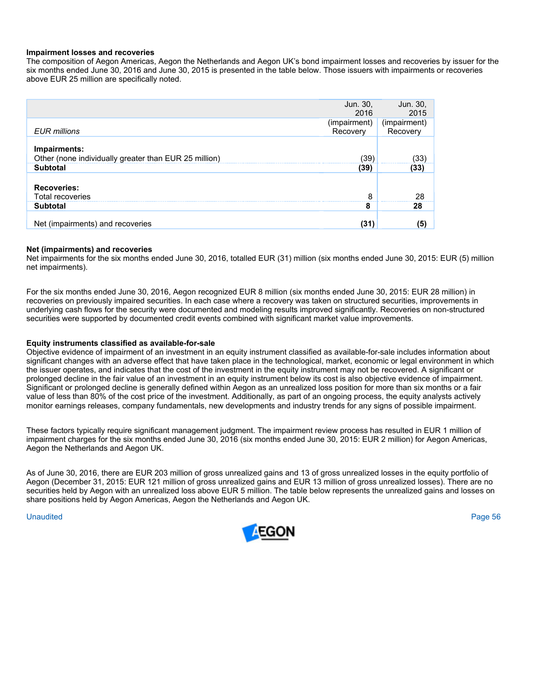#### **Impairment losses and recoveries**

The composition of Aegon Americas, Aegon the Netherlands and Aegon UK's bond impairment losses and recoveries by issuer for the six months ended June 30, 2016 and June 30, 2015 is presented in the table below. Those issuers with impairments or recoveries above EUR 25 million are specifically noted.

|                                                                       | Jun. 30,<br>2016         | Jun. 30,<br>2015         |
|-----------------------------------------------------------------------|--------------------------|--------------------------|
| <b>EUR</b> millions                                                   | (impairment)<br>Recovery | (impairment)<br>Recovery |
| Impairments:<br>Other (none individually greater than EUR 25 million) | (39)                     | (33)                     |
| <b>Subtotal</b>                                                       | (39)                     | (33)                     |
| <b>Recoveries:</b><br><b>Total recoveries</b>                         | 8                        | 28                       |
| <b>Subtotal</b>                                                       | 8                        | 28                       |
| Net (impairments) and recoveries                                      | (31)                     | (5)                      |

#### **Net (impairments) and recoveries**

Net impairments for the six months ended June 30, 2016, totalled EUR (31) million (six months ended June 30, 2015: EUR (5) million net impairments).

For the six months ended June 30, 2016, Aegon recognized EUR 8 million (six months ended June 30, 2015: EUR 28 million) in recoveries on previously impaired securities. In each case where a recovery was taken on structured securities, improvements in underlying cash flows for the security were documented and modeling results improved significantly. Recoveries on non-structured securities were supported by documented credit events combined with significant market value improvements.

#### **Equity instruments classified as available-for-sale**

Objective evidence of impairment of an investment in an equity instrument classified as available-for-sale includes information about significant changes with an adverse effect that have taken place in the technological, market, economic or legal environment in which the issuer operates, and indicates that the cost of the investment in the equity instrument may not be recovered. A significant or prolonged decline in the fair value of an investment in an equity instrument below its cost is also objective evidence of impairment. Significant or prolonged decline is generally defined within Aegon as an unrealized loss position for more than six months or a fair value of less than 80% of the cost price of the investment. Additionally, as part of an ongoing process, the equity analysts actively monitor earnings releases, company fundamentals, new developments and industry trends for any signs of possible impairment.

These factors typically require significant management judgment. The impairment review process has resulted in EUR 1 million of impairment charges for the six months ended June 30, 2016 (six months ended June 30, 2015: EUR 2 million) for Aegon Americas, Aegon the Netherlands and Aegon UK.

As of June 30, 2016, there are EUR 203 million of gross unrealized gains and 13 of gross unrealized losses in the equity portfolio of Aegon (December 31, 2015: EUR 121 million of gross unrealized gains and EUR 13 million of gross unrealized losses). There are no securities held by Aegon with an unrealized loss above EUR 5 million. The table below represents the unrealized gains and losses on share positions held by Aegon Americas, Aegon the Netherlands and Aegon UK.

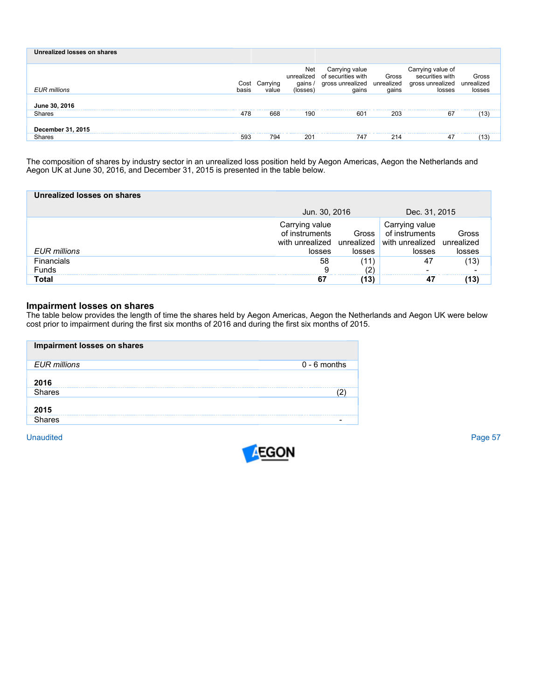| Unrealized losses on shares |               |                   |                                         |                                                                   |                              |                                                                    |                               |
|-----------------------------|---------------|-------------------|-----------------------------------------|-------------------------------------------------------------------|------------------------------|--------------------------------------------------------------------|-------------------------------|
| <b>EUR</b> millions         | Cost<br>basis | Carrying<br>value | Net<br>unrealized<br>qains.<br>(losses) | Carrying value<br>of securities with<br>gross unrealized<br>qains | Gross<br>unrealized<br>gains | Carrying value of<br>securities with<br>gross unrealized<br>losses | Gross<br>unrealized<br>losses |
| June 30, 2016               |               |                   |                                         |                                                                   |                              |                                                                    |                               |
| <b>Shares</b>               | 478           | 668               | 190                                     | 601                                                               | 203                          | 67                                                                 | ้13)                          |
| December 31, 2015           |               |                   |                                         |                                                                   |                              |                                                                    |                               |
| <b>Shares</b>               | 593           | 794               | 201                                     | 747                                                               | 214                          | 47                                                                 | 13)                           |

The composition of shares by industry sector in an unrealized loss position held by Aegon Americas, Aegon the Netherlands and Aegon UK at June 30, 2016, and December 31, 2015 is presented in the table below.

| Unrealized losses on shares |                                            |                 |                                                                                                     |                 |  |
|-----------------------------|--------------------------------------------|-----------------|-----------------------------------------------------------------------------------------------------|-----------------|--|
|                             | Jun. 30, 2016                              |                 | Dec. 31, 2015                                                                                       |                 |  |
| <b>EUR</b> millions         | Carrying value<br>of instruments<br>losses | Gross<br>losses | Carrying value<br>of instruments<br>with unrealized unrealized with unrealized unrealized<br>losses | Gross<br>losses |  |
| <b>Financials</b>           | 58                                         | (11             | 47                                                                                                  | $^{\prime}$ 13) |  |
| <b>Funds</b><br>Total       | 9                                          |                 |                                                                                                     |                 |  |

# **Impairment losses on shares**

The table below provides the length of time the shares held by Aegon Americas, Aegon the Netherlands and Aegon UK were below cost prior to impairment during the first six months of 2016 and during the first six months of 2015.

| Impairment losses on shares |                |
|-----------------------------|----------------|
| <b>EUR</b> millions         | $0 - 6$ months |
| 2016                        |                |
| Shares                      |                |
| 2015                        |                |
| Shares                      |                |

**Unaudited** Unaudited Page 57

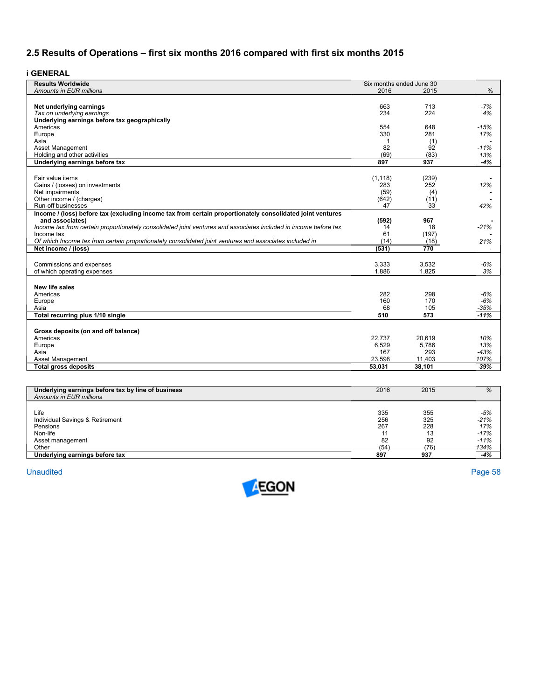# **2.5 Results of Operations – first six months 2016 compared with first six months 2015**

**i GENERAL** 

| <b>Results Worldwide</b>                                                                                         | Six months ended June 30 |                |                          |
|------------------------------------------------------------------------------------------------------------------|--------------------------|----------------|--------------------------|
| <b>Amounts in EUR millions</b>                                                                                   | 2016                     | 2015           | %                        |
|                                                                                                                  |                          |                |                          |
| Net underlying earnings                                                                                          | 663                      | 713            | $-7%$                    |
| Tax on underlying earnings                                                                                       | 234                      | 224            | 4%                       |
| Underlying earnings before tax geographically                                                                    |                          |                |                          |
| Americas                                                                                                         | 554                      | 648            | $-15%$                   |
| Europe                                                                                                           | 330                      | 281            | 17%                      |
| Asia                                                                                                             | 1                        | (1)            |                          |
| Asset Management                                                                                                 | 82                       | 92             | $-11%$                   |
| Holding and other activities                                                                                     | (69)                     | (83)           | 13%                      |
| Underlying earnings before tax                                                                                   | 897                      | 937            | $-4%$                    |
|                                                                                                                  |                          |                |                          |
| Fair value items                                                                                                 | (1, 118)                 | (239)          |                          |
| Gains / (losses) on investments                                                                                  | 283                      | 252            | 12%                      |
| Net impairments                                                                                                  | (59)                     | (4)            |                          |
| Other income / (charges)                                                                                         | (642)                    | (11)           |                          |
| Run-off businesses                                                                                               | 47                       | 33             | 42%                      |
| Income / (loss) before tax (excluding income tax from certain proportionately consolidated joint ventures        |                          |                |                          |
| and associates)                                                                                                  | (592)                    | 967            |                          |
| Income tax from certain proportionately consolidated joint ventures and associates included in income before tax | 14                       | 18             | $-21%$                   |
| Income tax                                                                                                       | 61                       | (197)          |                          |
| Of which Income tax from certain proportionately consolidated joint ventures and associates included in          | (14)                     | (18)           | 21%                      |
| Net income / (loss)                                                                                              | (531)                    | 770            |                          |
|                                                                                                                  |                          |                |                          |
|                                                                                                                  |                          |                |                          |
| Commissions and expenses                                                                                         | 3,333<br>1,886           | 3,532<br>1,825 | $-6%$                    |
| of which operating expenses                                                                                      |                          |                | 3%                       |
|                                                                                                                  |                          |                |                          |
| <b>New life sales</b>                                                                                            |                          |                |                          |
| Americas                                                                                                         | 282                      | 298            | $-6%$                    |
| Europe                                                                                                           | 160                      | 170            | $-6%$                    |
| Asia                                                                                                             | 68                       | 105            | $-35%$                   |
| Total recurring plus 1/10 single                                                                                 | 510                      | 573            | $-11%$                   |
|                                                                                                                  |                          |                |                          |
| Gross deposits (on and off balance)                                                                              |                          |                |                          |
| Americas                                                                                                         | 22,737                   | 20,619         | 10%                      |
| Europe                                                                                                           | 6,529                    | 5,786          | 13%                      |
| Asia                                                                                                             | 167                      | 293            | $-43%$                   |
| Asset Management                                                                                                 | 23,598                   | 11,403         | 107%                     |
| <b>Total gross deposits</b>                                                                                      | 53.031                   | 38.101         | 39%                      |
|                                                                                                                  |                          |                |                          |
|                                                                                                                  |                          |                |                          |
| Underlying earnings before tax by line of business                                                               | 2016                     | 2015           | $\overline{\frac{9}{6}}$ |
| Amounts in EUR millions                                                                                          |                          |                |                          |
|                                                                                                                  |                          |                |                          |
| Life                                                                                                             | 335                      | 355            | $-5%$                    |
| Individual Savings & Retirement                                                                                  | 256                      | 325            | $-21%$                   |
| Pensions                                                                                                         | 267                      | 228            | 17%                      |
| Non-life                                                                                                         | 11                       | 13             | $-17%$                   |
| Asset management                                                                                                 | 82                       | 92             | $-11%$                   |
| Other                                                                                                            | (54)                     | (76)           | 134%                     |
| Underlying earnings before tax                                                                                   | 897                      | 937            | $-4%$                    |

**Unaudited** Unaudited Page 58

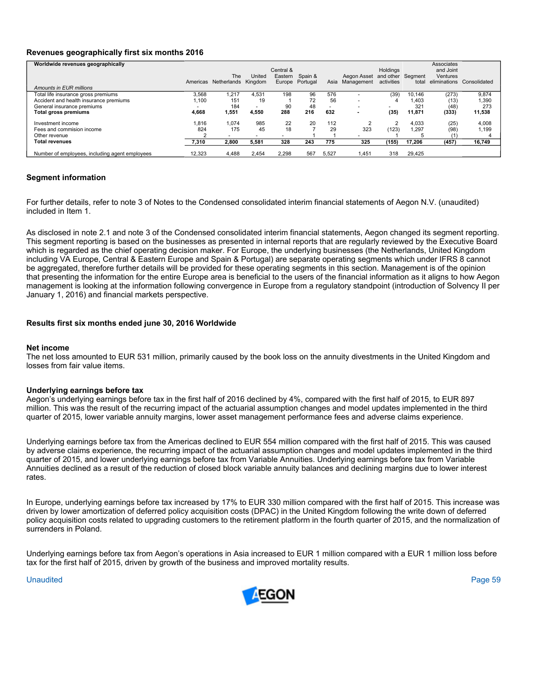# **Revenues geographically first six months 2016**

| Worldwide revenues geographically              |          |             |                |           |          |       |                          |                   |        | Associates      |              |
|------------------------------------------------|----------|-------------|----------------|-----------|----------|-------|--------------------------|-------------------|--------|-----------------|--------------|
|                                                |          |             |                | Central & |          |       |                          | Holdings          |        | and Joint       |              |
|                                                |          | The         | United         | Eastern   | Spain &  |       | Aegon Asset              | and other Segment |        | <b>Ventures</b> |              |
|                                                | Americas | Netherlands | Kingdom        | Europe    | Portugal | Asia  | Management               | activities        | total  | eliminations    | Consolidated |
| Amounts in EUR millions                        |          |             |                |           |          |       |                          |                   |        |                 |              |
| Total life insurance gross premiums            | 3,568    | 1.217       | 4.531          | 198       | 96       | 576   |                          | (39)              | 10.146 | (273)           | 9,874        |
| Accident and health insurance premiums         | 1.100    | 151         | 19             |           | 72       | 56    | $\overline{\phantom{a}}$ |                   | 1.403  | (13)            | .390         |
| General insurance premiums                     |          | 184         | $\overline{a}$ | 90        | 48       |       | $\overline{\phantom{a}}$ |                   | 321    | (48)            | 273          |
| Total gross premiums                           | 4,668    | .551        | 4,550          | 288       | 216      | 632   |                          | (35)              | 11,871 | (333)           | 11,538       |
| Investment income                              | 1,816    | 1.074       | 985            | 22        | 20       | 112   |                          |                   | 4,033  | (25)            | 4,008        |
| Fees and commision income                      | 824      | 175         | 45             | 18        |          | 29    | 323                      | (123)             | 1.297  | (98)            | 1.199        |
| Other revenue                                  |          |             |                |           |          |       |                          |                   |        |                 |              |
| <b>Total revenues</b>                          | 7,310    | 2.800       | 5.581          | 328       | 243      | 775   | 325                      | (155)             | 17.206 | (457)           | 16,749       |
| Number of employees, including agent employees | 12.323   | 4.488       | 2.454          | 2.298     | 567      | 5.527 | .451                     | 318               | 29.425 |                 |              |

# **Segment information**

For further details, refer to note 3 of Notes to the Condensed consolidated interim financial statements of Aegon N.V. (unaudited) included in Item 1.

As disclosed in note 2.1 and note 3 of the Condensed consolidated interim financial statements, Aegon changed its segment reporting. This segment reporting is based on the businesses as presented in internal reports that are regularly reviewed by the Executive Board which is regarded as the chief operating decision maker. For Europe, the underlying businesses (the Netherlands, United Kingdom including VA Europe, Central & Eastern Europe and Spain & Portugal) are separate operating segments which under IFRS 8 cannot be aggregated, therefore further details will be provided for these operating segments in this section. Management is of the opinion that presenting the information for the entire Europe area is beneficial to the users of the financial information as it aligns to how Aegon management is looking at the information following convergence in Europe from a regulatory standpoint (introduction of Solvency II per January 1, 2016) and financial markets perspective.

# **Results first six months ended june 30, 2016 Worldwide**

#### **Net income**

The net loss amounted to EUR 531 million, primarily caused by the book loss on the annuity divestments in the United Kingdom and losses from fair value items.

#### **Underlying earnings before tax**

Aegon's underlying earnings before tax in the first half of 2016 declined by 4%, compared with the first half of 2015, to EUR 897 million. This was the result of the recurring impact of the actuarial assumption changes and model updates implemented in the third quarter of 2015, lower variable annuity margins, lower asset management performance fees and adverse claims experience.

Underlying earnings before tax from the Americas declined to EUR 554 million compared with the first half of 2015. This was caused by adverse claims experience, the recurring impact of the actuarial assumption changes and model updates implemented in the third quarter of 2015, and lower underlying earnings before tax from Variable Annuities. Underlying earnings before tax from Variable Annuities declined as a result of the reduction of closed block variable annuity balances and declining margins due to lower interest rates.

In Europe, underlying earnings before tax increased by 17% to EUR 330 million compared with the first half of 2015. This increase was driven by lower amortization of deferred policy acquisition costs (DPAC) in the United Kingdom following the write down of deferred policy acquisition costs related to upgrading customers to the retirement platform in the fourth quarter of 2015, and the normalization of surrenders in Poland.

Underlying earnings before tax from Aegon's operations in Asia increased to EUR 1 million compared with a EUR 1 million loss before tax for the first half of 2015, driven by growth of the business and improved mortality results.

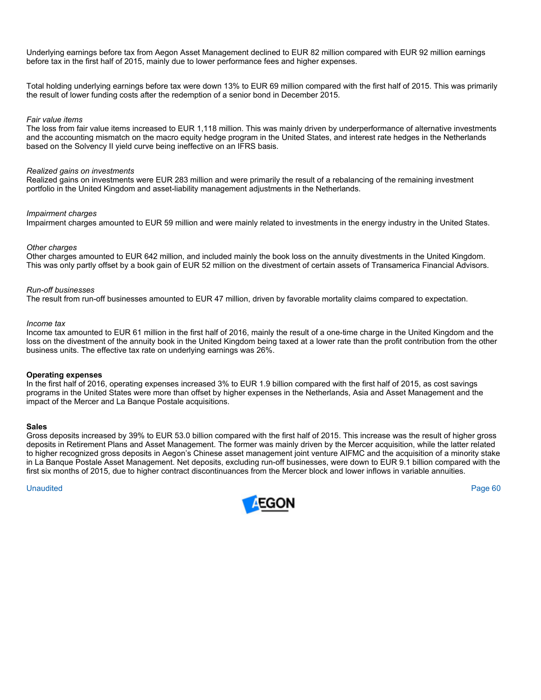Underlying earnings before tax from Aegon Asset Management declined to EUR 82 million compared with EUR 92 million earnings before tax in the first half of 2015, mainly due to lower performance fees and higher expenses.

Total holding underlying earnings before tax were down 13% to EUR 69 million compared with the first half of 2015. This was primarily the result of lower funding costs after the redemption of a senior bond in December 2015.

#### *Fair value items*

The loss from fair value items increased to EUR 1,118 million. This was mainly driven by underperformance of alternative investments and the accounting mismatch on the macro equity hedge program in the United States, and interest rate hedges in the Netherlands based on the Solvency II yield curve being ineffective on an IFRS basis.

# *Realized gains on investments*

Realized gains on investments were EUR 283 million and were primarily the result of a rebalancing of the remaining investment portfolio in the United Kingdom and asset-liability management adjustments in the Netherlands.

#### *Impairment charges*

Impairment charges amounted to EUR 59 million and were mainly related to investments in the energy industry in the United States.

#### *Other charges*

Other charges amounted to EUR 642 million, and included mainly the book loss on the annuity divestments in the United Kingdom. This was only partly offset by a book gain of EUR 52 million on the divestment of certain assets of Transamerica Financial Advisors.

#### *Run-off businesses*

The result from run-off businesses amounted to EUR 47 million, driven by favorable mortality claims compared to expectation.

#### *Income tax*

Income tax amounted to EUR 61 million in the first half of 2016, mainly the result of a one-time charge in the United Kingdom and the loss on the divestment of the annuity book in the United Kingdom being taxed at a lower rate than the profit contribution from the other business units. The effective tax rate on underlying earnings was 26%.

#### **Operating expenses**

In the first half of 2016, operating expenses increased 3% to EUR 1.9 billion compared with the first half of 2015, as cost savings programs in the United States were more than offset by higher expenses in the Netherlands, Asia and Asset Management and the impact of the Mercer and La Banque Postale acquisitions.

#### **Sales**

Gross deposits increased by 39% to EUR 53.0 billion compared with the first half of 2015. This increase was the result of higher gross deposits in Retirement Plans and Asset Management. The former was mainly driven by the Mercer acquisition, while the latter related to higher recognized gross deposits in Aegon's Chinese asset management joint venture AIFMC and the acquisition of a minority stake in La Banque Postale Asset Management. Net deposits, excluding run-off businesses, were down to EUR 9.1 billion compared with the first six months of 2015, due to higher contract discontinuances from the Mercer block and lower inflows in variable annuities.

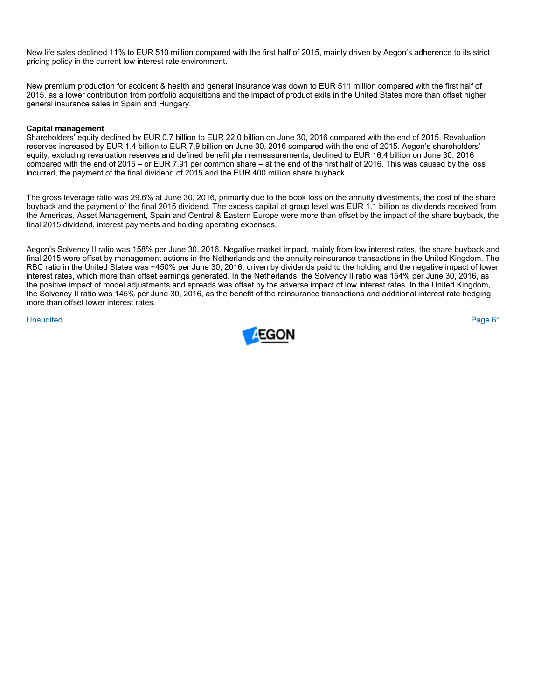New life sales declined 11% to EUR 510 million compared with the first half of 2015, mainly driven by Aegon's adherence to its strict pricing policy in the current low interest rate environment.

New premium production for accident & health and general insurance was down to EUR 511 million compared with the first half of 2015, as a lower contribution from portfolio acquisitions and the impact of product exits in the United States more than offset higher general insurance sales in Spain and Hungary.

# **Capital management**

Shareholders' equity declined by EUR 0.7 billion to EUR 22.0 billion on June 30, 2016 compared with the end of 2015. Revaluation reserves increased by EUR 1.4 billion to EUR 7.9 billion on June 30, 2016 compared with the end of 2015. Aegon's shareholders' equity, excluding revaluation reserves and defined benefit plan remeasurements, declined to EUR 16.4 billion on June 30, 2016 compared with the end of 2015 – or EUR 7.91 per common share – at the end of the first half of 2016. This was caused by the loss incurred, the payment of the final dividend of 2015 and the EUR 400 million share buyback.

The gross leverage ratio was 29.6% at June 30, 2016, primarily due to the book loss on the annuity divestments, the cost of the share buyback and the payment of the final 2015 dividend. The excess capital at group level was EUR 1.1 billion as dividends received from the Americas, Asset Management, Spain and Central & Eastern Europe were more than offset by the impact of the share buyback, the final 2015 dividend, interest payments and holding operating expenses.

Aegon's Solvency II ratio was 158% per June 30, 2016. Negative market impact, mainly from low interest rates, the share buyback and final 2015 were offset by management actions in the Netherlands and the annuity reinsurance transactions in the United Kingdom. The RBC ratio in the United States was ~450% per June 30, 2016, driven by dividends paid to the holding and the negative impact of lower interest rates, which more than offset earnings generated. In the Netherlands, the Solvency II ratio was 154% per June 30, 2016, as the positive impact of model adjustments and spreads was offset by the adverse impact of low interest rates. In the United Kingdom, the Solvency II ratio was 145% per June 30, 2016, as the benefit of the reinsurance transactions and additional interest rate hedging more than offset lower interest rates.

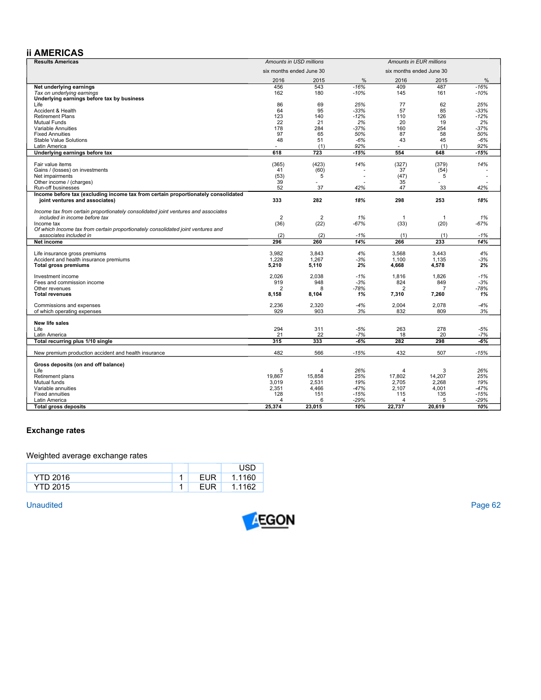# **ii AMERICAS**

| <b>Results Americas</b>                                                            | Amounts in USD millions  |                 | Amounts in EUR millions |                          |                 |               |
|------------------------------------------------------------------------------------|--------------------------|-----------------|-------------------------|--------------------------|-----------------|---------------|
|                                                                                    | six months ended June 30 |                 |                         | six months ended June 30 |                 |               |
|                                                                                    | 2016                     | 2015            | %                       | 2016                     | 2015            | $\frac{0}{0}$ |
| Net underlying earnings                                                            | 456                      | 543             | $-16%$                  | 409                      | 487             | $-16%$        |
| Tax on underlying earnings                                                         | 162                      | 180             | $-10%$                  | 145                      | 161             | $-10%$        |
| Underlying earnings before tax by business                                         |                          |                 |                         |                          |                 |               |
| Life                                                                               | 86                       | 69              | 25%                     | 77                       | 62              | 25%           |
| Accident & Health                                                                  | 64                       | 95              | $-33%$                  | 57                       | 85              | $-33%$        |
| <b>Retirement Plans</b>                                                            | 123                      | 140             | $-12%$                  | 110                      | 126             | $-12%$        |
| <b>Mutual Funds</b>                                                                | 22                       | 21              | 2%                      | 20                       | 19              | 2%            |
| Variable Annuities                                                                 | 178                      | 284             | $-37%$                  | 160                      | 254             | $-37%$        |
| <b>Fixed Annuities</b>                                                             | 97                       | 65              | 50%                     | 87                       | 58              | 50%           |
| Stable Value Solutions                                                             | 48                       | 51              | $-6%$                   | 43                       | 45              | $-6%$         |
| Latin America                                                                      |                          | (1)<br>723      | 92%<br>$-15%$           | 554                      | (1)<br>648      | 92%<br>$-15%$ |
| Underlying earnings before tax                                                     | 618                      |                 |                         |                          |                 |               |
| Fair value items                                                                   | (365)                    | (423)           | 14%                     | (327)                    | (379)           | 14%           |
| Gains / (losses) on investments                                                    | 41                       | (60)            |                         | 37                       | (54)            |               |
| Net impairments                                                                    | (53)                     | 5               |                         | (47)                     | 5               |               |
| Other income / (charges)                                                           | 39                       |                 |                         | 35                       |                 |               |
| Run-off businesses                                                                 | 52                       | 37              | 42%                     | 47                       | 33              | 42%           |
| Income before tax (excluding income tax from certain proportionately consolidated  | 333                      | 282             | 18%                     | 298                      | 253             | 18%           |
| joint ventures and associates)                                                     |                          |                 |                         |                          |                 |               |
| Income tax from certain proportionately consolidated joint ventures and associates |                          |                 |                         |                          |                 |               |
| included in income before tax                                                      | $\overline{2}$           | $\overline{2}$  | 1%                      | $\mathbf{1}$             | $\overline{1}$  | 1%            |
| Income tax                                                                         | (36)                     | (22)            | $-67%$                  | (33)                     | (20)            | $-67%$        |
| Of which Income tax from certain proportionately consolidated joint ventures and   |                          |                 |                         |                          |                 |               |
| associates included in                                                             | (2)                      | (2)             | $-1%$                   | (1)                      | (1)             | $-1%$         |
| Net income                                                                         | 296                      | 260             | 14%                     | 266                      | 233             | 14%           |
| Life insurance gross premiums                                                      | 3,982                    | 3.843           | 4%                      | 3,568                    | 3.443           | 4%            |
| Accident and health insurance premiums                                             | 1.228                    | 1.267           | $-3%$                   | 1.100                    | 1.135           | $-3%$         |
| <b>Total gross premiums</b>                                                        | 5,210                    | 5,110           | 2%                      | 4,668                    | 4,578           | 2%            |
| Investment income                                                                  | 2,026                    | 2,038           | $-1%$                   | 1,816                    | 1,826           | $-1%$         |
| Fees and commission income                                                         | 919                      | 948             | $-3%$                   | 824                      | 849             | $-3%$         |
| Other revenues                                                                     | $\overline{2}$           | 8               | $-78%$                  | $\overline{2}$           | $\overline{7}$  | $-78%$        |
| <b>Total revenues</b>                                                              | 8,158                    | 8,104           | 1%                      | 7,310                    | 7,260           | 1%            |
|                                                                                    |                          |                 |                         |                          |                 |               |
| Commissions and expenses                                                           | 2,236                    | 2,320           | $-4%$                   | 2,004                    | 2,078           | $-4%$         |
| of which operating expenses                                                        | 929                      | 903             | 3%                      | 832                      | 809             | 3%            |
| New life sales                                                                     |                          |                 |                         |                          |                 |               |
| Life                                                                               | 294                      | 311             | $-5%$                   | 263                      | 278             | $-5%$         |
| Latin America                                                                      | 21                       | 22              | $-7%$                   | 18                       | 20              | $-7%$         |
| Total recurring plus 1/10 single                                                   | 315                      | 333             | $-6%$                   | 282                      | 298             | $-6%$         |
| New premium production accident and health insurance                               | 482                      | 566             | $-15%$                  | 432                      | 507             | $-15%$        |
|                                                                                    |                          |                 |                         |                          |                 |               |
| Gross deposits (on and off balance)                                                |                          |                 |                         |                          |                 |               |
| Life                                                                               | 5                        | 4               | 26%<br>25%              | $\overline{4}$           | 3               | 26%<br>25%    |
| Retirement plans<br>Mutual funds                                                   | 19,867<br>3,019          | 15,858<br>2,531 | 19%                     | 17,802<br>2,705          | 14,207<br>2,268 | 19%           |
| Variable annuities                                                                 | 2,351                    | 4,466           | $-47%$                  | 2,107                    | 4,001           | $-47%$        |
| <b>Fixed annuities</b>                                                             | 128                      | 151             | $-15%$                  | 115                      | 135             | $-15%$        |
| Latin America                                                                      | 4                        | 6               | $-29%$                  | 4                        | 5               | $-29%$        |
| <b>Total gross deposits</b>                                                        | 25,374                   | 23,015          | 10%                     | 22,737                   | 20,619          | 10%           |
|                                                                                    |                          |                 |                         |                          |                 |               |

# **Exchange rates**

# Weighted average exchange rates

| <b>YTD 2016</b> | <b>EUR</b> | 1.1160 |
|-----------------|------------|--------|
| <b>YTD 2015</b> | EUR        | 1.1162 |

Unaudited Unaudited Page 62

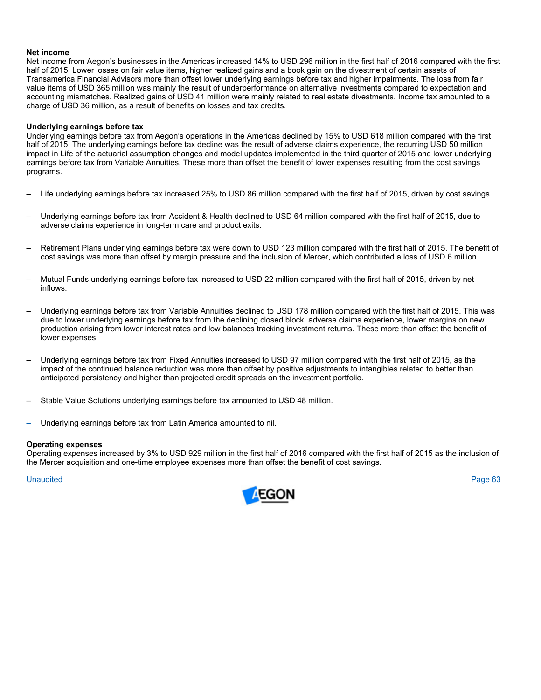#### **Net income**

Net income from Aegon's businesses in the Americas increased 14% to USD 296 million in the first half of 2016 compared with the first half of 2015. Lower losses on fair value items, higher realized gains and a book gain on the divestment of certain assets of Transamerica Financial Advisors more than offset lower underlying earnings before tax and higher impairments. The loss from fair value items of USD 365 million was mainly the result of underperformance on alternative investments compared to expectation and accounting mismatches. Realized gains of USD 41 million were mainly related to real estate divestments. Income tax amounted to a charge of USD 36 million, as a result of benefits on losses and tax credits.

# **Underlying earnings before tax**

Underlying earnings before tax from Aegon's operations in the Americas declined by 15% to USD 618 million compared with the first half of 2015. The underlying earnings before tax decline was the result of adverse claims experience, the recurring USD 50 million impact in Life of the actuarial assumption changes and model updates implemented in the third quarter of 2015 and lower underlying earnings before tax from Variable Annuities. These more than offset the benefit of lower expenses resulting from the cost savings programs.

- Life underlying earnings before tax increased 25% to USD 86 million compared with the first half of 2015, driven by cost savings.
- Underlying earnings before tax from Accident & Health declined to USD 64 million compared with the first half of 2015, due to adverse claims experience in long-term care and product exits.
- Retirement Plans underlying earnings before tax were down to USD 123 million compared with the first half of 2015. The benefit of cost savings was more than offset by margin pressure and the inclusion of Mercer, which contributed a loss of USD 6 million.
- Mutual Funds underlying earnings before tax increased to USD 22 million compared with the first half of 2015, driven by net inflows.
- Underlying earnings before tax from Variable Annuities declined to USD 178 million compared with the first half of 2015. This was due to lower underlying earnings before tax from the declining closed block, adverse claims experience, lower margins on new production arising from lower interest rates and low balances tracking investment returns. These more than offset the benefit of lower expenses.
- Underlying earnings before tax from Fixed Annuities increased to USD 97 million compared with the first half of 2015, as the impact of the continued balance reduction was more than offset by positive adjustments to intangibles related to better than anticipated persistency and higher than projected credit spreads on the investment portfolio.
- Stable Value Solutions underlying earnings before tax amounted to USD 48 million.
- Underlying earnings before tax from Latin America amounted to nil.

#### **Operating expenses**

Operating expenses increased by 3% to USD 929 million in the first half of 2016 compared with the first half of 2015 as the inclusion of the Mercer acquisition and one-time employee expenses more than offset the benefit of cost savings.

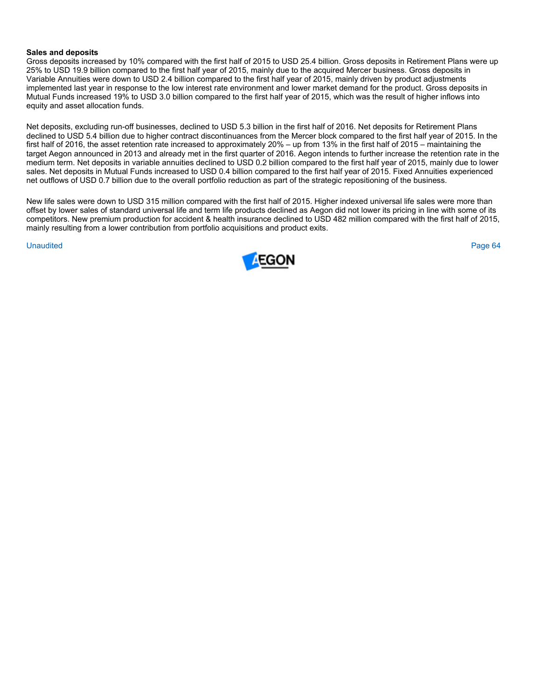#### **Sales and deposits**

Gross deposits increased by 10% compared with the first half of 2015 to USD 25.4 billion. Gross deposits in Retirement Plans were up 25% to USD 19.9 billion compared to the first half year of 2015, mainly due to the acquired Mercer business. Gross deposits in Variable Annuities were down to USD 2.4 billion compared to the first half year of 2015, mainly driven by product adjustments implemented last year in response to the low interest rate environment and lower market demand for the product. Gross deposits in Mutual Funds increased 19% to USD 3.0 billion compared to the first half year of 2015, which was the result of higher inflows into equity and asset allocation funds.

Net deposits, excluding run-off businesses, declined to USD 5.3 billion in the first half of 2016. Net deposits for Retirement Plans declined to USD 5.4 billion due to higher contract discontinuances from the Mercer block compared to the first half year of 2015. In the first half of 2016, the asset retention rate increased to approximately 20% – up from 13% in the first half of 2015 – maintaining the target Aegon announced in 2013 and already met in the first quarter of 2016. Aegon intends to further increase the retention rate in the medium term. Net deposits in variable annuities declined to USD 0.2 billion compared to the first half year of 2015, mainly due to lower sales. Net deposits in Mutual Funds increased to USD 0.4 billion compared to the first half year of 2015. Fixed Annuities experienced net outflows of USD 0.7 billion due to the overall portfolio reduction as part of the strategic repositioning of the business.

New life sales were down to USD 315 million compared with the first half of 2015. Higher indexed universal life sales were more than offset by lower sales of standard universal life and term life products declined as Aegon did not lower its pricing in line with some of its competitors. New premium production for accident & health insurance declined to USD 482 million compared with the first half of 2015, mainly resulting from a lower contribution from portfolio acquisitions and product exits.

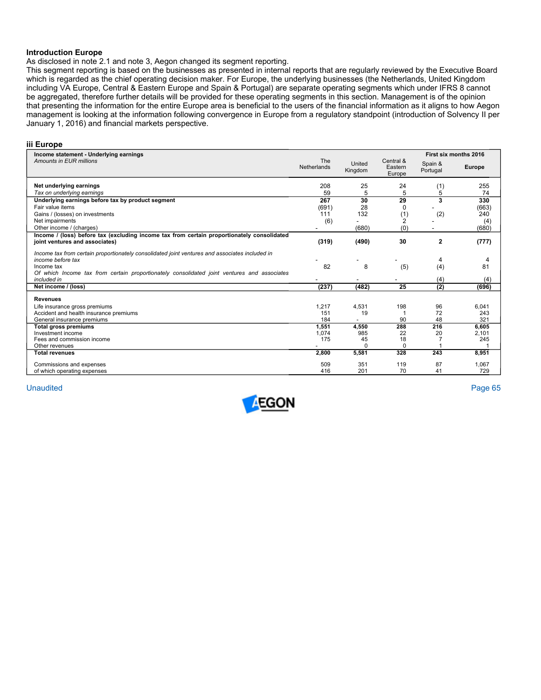#### **Introduction Europe**

As disclosed in note 2.1 and note 3, Aegon changed its segment reporting.

This segment reporting is based on the businesses as presented in internal reports that are regularly reviewed by the Executive Board which is regarded as the chief operating decision maker. For Europe, the underlying businesses (the Netherlands, United Kingdom including VA Europe, Central & Eastern Europe and Spain & Portugal) are separate operating segments which under IFRS 8 cannot be aggregated, therefore further details will be provided for these operating segments in this section. Management is of the opinion that presenting the information for the entire Europe area is beneficial to the users of the financial information as it aligns to how Aegon management is looking at the information following convergence in Europe from a regulatory standpoint (introduction of Solvency II per January 1, 2016) and financial markets perspective.

#### **iii Europe**

| Income statement - Underlying earnings                                                                                       |                           |                   |                                |                     | First six months 2016 |
|------------------------------------------------------------------------------------------------------------------------------|---------------------------|-------------------|--------------------------------|---------------------|-----------------------|
| Amounts in EUR millions                                                                                                      | The<br><b>Netherlands</b> | United<br>Kingdom | Central &<br>Eastern<br>Europe | Spain &<br>Portugal | <b>Europe</b>         |
| Net underlying earnings                                                                                                      | 208                       | 25                | 24                             | (1)                 | 255                   |
| Tax on underlying earnings                                                                                                   | 59                        | 5                 | 5                              | 5                   | 74                    |
| Underlying earnings before tax by product segment                                                                            | 267                       | 30                | 29                             | 3                   | 330                   |
| Fair value items                                                                                                             | (691)                     | 28                | 0                              |                     | (663)                 |
| Gains / (losses) on investments                                                                                              | 111                       | 132               | (1)                            | (2)                 | 240                   |
| Net impairments                                                                                                              | (6)                       |                   | $\overline{2}$                 |                     | (4)                   |
| Other income / (charges)                                                                                                     |                           | (680)             | (0)                            |                     | (680)                 |
| Income / (loss) before tax (excluding income tax from certain proportionately consolidated<br>joint ventures and associates) | (319)                     | (490)             | 30                             | $\overline{2}$      | (777)                 |
| Income tax from certain proportionately consolidated joint ventures and associates included in<br>income before tax          |                           |                   |                                |                     | 4                     |
| Income tax<br>Of which Income tax from certain proportionately consolidated joint ventures and associates<br>included in     | 82                        | 8                 | (5)                            | (4)<br>(4)          | 81<br>(4)             |
| Net income / (loss)                                                                                                          | (237)                     | (482)             | 25                             | (2)                 | (696)                 |
| <b>Revenues</b>                                                                                                              |                           |                   |                                |                     |                       |
| Life insurance gross premiums<br>Accident and health insurance premiums                                                      | 1,217<br>151              | 4,531<br>19       | 198                            | 96<br>72            | 6.041<br>243          |
| General insurance premiums                                                                                                   | 184                       |                   | 90                             | 48                  | 321                   |
| Total gross premiums                                                                                                         | 1,551                     | 4,550             | 288                            | 216                 | 6,605                 |
| Investment income                                                                                                            | 1,074                     | 985               | 22                             | 20                  | 2,101                 |
| Fees and commission income                                                                                                   | 175                       | 45                | 18                             |                     | 245                   |
| Other revenues                                                                                                               |                           | $\Omega$          | $\Omega$                       |                     |                       |
| <b>Total revenues</b>                                                                                                        | 2,800                     | 5,581             | 328                            | 243                 | 8,951                 |
| Commissions and expenses                                                                                                     | 509                       | 351               | 119                            | 87                  | 1,067                 |
| of which operating expenses                                                                                                  | 416                       | 201               | 70                             | 41                  | 729                   |

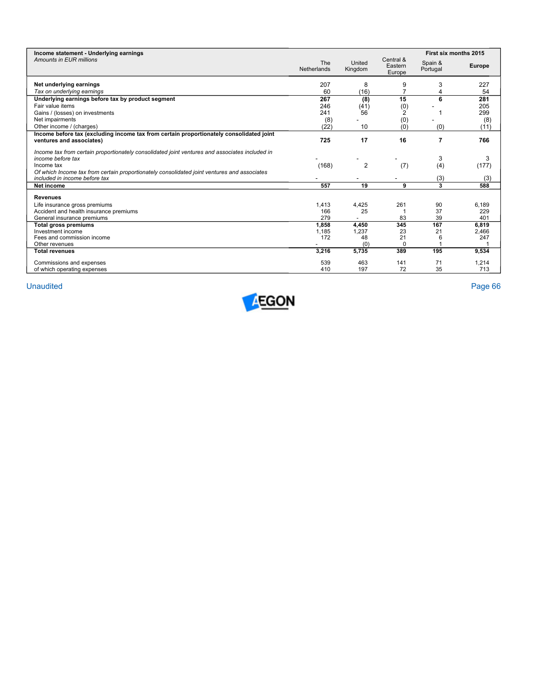| Income statement - Underlying earnings                                                                                                                                                                                           |                    |                   |                                | First six months 2015 |               |
|----------------------------------------------------------------------------------------------------------------------------------------------------------------------------------------------------------------------------------|--------------------|-------------------|--------------------------------|-----------------------|---------------|
| Amounts in EUR millions                                                                                                                                                                                                          | The<br>Netherlands | United<br>Kingdom | Central &<br>Eastern<br>Europe | Spain &<br>Portugal   | <b>Europe</b> |
| Net underlying earnings                                                                                                                                                                                                          | 207                | 8                 | 9                              | 3                     | 227           |
| Tax on underlying earnings                                                                                                                                                                                                       | 60                 | (16)              | 7                              |                       | 54            |
| Underlying earnings before tax by product segment                                                                                                                                                                                | 267                | (8)               | 15                             | 6                     | 281           |
| Fair value items                                                                                                                                                                                                                 | 246                | (41)              | (0)                            |                       | 205           |
| Gains / (losses) on investments                                                                                                                                                                                                  | 241                | 56                | 2                              |                       | 299           |
| Net impairments                                                                                                                                                                                                                  | (8)                |                   | (0)                            |                       | (8)           |
| Other income / (charges)                                                                                                                                                                                                         | (22)               | 10                | (0)                            | (0)                   | (11)          |
| Income before tax (excluding income tax from certain proportionately consolidated joint<br>ventures and associates)                                                                                                              | 725                | 17                | 16                             | 7                     | 766           |
| Income tax from certain proportionately consolidated joint ventures and associates included in<br>income before tax<br>Income tax<br>Of which Income tax from certain proportionately consolidated joint ventures and associates | (168)              | $\overline{2}$    | (7)                            | 3<br>(4)              | 3<br>(177)    |
| included in income before tax                                                                                                                                                                                                    |                    |                   |                                | (3)                   | (3)           |
| Net income                                                                                                                                                                                                                       | 557                | 19                | 9                              | 3                     | 588           |
| <b>Revenues</b>                                                                                                                                                                                                                  |                    |                   |                                |                       |               |
| Life insurance gross premiums                                                                                                                                                                                                    | 1,413              | 4,425             | 261                            | 90                    | 6.189         |
| Accident and health insurance premiums                                                                                                                                                                                           | 166                | 25                |                                | 37                    | 229           |
| General insurance premiums                                                                                                                                                                                                       | 279                |                   | 83                             | 39                    | 401           |
| <b>Total gross premiums</b>                                                                                                                                                                                                      | 1.858              | 4,450             | 345                            | 167                   | 6.819         |
| Investment income                                                                                                                                                                                                                | 1,185              | 1,237             | 23                             | 21                    | 2,466         |
| Fees and commission income                                                                                                                                                                                                       | 172                | 48                | 21                             | 6                     | 247           |
| Other revenues                                                                                                                                                                                                                   |                    | (0)               | $\Omega$                       |                       |               |
| <b>Total revenues</b>                                                                                                                                                                                                            | 3,216              | 5,735             | 389                            | 195                   | 9,534         |
| Commissions and expenses                                                                                                                                                                                                         | 539                | 463               | 141                            | 71                    | 1,214         |
| of which operating expenses                                                                                                                                                                                                      | 410                | 197               | 72                             | 35                    | 713           |

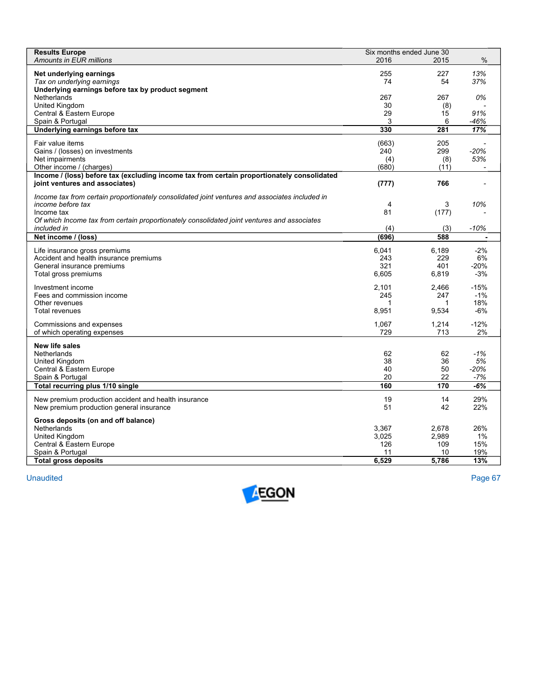| <b>Results Europe</b>                                                                          | Six months ended June 30 |              |             |
|------------------------------------------------------------------------------------------------|--------------------------|--------------|-------------|
| Amounts in EUR millions                                                                        | 2016                     | 2015         | $\%$        |
| Net underlying earnings                                                                        | 255                      | 227          | 13%         |
| Tax on underlying earnings                                                                     | 74                       | 54           | 37%         |
| Underlying earnings before tax by product segment                                              |                          |              |             |
| Netherlands                                                                                    | 267                      | 267          | 0%          |
| United Kingdom                                                                                 | 30                       | (8)          |             |
| Central & Eastern Europe                                                                       | 29                       | 15           | 91%         |
| Spain & Portugal                                                                               | 3                        | 6            | $-46%$      |
| Underlying earnings before tax                                                                 | 330                      | 281          | 17%         |
| Fair value items                                                                               | (663)                    | 205          |             |
| Gains / (losses) on investments                                                                | 240                      | 299          | $-20%$      |
| Net impairments                                                                                | (4)                      | (8)          | 53%         |
| Other income / (charges)                                                                       | (680)                    | (11)         |             |
| Income / (loss) before tax (excluding income tax from certain proportionately consolidated     |                          |              |             |
| joint ventures and associates)                                                                 | (777)                    | 766          |             |
| Income tax from certain proportionately consolidated joint ventures and associates included in |                          |              |             |
| income before tax                                                                              | 4                        | 3            | 10%         |
| Income tax                                                                                     | 81                       | (177)        |             |
| Of which Income tax from certain proportionately consolidated joint ventures and associates    |                          |              |             |
| included in                                                                                    | (4)                      | (3)          | $-10%$      |
| Net income / (loss)                                                                            | (696)                    | 588          |             |
|                                                                                                |                          |              |             |
| Life insurance gross premiums                                                                  | 6,041<br>243             | 6,189<br>229 | $-2%$<br>6% |
| Accident and health insurance premiums<br>General insurance premiums                           | 321                      | 401          | $-20%$      |
| Total gross premiums                                                                           | 6.605                    | 6,819        | $-3%$       |
|                                                                                                |                          |              |             |
| Investment income                                                                              | 2.101                    | 2.466        | $-15%$      |
| Fees and commission income                                                                     | 245                      | 247          | $-1%$       |
| Other revenues                                                                                 | 1                        | 1            | 18%         |
| Total revenues                                                                                 | 8,951                    | 9,534        | $-6%$       |
| Commissions and expenses                                                                       | 1,067                    | 1,214        | $-12%$      |
| of which operating expenses                                                                    | 729                      | 713          | 2%          |
|                                                                                                |                          |              |             |
| New life sales                                                                                 |                          |              |             |
| Netherlands                                                                                    | 62<br>38                 | 62<br>36     | $-1%$<br>5% |
| United Kingdom<br>Central & Eastern Europe                                                     | 40                       | 50           | $-20%$      |
| Spain & Portugal                                                                               | 20                       | 22           | -7%         |
| Total recurring plus 1/10 single                                                               | 160                      | 170          | -6%         |
|                                                                                                |                          |              |             |
| New premium production accident and health insurance                                           | 19                       | 14           | 29%         |
| New premium production general insurance                                                       | 51                       | 42           | 22%         |
| Gross deposits (on and off balance)                                                            |                          |              |             |
| Netherlands                                                                                    | 3,367                    | 2,678        | 26%         |
| United Kingdom                                                                                 | 3,025                    | 2,989        | 1%          |
| Central & Eastern Europe                                                                       | 126                      | 109          | 15%         |
| Spain & Portugal                                                                               | 11                       | 10           | 19%         |
| <b>Total gross deposits</b>                                                                    | 6,529                    | 5.786        | 13%         |

**Unaudited** Unaudited Page 67

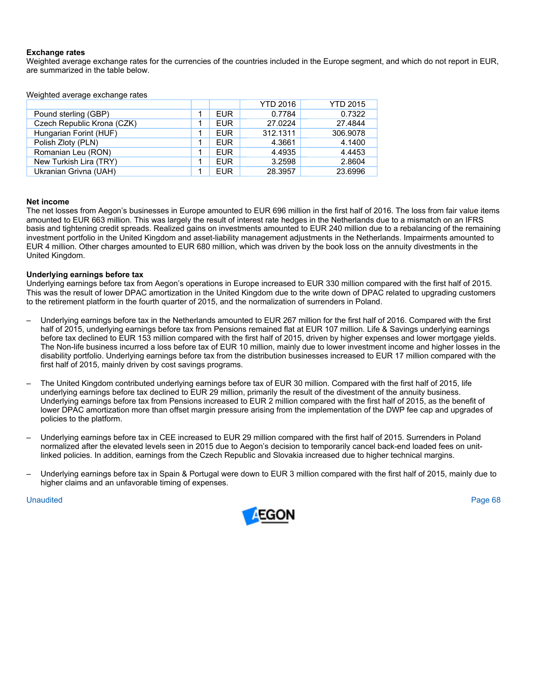# **Exchange rates**

Weighted average exchange rates for the currencies of the countries included in the Europe segment, and which do not report in EUR, are summarized in the table below.

Weighted average exchange rates

|                            |            | <b>YTD 2016</b> | <b>YTD 2015</b> |
|----------------------------|------------|-----------------|-----------------|
| Pound sterling (GBP)       | <b>EUR</b> | 0.7784          | 0.7322          |
| Czech Republic Krona (CZK) | <b>EUR</b> | 27.0224         | 27.4844         |
| Hungarian Forint (HUF)     | <b>EUR</b> | 312.1311        | 306.9078        |
| Polish Zloty (PLN)         | <b>EUR</b> | 4.3661          | 4.1400          |
| Romanian Leu (RON)         | <b>EUR</b> | 4.4935          | 4.4453          |
| New Turkish Lira (TRY)     | <b>EUR</b> | 3.2598          | 2.8604          |
| Ukranian Grivna (UAH)      | <b>EUR</b> | 28.3957         | 23.6996         |

#### **Net income**

The net losses from Aegon's businesses in Europe amounted to EUR 696 million in the first half of 2016. The loss from fair value items amounted to EUR 663 million. This was largely the result of interest rate hedges in the Netherlands due to a mismatch on an IFRS basis and tightening credit spreads. Realized gains on investments amounted to EUR 240 million due to a rebalancing of the remaining investment portfolio in the United Kingdom and asset-liability management adjustments in the Netherlands. Impairments amounted to EUR 4 million. Other charges amounted to EUR 680 million, which was driven by the book loss on the annuity divestments in the United Kingdom.

#### **Underlying earnings before tax**

Underlying earnings before tax from Aegon's operations in Europe increased to EUR 330 million compared with the first half of 2015. This was the result of lower DPAC amortization in the United Kingdom due to the write down of DPAC related to upgrading customers to the retirement platform in the fourth quarter of 2015, and the normalization of surrenders in Poland.

- Underlying earnings before tax in the Netherlands amounted to EUR 267 million for the first half of 2016. Compared with the first half of 2015, underlying earnings before tax from Pensions remained flat at EUR 107 million. Life & Savings underlying earnings before tax declined to EUR 153 million compared with the first half of 2015, driven by higher expenses and lower mortgage yields. The Non-life business incurred a loss before tax of EUR 10 million, mainly due to lower investment income and higher losses in the disability portfolio. Underlying earnings before tax from the distribution businesses increased to EUR 17 million compared with the first half of 2015, mainly driven by cost savings programs.
- The United Kingdom contributed underlying earnings before tax of EUR 30 million. Compared with the first half of 2015, life underlying earnings before tax declined to EUR 29 million, primarily the result of the divestment of the annuity business. Underlying earnings before tax from Pensions increased to EUR 2 million compared with the first half of 2015, as the benefit of lower DPAC amortization more than offset margin pressure arising from the implementation of the DWP fee cap and upgrades of policies to the platform.
- Underlying earnings before tax in CEE increased to EUR 29 million compared with the first half of 2015. Surrenders in Poland normalized after the elevated levels seen in 2015 due to Aegon's decision to temporarily cancel back-end loaded fees on unitlinked policies. In addition, earnings from the Czech Republic and Slovakia increased due to higher technical margins.
- Underlying earnings before tax in Spain & Portugal were down to EUR 3 million compared with the first half of 2015, mainly due to higher claims and an unfavorable timing of expenses.

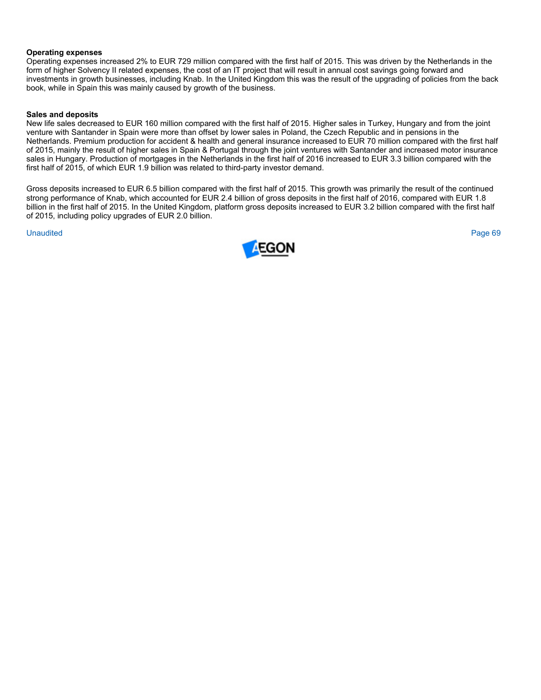# **Operating expenses**

Operating expenses increased 2% to EUR 729 million compared with the first half of 2015. This was driven by the Netherlands in the form of higher Solvency II related expenses, the cost of an IT project that will result in annual cost savings going forward and investments in growth businesses, including Knab. In the United Kingdom this was the result of the upgrading of policies from the back book, while in Spain this was mainly caused by growth of the business.

# **Sales and deposits**

New life sales decreased to EUR 160 million compared with the first half of 2015. Higher sales in Turkey, Hungary and from the joint venture with Santander in Spain were more than offset by lower sales in Poland, the Czech Republic and in pensions in the Netherlands. Premium production for accident & health and general insurance increased to EUR 70 million compared with the first half of 2015, mainly the result of higher sales in Spain & Portugal through the joint ventures with Santander and increased motor insurance sales in Hungary. Production of mortgages in the Netherlands in the first half of 2016 increased to EUR 3.3 billion compared with the first half of 2015, of which EUR 1.9 billion was related to third-party investor demand.

Gross deposits increased to EUR 6.5 billion compared with the first half of 2015. This growth was primarily the result of the continued strong performance of Knab, which accounted for EUR 2.4 billion of gross deposits in the first half of 2016, compared with EUR 1.8 billion in the first half of 2015. In the United Kingdom, platform gross deposits increased to EUR 3.2 billion compared with the first half of 2015, including policy upgrades of EUR 2.0 billion.

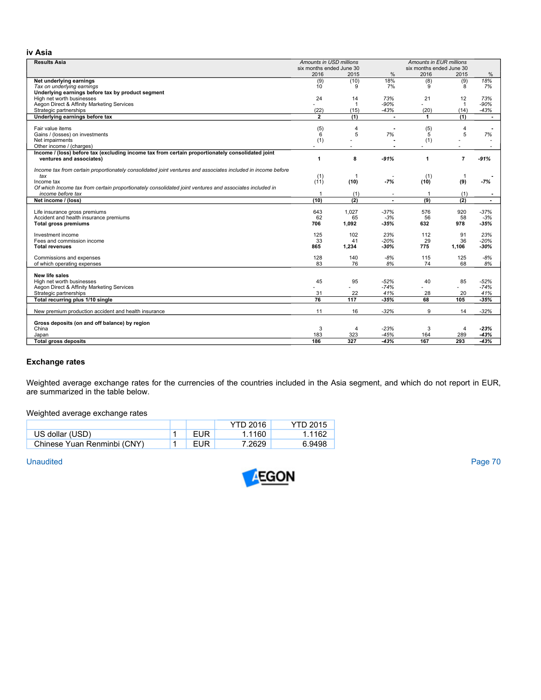# **iv Asia**

| <b>Results Asia</b>                                                                                          | Amounts in USD millions<br>Amounts in EUR millions<br>six months ended June 30 |                |               |                      |                |                |
|--------------------------------------------------------------------------------------------------------------|--------------------------------------------------------------------------------|----------------|---------------|----------------------|----------------|----------------|
|                                                                                                              | six months ended June 30<br>2016<br>2015                                       |                | $\%$<br>2016  |                      | 2015           | $\%$           |
| Net underlying earnings                                                                                      | (9)                                                                            | (10)           | 18%           | (8)                  | (9)            | 18%            |
| Tax on underlying earnings                                                                                   | 10                                                                             | 9              | 7%            | 9                    | 8              | 7%             |
| Underlying earnings before tax by product segment                                                            |                                                                                |                |               |                      |                |                |
| High net worth businesses                                                                                    | 24                                                                             | 14             | 73%           | 21                   | 12             | 73%            |
| Aegon Direct & Affinity Marketing Services                                                                   |                                                                                | 1              | $-90%$        |                      | $\overline{1}$ | -90%           |
| Strategic partnerships                                                                                       | (22)                                                                           | (15)           | $-43%$        | (20)                 | (14)           | -43%           |
| Underlying earnings before tax                                                                               | $\overline{2}$                                                                 | (1)            | $\bullet$     | $\blacktriangleleft$ | (1)            | $\overline{a}$ |
|                                                                                                              |                                                                                |                |               |                      |                |                |
| Fair value items                                                                                             | (5)                                                                            | 4              |               | (5)                  | $\overline{4}$ |                |
| Gains / (losses) on investments                                                                              | 6                                                                              | 5              | 7%            | 5                    | 5              | 7%             |
| Net impairments                                                                                              | (1)                                                                            |                |               | (1)                  |                |                |
| Other income / (charges)                                                                                     |                                                                                |                | ×             | ä,                   |                | $\sim$         |
| Income / (loss) before tax (excluding income tax from certain proportionately consolidated joint             |                                                                                |                |               |                      |                |                |
| ventures and associates)                                                                                     | 1                                                                              | 8              | $-91%$        | 1                    | $\overline{7}$ | $-91%$         |
| Income tax from certain proportionately consolidated joint ventures and associates included in income before |                                                                                |                |               |                      |                |                |
| tax                                                                                                          | (1)                                                                            | $\overline{1}$ |               | (1)                  |                |                |
| Income tax                                                                                                   | (11)                                                                           | (10)           | $-7%$         | (10)                 | (9)            | $-7%$          |
| Of which Income tax from certain proportionately consolidated joint ventures and associates included in      |                                                                                |                |               |                      |                |                |
| income before tax                                                                                            | -1                                                                             | (1)            |               | -1                   | (1)            | $\blacksquare$ |
| Net income / (loss)                                                                                          | (10)                                                                           | (2)            |               | (9)                  | (2)            | $\blacksquare$ |
|                                                                                                              |                                                                                |                |               |                      |                |                |
| Life insurance gross premiums                                                                                | 643                                                                            | 1,027          | $-37%$        | 576                  | 920            | $-37%$         |
| Accident and health insurance premiums                                                                       | 62                                                                             | 65             | $-3%$         | 56                   | 58             | $-3%$          |
| <b>Total gross premiums</b>                                                                                  | 706                                                                            | 1,092          | $-35%$        | 632                  | 978            | $-35%$         |
|                                                                                                              |                                                                                |                |               |                      |                |                |
| Investment income<br>Fees and commission income                                                              | 125<br>33                                                                      | 102<br>41      | 23%<br>$-20%$ | 112<br>29            | 91<br>36       | 23%<br>-20%    |
| <b>Total revenues</b>                                                                                        | 865                                                                            | 1.234          | -30%          | 775                  | 1.106          | -30%           |
|                                                                                                              |                                                                                |                |               |                      |                |                |
| Commissions and expenses                                                                                     | 128                                                                            | 140            | $-8%$         | 115                  | 125            | $-8%$          |
| of which operating expenses                                                                                  | 83                                                                             | 76             | 8%            | 74                   | 68             | 8%             |
|                                                                                                              |                                                                                |                |               |                      |                |                |
| New life sales                                                                                               |                                                                                |                |               |                      |                |                |
| High net worth businesses                                                                                    | 45                                                                             | 95             | $-52%$        | 40                   | 85             | -52%           |
| Aegon Direct & Affinity Marketing Services                                                                   |                                                                                | ÷              | $-74%$        |                      |                | $-74%$         |
| Strategic partnerships<br>Total recurring plus 1/10 single                                                   | 31<br>76                                                                       | 22<br>117      | 41%<br>$-35%$ | 28<br>68             | 20<br>105      | 41%<br>$-35%$  |
|                                                                                                              |                                                                                |                |               |                      |                |                |
| New premium production accident and health insurance                                                         | 11                                                                             | 16             | $-32%$        | 9                    | 14             | $-32%$         |
|                                                                                                              |                                                                                |                |               |                      |                |                |
| Gross deposits (on and off balance) by region                                                                |                                                                                |                |               |                      |                |                |
| China                                                                                                        | 3                                                                              | 4              | $-23%$        | 3                    | $\overline{4}$ | -23%           |
| Japan                                                                                                        | 183                                                                            | 323            | $-45%$        | 164                  | 289            | $-43%$         |
| <b>Total gross deposits</b>                                                                                  | 186                                                                            | 327            | $-43%$        | 167                  | 293            | $-43%$         |

# **Exchange rates**

Weighted average exchange rates for the currencies of the countries included in the Asia segment, and which do not report in EUR, are summarized in the table below.

Weighted average exchange rates

|                             |     | <b>YTD 2016</b> | <b>YTD 2015</b> |
|-----------------------------|-----|-----------------|-----------------|
| US dollar (USD)             | EUR | 1.1160          | 1.1162          |
| Chinese Yuan Renminbi (CNY) | EUR | 7.2629          | 6.9498          |

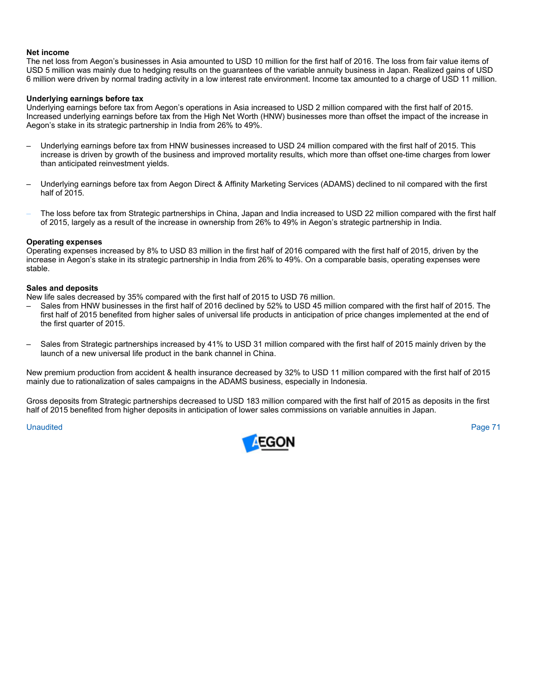#### **Net income**

The net loss from Aegon's businesses in Asia amounted to USD 10 million for the first half of 2016. The loss from fair value items of USD 5 million was mainly due to hedging results on the guarantees of the variable annuity business in Japan. Realized gains of USD 6 million were driven by normal trading activity in a low interest rate environment. Income tax amounted to a charge of USD 11 million.

#### **Underlying earnings before tax**

Underlying earnings before tax from Aegon's operations in Asia increased to USD 2 million compared with the first half of 2015. Increased underlying earnings before tax from the High Net Worth (HNW) businesses more than offset the impact of the increase in Aegon's stake in its strategic partnership in India from 26% to 49%.

- Underlying earnings before tax from HNW businesses increased to USD 24 million compared with the first half of 2015. This increase is driven by growth of the business and improved mortality results, which more than offset one-time charges from lower than anticipated reinvestment yields.
- Underlying earnings before tax from Aegon Direct & Affinity Marketing Services (ADAMS) declined to nil compared with the first half of 2015.
- The loss before tax from Strategic partnerships in China, Japan and India increased to USD 22 million compared with the first half of 2015, largely as a result of the increase in ownership from 26% to 49% in Aegon's strategic partnership in India.

#### **Operating expenses**

Operating expenses increased by 8% to USD 83 million in the first half of 2016 compared with the first half of 2015, driven by the increase in Aegon's stake in its strategic partnership in India from 26% to 49%. On a comparable basis, operating expenses were stable.

#### **Sales and deposits**

New life sales decreased by 35% compared with the first half of 2015 to USD 76 million.

- Sales from HNW businesses in the first half of 2016 declined by 52% to USD 45 million compared with the first half of 2015. The first half of 2015 benefited from higher sales of universal life products in anticipation of price changes implemented at the end of the first quarter of 2015.
- Sales from Strategic partnerships increased by 41% to USD 31 million compared with the first half of 2015 mainly driven by the launch of a new universal life product in the bank channel in China.

New premium production from accident & health insurance decreased by 32% to USD 11 million compared with the first half of 2015 mainly due to rationalization of sales campaigns in the ADAMS business, especially in Indonesia.

Gross deposits from Strategic partnerships decreased to USD 183 million compared with the first half of 2015 as deposits in the first half of 2015 benefited from higher deposits in anticipation of lower sales commissions on variable annuities in Japan.

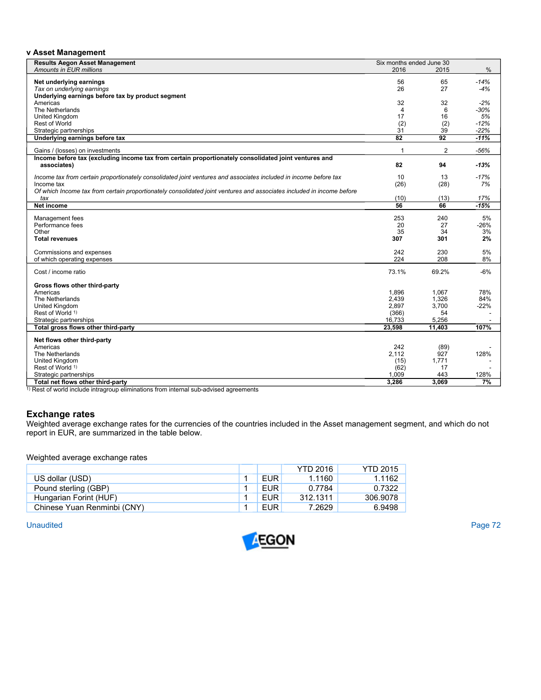## **v Asset Management**

| <b>Results Aegon Asset Management</b>                                                                                 | Six months ended June 30 |                |        |
|-----------------------------------------------------------------------------------------------------------------------|--------------------------|----------------|--------|
| Amounts in EUR millions                                                                                               | 2016                     | 2015           | $\%$   |
|                                                                                                                       |                          |                |        |
| Net underlying earnings                                                                                               | 56<br>26                 | 65<br>27       | $-14%$ |
| Tax on underlying earnings<br>Underlying earnings before tax by product segment                                       |                          |                | $-4%$  |
| Americas                                                                                                              | 32                       | 32             | $-2%$  |
| The Netherlands                                                                                                       | 4                        | 6              | $-30%$ |
| United Kingdom                                                                                                        | 17                       | 16             | 5%     |
| <b>Rest of World</b>                                                                                                  | (2)                      | (2)            | $-12%$ |
| Strategic partnerships                                                                                                | 31                       | 39             | $-22%$ |
| Underlying earnings before tax                                                                                        | $\overline{82}$          | 92             | $-11%$ |
|                                                                                                                       |                          |                |        |
| Gains / (losses) on investments                                                                                       | 1                        | $\overline{2}$ | $-56%$ |
| Income before tax (excluding income tax from certain proportionately consolidated joint ventures and                  |                          |                |        |
| associates)                                                                                                           | 82                       | 94             | $-13%$ |
| Income tax from certain proportionately consolidated joint ventures and associates included in income before tax      | 10                       | 13             | $-17%$ |
| Income tax                                                                                                            | (26)                     | (28)           | 7%     |
| Of which Income tax from certain proportionately consolidated joint ventures and associates included in income before |                          |                |        |
| tax                                                                                                                   | (10)                     | (13)           | 17%    |
| <b>Net income</b>                                                                                                     | 56                       | 66             | $-15%$ |
|                                                                                                                       |                          |                |        |
| Management fees                                                                                                       | 253                      | 240            | 5%     |
| Performance fees                                                                                                      | 20                       | 27             | $-26%$ |
| Other                                                                                                                 | 35                       | 34             | 3%     |
| <b>Total revenues</b>                                                                                                 | 307                      | 301            | 2%     |
|                                                                                                                       | 242                      | 230            | 5%     |
| Commissions and expenses<br>of which operating expenses                                                               | 224                      | 208            | 8%     |
|                                                                                                                       |                          |                |        |
| Cost / income ratio                                                                                                   | 73.1%                    | 69.2%          | $-6%$  |
|                                                                                                                       |                          |                |        |
| Gross flows other third-party                                                                                         |                          |                |        |
| Americas                                                                                                              | 1,896                    | 1,067          | 78%    |
| The Netherlands                                                                                                       | 2,439                    | 1,326          | 84%    |
| United Kingdom                                                                                                        | 2,897                    | 3,700          | $-22%$ |
| Rest of World 1)                                                                                                      | (366)                    | 54             |        |
| Strategic partnerships                                                                                                | 16,733                   | 5,256          |        |
| Total gross flows other third-party                                                                                   | 23,598                   | 11,403         | 107%   |
| Net flows other third-party                                                                                           |                          |                |        |
| Americas                                                                                                              | 242                      | (89)           |        |
| The Netherlands                                                                                                       | 2.112                    | 927            | 128%   |
| United Kingdom                                                                                                        | (15)                     | 1,771          |        |
| Rest of World 1)                                                                                                      | (62)                     | 17             |        |
| Strategic partnerships                                                                                                | 1,009                    | 443            | 128%   |
| Total net flows other third-party                                                                                     | 3.286                    | 3.069          | 7%     |

<sup>1)</sup> Rest of world include intragroup eliminations from internal sub-advised agreements

### **Exchange rates**

Weighted average exchange rates for the currencies of the countries included in the Asset management segment, and which do not report in EUR, are summarized in the table below.

Weighted average exchange rates

|                             |            | <b>YTD 2016</b> | <b>YTD 2015</b> |
|-----------------------------|------------|-----------------|-----------------|
| US dollar (USD)             | EUR.       | 1.1160          | 1.1162          |
| Pound sterling (GBP)        | EUR.       | 0.7784          | 0.7322          |
| Hungarian Forint (HUF)      | EUR.       | 312.1311        | 306.9078        |
| Chinese Yuan Renminbi (CNY) | <b>EUR</b> | 7.2629          | 6.9498          |

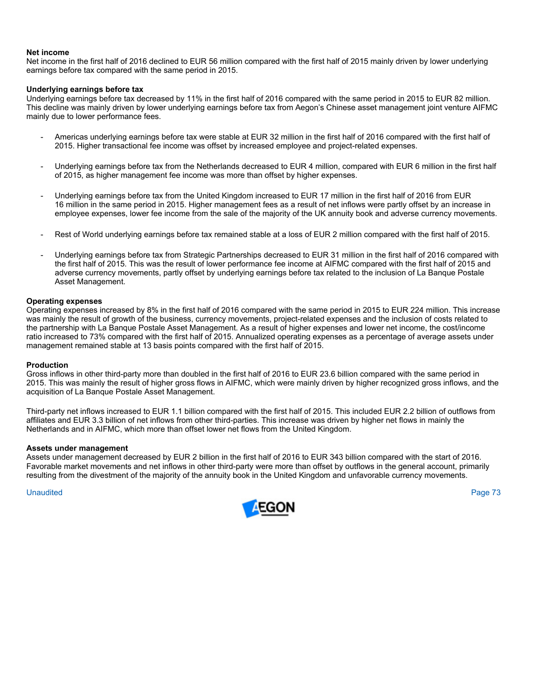#### **Net income**

Net income in the first half of 2016 declined to EUR 56 million compared with the first half of 2015 mainly driven by lower underlying earnings before tax compared with the same period in 2015.

#### **Underlying earnings before tax**

Underlying earnings before tax decreased by 11% in the first half of 2016 compared with the same period in 2015 to EUR 82 million. This decline was mainly driven by lower underlying earnings before tax from Aegon's Chinese asset management joint venture AIFMC mainly due to lower performance fees.

- Americas underlying earnings before tax were stable at EUR 32 million in the first half of 2016 compared with the first half of 2015. Higher transactional fee income was offset by increased employee and project-related expenses.
- Underlying earnings before tax from the Netherlands decreased to EUR 4 million, compared with EUR 6 million in the first half of 2015, as higher management fee income was more than offset by higher expenses.
- Underlying earnings before tax from the United Kingdom increased to EUR 17 million in the first half of 2016 from EUR 16 million in the same period in 2015. Higher management fees as a result of net inflows were partly offset by an increase in employee expenses, lower fee income from the sale of the majority of the UK annuity book and adverse currency movements.
- Rest of World underlying earnings before tax remained stable at a loss of EUR 2 million compared with the first half of 2015.
- Underlying earnings before tax from Strategic Partnerships decreased to EUR 31 million in the first half of 2016 compared with the first half of 2015. This was the result of lower performance fee income at AIFMC compared with the first half of 2015 and adverse currency movements, partly offset by underlying earnings before tax related to the inclusion of La Banque Postale Asset Management.

#### **Operating expenses**

Operating expenses increased by 8% in the first half of 2016 compared with the same period in 2015 to EUR 224 million. This increase was mainly the result of growth of the business, currency movements, project-related expenses and the inclusion of costs related to the partnership with La Banque Postale Asset Management. As a result of higher expenses and lower net income, the cost/income ratio increased to 73% compared with the first half of 2015. Annualized operating expenses as a percentage of average assets under management remained stable at 13 basis points compared with the first half of 2015.

#### **Production**

Gross inflows in other third-party more than doubled in the first half of 2016 to EUR 23.6 billion compared with the same period in 2015. This was mainly the result of higher gross flows in AIFMC, which were mainly driven by higher recognized gross inflows, and the acquisition of La Banque Postale Asset Management.

Third-party net inflows increased to EUR 1.1 billion compared with the first half of 2015. This included EUR 2.2 billion of outflows from affiliates and EUR 3.3 billion of net inflows from other third-parties. This increase was driven by higher net flows in mainly the Netherlands and in AIFMC, which more than offset lower net flows from the United Kingdom.

#### **Assets under management**

Assets under management decreased by EUR 2 billion in the first half of 2016 to EUR 343 billion compared with the start of 2016. Favorable market movements and net inflows in other third-party were more than offset by outflows in the general account, primarily resulting from the divestment of the majority of the annuity book in the United Kingdom and unfavorable currency movements.

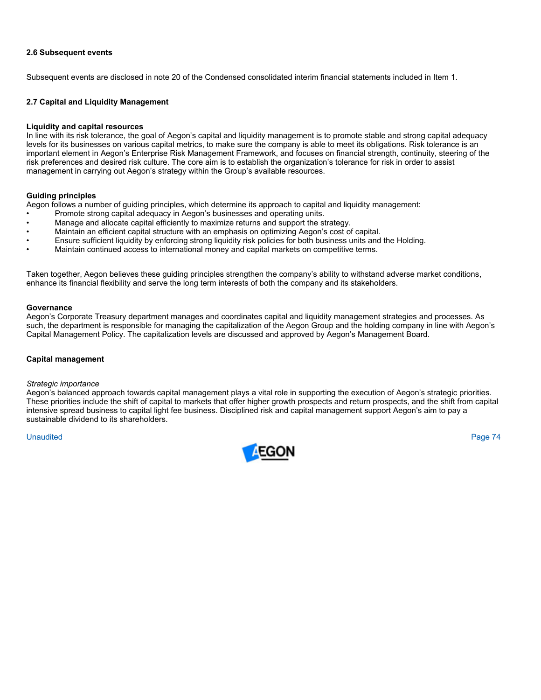## **2.6 Subsequent events**

Subsequent events are disclosed in note 20 of the Condensed consolidated interim financial statements included in Item 1.

## **2.7 Capital and Liquidity Management**

#### **Liquidity and capital resources**

In line with its risk tolerance, the goal of Aegon's capital and liquidity management is to promote stable and strong capital adequacy levels for its businesses on various capital metrics, to make sure the company is able to meet its obligations. Risk tolerance is an important element in Aegon's Enterprise Risk Management Framework, and focuses on financial strength, continuity, steering of the risk preferences and desired risk culture. The core aim is to establish the organization's tolerance for risk in order to assist management in carrying out Aegon's strategy within the Group's available resources.

### **Guiding principles**

Aegon follows a number of guiding principles, which determine its approach to capital and liquidity management:

- Promote strong capital adequacy in Aegon's businesses and operating units.
- Manage and allocate capital efficiently to maximize returns and support the strategy.
- Maintain an efficient capital structure with an emphasis on optimizing Aegon's cost of capital.
- Ensure sufficient liquidity by enforcing strong liquidity risk policies for both business units and the Holding.
- Maintain continued access to international money and capital markets on competitive terms.

Taken together, Aegon believes these guiding principles strengthen the company's ability to withstand adverse market conditions, enhance its financial flexibility and serve the long term interests of both the company and its stakeholders.

#### **Governance**

Aegon's Corporate Treasury department manages and coordinates capital and liquidity management strategies and processes. As such, the department is responsible for managing the capitalization of the Aegon Group and the holding company in line with Aegon's Capital Management Policy. The capitalization levels are discussed and approved by Aegon's Management Board.

#### **Capital management**

#### *Strategic importance*

Aegon's balanced approach towards capital management plays a vital role in supporting the execution of Aegon's strategic priorities. These priorities include the shift of capital to markets that offer higher growth prospects and return prospects, and the shift from capital intensive spread business to capital light fee business. Disciplined risk and capital management support Aegon's aim to pay a sustainable dividend to its shareholders.

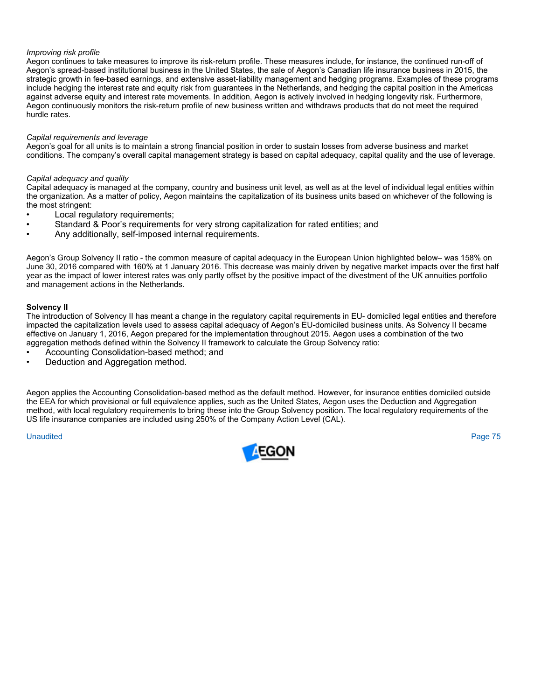## *Improving risk profile*

Aegon continues to take measures to improve its risk-return profile. These measures include, for instance, the continued run-off of Aegon's spread-based institutional business in the United States, the sale of Aegon's Canadian life insurance business in 2015, the strategic growth in fee-based earnings, and extensive asset-liability management and hedging programs. Examples of these programs include hedging the interest rate and equity risk from guarantees in the Netherlands, and hedging the capital position in the Americas against adverse equity and interest rate movements. In addition, Aegon is actively involved in hedging longevity risk. Furthermore, Aegon continuously monitors the risk-return profile of new business written and withdraws products that do not meet the required hurdle rates.

### *Capital requirements and leverage*

Aegon's goal for all units is to maintain a strong financial position in order to sustain losses from adverse business and market conditions. The company's overall capital management strategy is based on capital adequacy, capital quality and the use of leverage.

### *Capital adequacy and quality*

Capital adequacy is managed at the company, country and business unit level, as well as at the level of individual legal entities within the organization. As a matter of policy, Aegon maintains the capitalization of its business units based on whichever of the following is the most stringent:

- Local regulatory requirements;
- Standard & Poor's requirements for very strong capitalization for rated entities; and
- Any additionally, self-imposed internal requirements.

Aegon's Group Solvency II ratio - the common measure of capital adequacy in the European Union highlighted below– was 158% on June 30, 2016 compared with 160% at 1 January 2016. This decrease was mainly driven by negative market impacts over the first half year as the impact of lower interest rates was only partly offset by the positive impact of the divestment of the UK annuities portfolio and management actions in the Netherlands.

### **Solvency II**

The introduction of Solvency II has meant a change in the regulatory capital requirements in EU- domiciled legal entities and therefore impacted the capitalization levels used to assess capital adequacy of Aegon's EU-domiciled business units. As Solvency II became effective on January 1, 2016, Aegon prepared for the implementation throughout 2015. Aegon uses a combination of the two aggregation methods defined within the Solvency II framework to calculate the Group Solvency ratio:

- Accounting Consolidation-based method; and
- Deduction and Aggregation method.

Aegon applies the Accounting Consolidation-based method as the default method. However, for insurance entities domiciled outside the EEA for which provisional or full equivalence applies, such as the United States, Aegon uses the Deduction and Aggregation method, with local regulatory requirements to bring these into the Group Solvency position. The local regulatory requirements of the US life insurance companies are included using 250% of the Company Action Level (CAL).

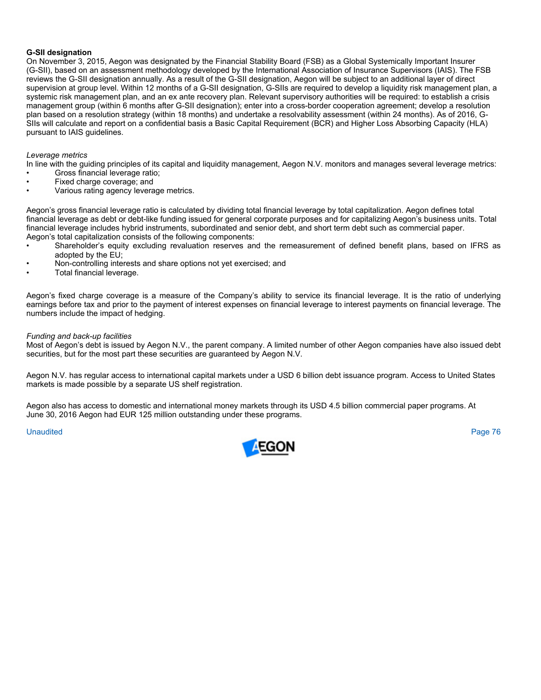### **G-SII designation**

On November 3, 2015, Aegon was designated by the Financial Stability Board (FSB) as a Global Systemically Important Insurer (G-SII), based on an assessment methodology developed by the International Association of Insurance Supervisors (IAIS). The FSB reviews the G-SII designation annually. As a result of the G-SII designation, Aegon will be subject to an additional layer of direct supervision at group level. Within 12 months of a G-SII designation, G-SIIs are required to develop a liquidity risk management plan, a systemic risk management plan, and an ex ante recovery plan. Relevant supervisory authorities will be required: to establish a crisis management group (within 6 months after G-SII designation); enter into a cross-border cooperation agreement; develop a resolution plan based on a resolution strategy (within 18 months) and undertake a resolvability assessment (within 24 months). As of 2016, G-SIIs will calculate and report on a confidential basis a Basic Capital Requirement (BCR) and Higher Loss Absorbing Capacity (HLA) pursuant to IAIS guidelines.

### *Leverage metrics*

In line with the guiding principles of its capital and liquidity management, Aegon N.V. monitors and manages several leverage metrics:

- Gross financial leverage ratio; Fixed charge coverage; and
- Various rating agency leverage metrics.

Aegon's gross financial leverage ratio is calculated by dividing total financial leverage by total capitalization. Aegon defines total financial leverage as debt or debt-like funding issued for general corporate purposes and for capitalizing Aegon's business units. Total financial leverage includes hybrid instruments, subordinated and senior debt, and short term debt such as commercial paper. Aegon's total capitalization consists of the following components:

- Shareholder's equity excluding revaluation reserves and the remeasurement of defined benefit plans, based on IFRS as adopted by the EU;
- Non-controlling interests and share options not yet exercised; and
- Total financial leverage.

Aegon's fixed charge coverage is a measure of the Company's ability to service its financial leverage. It is the ratio of underlying earnings before tax and prior to the payment of interest expenses on financial leverage to interest payments on financial leverage. The numbers include the impact of hedging.

### *Funding and back-up facilities*

Most of Aegon's debt is issued by Aegon N.V., the parent company. A limited number of other Aegon companies have also issued debt securities, but for the most part these securities are guaranteed by Aegon N.V.

Aegon N.V. has regular access to international capital markets under a USD 6 billion debt issuance program. Access to United States markets is made possible by a separate US shelf registration.

Aegon also has access to domestic and international money markets through its USD 4.5 billion commercial paper programs. At June 30, 2016 Aegon had EUR 125 million outstanding under these programs.

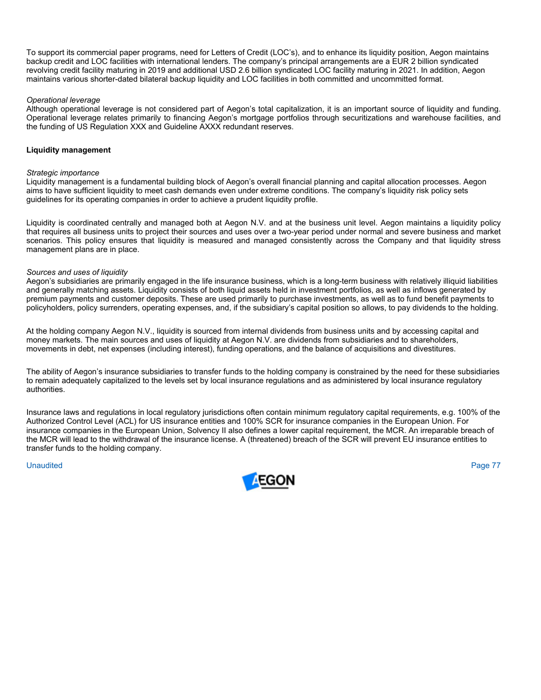To support its commercial paper programs, need for Letters of Credit (LOC's), and to enhance its liquidity position, Aegon maintains backup credit and LOC facilities with international lenders. The company's principal arrangements are a EUR 2 billion syndicated revolving credit facility maturing in 2019 and additional USD 2.6 billion syndicated LOC facility maturing in 2021. In addition, Aegon maintains various shorter-dated bilateral backup liquidity and LOC facilities in both committed and uncommitted format.

## *Operational leverage*

Although operational leverage is not considered part of Aegon's total capitalization, it is an important source of liquidity and funding. Operational leverage relates primarily to financing Aegon's mortgage portfolios through securitizations and warehouse facilities, and the funding of US Regulation XXX and Guideline AXXX redundant reserves.

### **Liquidity management**

#### *Strategic importance*

Liquidity management is a fundamental building block of Aegon's overall financial planning and capital allocation processes. Aegon aims to have sufficient liquidity to meet cash demands even under extreme conditions. The company's liquidity risk policy sets guidelines for its operating companies in order to achieve a prudent liquidity profile.

Liquidity is coordinated centrally and managed both at Aegon N.V. and at the business unit level. Aegon maintains a liquidity policy that requires all business units to project their sources and uses over a two-year period under normal and severe business and market scenarios. This policy ensures that liquidity is measured and managed consistently across the Company and that liquidity stress management plans are in place.

#### *Sources and uses of liquidity*

Aegon's subsidiaries are primarily engaged in the life insurance business, which is a long-term business with relatively illiquid liabilities and generally matching assets. Liquidity consists of both liquid assets held in investment portfolios, as well as inflows generated by premium payments and customer deposits. These are used primarily to purchase investments, as well as to fund benefit payments to policyholders, policy surrenders, operating expenses, and, if the subsidiary's capital position so allows, to pay dividends to the holding.

At the holding company Aegon N.V., liquidity is sourced from internal dividends from business units and by accessing capital and money markets. The main sources and uses of liquidity at Aegon N.V. are dividends from subsidiaries and to shareholders, movements in debt, net expenses (including interest), funding operations, and the balance of acquisitions and divestitures.

The ability of Aegon's insurance subsidiaries to transfer funds to the holding company is constrained by the need for these subsidiaries to remain adequately capitalized to the levels set by local insurance regulations and as administered by local insurance regulatory authorities.

Insurance laws and regulations in local regulatory jurisdictions often contain minimum regulatory capital requirements, e.g. 100% of the Authorized Control Level (ACL) for US insurance entities and 100% SCR for insurance companies in the European Union. For insurance companies in the European Union, Solvency II also defines a lower capital requirement, the MCR. An irreparable breach of the MCR will lead to the withdrawal of the insurance license. A (threatened) breach of the SCR will prevent EU insurance entities to transfer funds to the holding company.

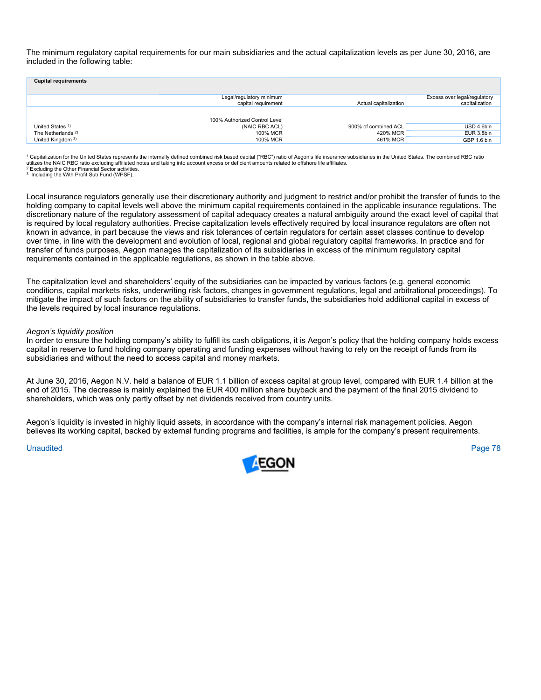The minimum regulatory capital requirements for our main subsidiaries and the actual capitalization levels as per June 30, 2016, are included in the following table:

| <b>Capital requirements</b>   |                                                 |                       |                                                |
|-------------------------------|-------------------------------------------------|-----------------------|------------------------------------------------|
|                               | Legal/regulatory minimum<br>capital requirement | Actual capitalization | Excess over legal/regulatory<br>capitalization |
|                               | 100% Authorized Control Level                   |                       |                                                |
| United States 1)              | (NAIC RBC ACL)                                  | 900% of combined ACL  | USD 4.6bln                                     |
| The Netherlands <sup>2)</sup> | 100% MCR                                        | 420% MCR              | EUR 3.8bln                                     |
| United Kingdom 3)             | 100% MCR                                        | 461% MCR              | GBP 1.6 bln                                    |

<sup>1</sup> Capitalization for the United States represents the internally defined combined risk based capital "RBC") ratio of Aegon's life insurance subsidiaries in the United States. The combined RBC ratio utilizes the NAIC RBC ratio excluding affiliated notes and taking into account excess or deficient amounts related to offshore life affiliates.<br><sup>2</sup> Excluding the Other Financial Sector activities.

3 Including the With Profit Sub Fund (WPSF).

Local insurance regulators generally use their discretionary authority and judgment to restrict and/or prohibit the transfer of funds to the holding company to capital levels well above the minimum capital requirements contained in the applicable insurance regulations. The discretionary nature of the regulatory assessment of capital adequacy creates a natural ambiguity around the exact level of capital that is required by local regulatory authorities. Precise capitalization levels effectively required by local insurance regulators are often not known in advance, in part because the views and risk tolerances of certain regulators for certain asset classes continue to develop over time, in line with the development and evolution of local, regional and global regulatory capital frameworks. In practice and for transfer of funds purposes, Aegon manages the capitalization of its subsidiaries in excess of the minimum regulatory capital requirements contained in the applicable regulations, as shown in the table above.

The capitalization level and shareholders' equity of the subsidiaries can be impacted by various factors (e.g. general economic conditions, capital markets risks, underwriting risk factors, changes in government regulations, legal and arbitrational proceedings). To mitigate the impact of such factors on the ability of subsidiaries to transfer funds, the subsidiaries hold additional capital in excess of the levels required by local insurance regulations.

#### *Aegon's liquidity position*

In order to ensure the holding company's ability to fulfill its cash obligations, it is Aegon's policy that the holding company holds excess capital in reserve to fund holding company operating and funding expenses without having to rely on the receipt of funds from its subsidiaries and without the need to access capital and money markets.

At June 30, 2016, Aegon N.V. held a balance of EUR 1.1 billion of excess capital at group level, compared with EUR 1.4 billion at the end of 2015. The decrease is mainly explained the EUR 400 million share buyback and the payment of the final 2015 dividend to shareholders, which was only partly offset by net dividends received from country units.

Aegon's liquidity is invested in highly liquid assets, in accordance with the company's internal risk management policies. Aegon believes its working capital, backed by external funding programs and facilities, is ample for the company's present requirements.

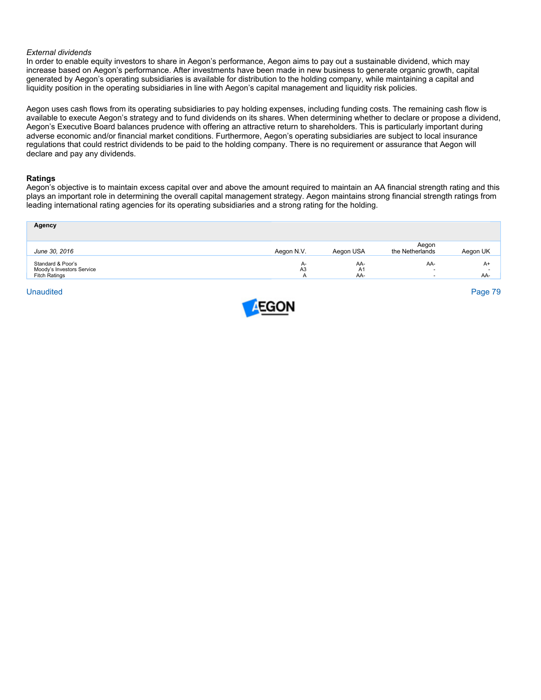#### *External dividends*

In order to enable equity investors to share in Aegon's performance, Aegon aims to pay out a sustainable dividend, which may increase based on Aegon's performance. After investments have been made in new business to generate organic growth, capital generated by Aegon's operating subsidiaries is available for distribution to the holding company, while maintaining a capital and liquidity position in the operating subsidiaries in line with Aegon's capital management and liquidity risk policies.

Aegon uses cash flows from its operating subsidiaries to pay holding expenses, including funding costs. The remaining cash flow is available to execute Aegon's strategy and to fund dividends on its shares. When determining whether to declare or propose a dividend, Aegon's Executive Board balances prudence with offering an attractive return to shareholders. This is particularly important during adverse economic and/or financial market conditions. Furthermore, Aegon's operating subsidiaries are subject to local insurance regulations that could restrict dividends to be paid to the holding company. There is no requirement or assurance that Aegon will declare and pay any dividends.

#### **Ratings**

Aegon's objective is to maintain excess capital over and above the amount required to maintain an AA financial strength rating and this plays an important role in determining the overall capital management strategy. Aegon maintains strong financial strength ratings from leading international rating agencies for its operating subsidiaries and a strong rating for the holding.

| <b>Agency</b>                                                          |                             |                  |                                                   |                               |
|------------------------------------------------------------------------|-----------------------------|------------------|---------------------------------------------------|-------------------------------|
| June 30, 2016                                                          | Aegon N.V.                  | Aegon USA        | Aegon<br>the Netherlands                          | Aegon UK                      |
| Standard & Poor's<br>Moody's Investors Service<br><b>Fitch Ratings</b> | $A-$<br>A <sub>3</sub><br>A | AA-<br>A1<br>AA- | AA-<br>$\overline{a}$<br>$\overline{\phantom{a}}$ | $A+$<br>$\overline{a}$<br>AA- |

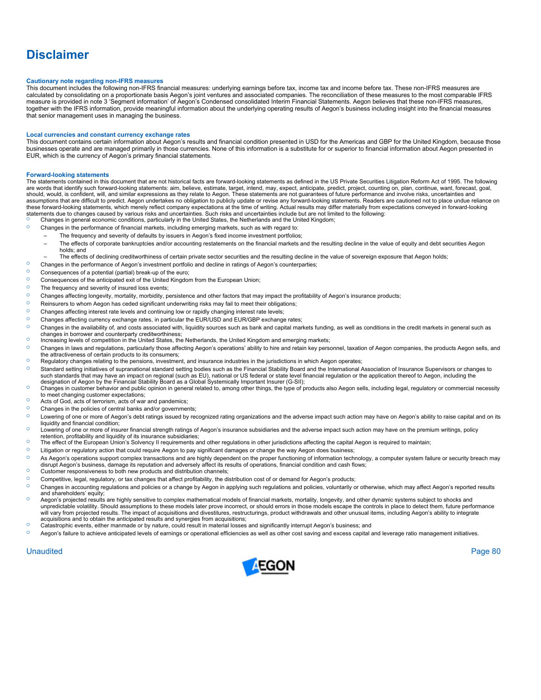# **Disclaimer**

#### **Cautionary note regarding non-IFRS measures**

This document includes the following non-IFRS financial measures: underlying earnings before tax, income tax and income before tax. These non-IFRS measures are calculated by consolidating on a proportionate basis Aegon's joint ventures and associated companies. The reconciliation of these measures to the most comparable IFRS measure is provided in note 3 'Segment information' of Aegon's Condensed consolidated Interim Financial Statements. Aegon believes that these non-IFRS measures, together with the IFRS information, provide meaningful information about the underlying operating results of Aegon's business including insight into the financial measures that senior management uses in managing the business.

#### **Local currencies and constant currency exchange rates**

This document contains certain information about Aegon's results and financial condition presented in USD for the Americas and GBP for the United Kingdom, because those businesses operate and are managed primarily in those currencies. None of this information is a substitute for or superior to financial information about Aegon presented in EUR, which is the currency of Aegon's primary financial statements.

#### **Forward-looking statements**

The statements contained in this document that are not historical facts are forward-looking statements as defined in the US Private Securities Litigation Reform Act of 1995. The following are words that identify such forward-looking statements: aim, believe, estimate, target, intend, may, expect, anticipate, predict, project, counting on, plan, continue, want, forecast, goal,<br>should, would, is confident, wi assumptions that are difficult to predict. Aegon undertakes no obligation to publicly update or revise any forward-looking statements. Readers are cautioned not to place undue reliance on these forward-looking statements, which merely reflect company expectations at the time of writing. Actual results may differ materially from expectations conveyed in forward-looking<br>statements due to changes caused by var

- <sup>o</sup> Changes in general economic conditions, particularly in the United States, the Netherlands and the United Kingdom;<br>Changes in the performance of financial markets, including emerging markets, such as with regard to: Changes in the performance of financial markets, including emerging markets, such as with regard to:
	- The frequency and severity of defaults by issuers in Aegon's fixed income investment portfolios;
	- The effects of corporate bankruptcies and/or accounting restatements on the financial markets and the resulting decline in the value of equity and debt securities Aegon holds; and
	- The effects of declining creditworthiness of certain private sector securities and the resulting decline in the value of sovereign exposure that Aegon holds;
- $\circ$  Changes in the performance of Aegon's investment portfolio and decline in ratings of Aegon's counterparties;
- <sup>o</sup> Consequences of a potential (partial) break-up of the euro;
- <sup>o</sup> Consequences of the anticipated exit of the United Kingdom from the European Union;
- $\circ$  The frequency and severity of insured loss events;
- { Changes affecting longevity, mortality, morbidity, persistence and other factors that may impact the profitability of Aegon's insurance products;
- $\degree$  Reinsurers to whom Aegon has ceded significant underwriting risks may fail to meet their obligations;<br> $\degree$  Changes affecting interest rate levels and continuing low or rapidly changing interest rate levels;
- <sup>O</sup> Changes affecting interest rate levels and continuing low or rapidly changing interest rate levels;<br><sup>O</sup> Changes affecting currency exchange rates in particular the EUR/USD and EUR/GBB exchange
- <sup>O</sup> Changes affecting currency exchange rates, in particular the EUR/USD and EUR/GBP exchange rates;<br><sup>O</sup> Changes in the availability of and costs associated with liquidity sources such as bank and capital mar-
- Changes in the availability of, and costs associated with, liquidity sources such as bank and capital markets funding, as well as conditions in the credit markets in general such as changes in borrower and counterparty creditworthiness;
- <sup>2</sup> Increasing levels of competition in the United States, the Netherlands, the United Kingdom and emerging markets;
- <sup>O</sup> Changes in laws and regulations, particularly those affecting Aegon's operations' ability to hire and retain key personnel, taxation of Aegon companies, the products Aegon sells, and the attractiveness of certain products to its consumers;
- $\circ$  Regulatory changes relating to the pensions, investment, and insurance industries in the jurisdictions in which Aegon operates;
- $\circ$  Standard setting initiatives of supranational standard setting bodies such as the Financial Stability Board and the International Association of Insurance Supervisors or changes to such standards that may have an impact on regional (such as EU), national or US federal or state level financial regulation or the application thereof to Aegon, including the designation of Aegon by the Financial Stability Board as a Global Systemically Important Insurer (G-SII);
- { Changes in customer behavior and public opinion in general related to, among other things, the type of products also Aegon sells, including legal, regulatory or commercial necessity to meet changing customer expectations;
- <sup>o</sup> Acts of God, acts of terrorism, acts of war and pandemics;
- <sup>o</sup> Changes in the policies of central banks and/or governments:
- O Lowering of one or more of Aegon's debt ratings issued by recognized rating organizations and the adverse impact such action may have on Aegon's ability to raise capital and on its liquidity and financial condition;
- { Lowering of one or more of insurer financial strength ratings of Aegon's insurance subsidiaries and the adverse impact such action may have on the premium writings, policy retention, profitability and liquidity of its insurance subsidiaries;
- $\circ$  The effect of the European Union's Solvency II requirements and other regulations in other jurisdictions affecting the capital Aegon is required to maintain;
- $\degree$  Litigation or regulatory action that could require Aegon to pay significant damages or change the way Aegon does business;<br> $\degree$  As Aegon's operations support complex transactions and are bigbly dependent on the prope
- As Aegon's operations support complex transactions and are highly dependent on the proper functioning of information technology, a computer system failure or security breach may<br>disrupt Aegon's business, damage its reputat
- <sup>o</sup> Customer responsiveness to both new products and distribution channels;
- $\degree$  Competitive, legal, regulatory, or tax changes that affect profitability, the distribution cost of or demand for Aegon's products;
- <sup>O</sup> Changes in accounting regulations and policies or a change by Aegon in applying such regulations and policies, voluntarily or otherwise, which may affect Aegon's reported results and shareholders' equity;<br>Aegon's projected results are highly sensitive to complex mathematical models of financial markets, mortality, longevity, and other dynamic systems subject to shocks and
- unpredictable volatility. Should assumptions to these models later prove incorrect, or should errors in those models escape the controls in place to detect them, future performance will vary from projected results. The impact of acquisitions and divestitures, restructurings, product withdrawals and other unusual items, including Aegon's ability to integrate acquisitions and to obtain the anticipated results and synergies from acquisitions;
- Catastrophic events, either manmade or by nature, could result in material losses and significantly interrupt Aegon's business; and
- $\circ$  Aegon's failure to achieve anticipated levels of earnings or operational efficiencies as well as other cost saving and excess capital and leverage ratio management initiatives.